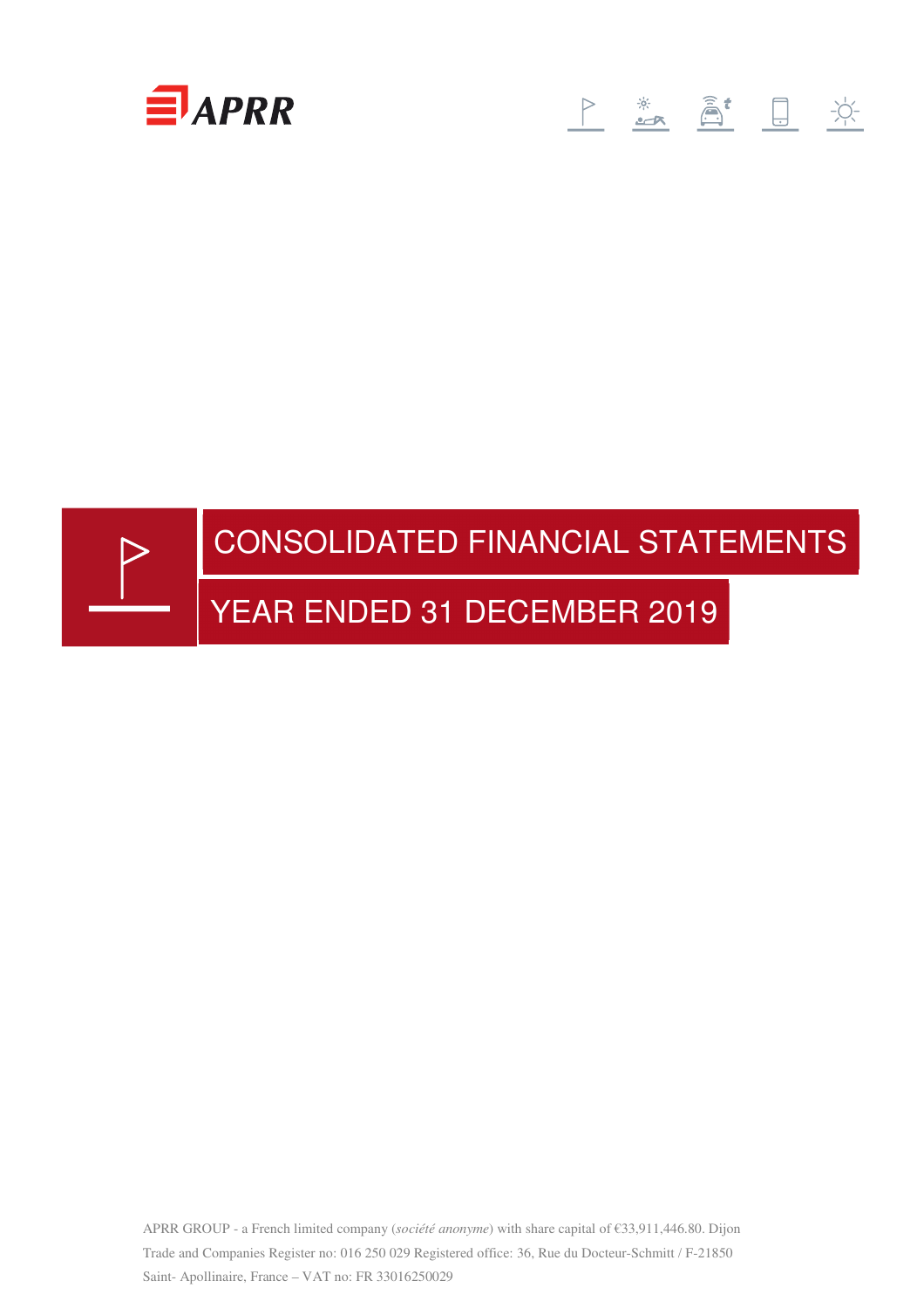

# 



APRR GROUP - a French limited company (*société anonyme*) with share capital of €33,911,446.80. Dijon Trade and Companies Register no: 016 250 029 Registered office: 36, Rue du Docteur-Schmitt / F-21850 Saint- Apollinaire, France – VAT no: FR 33016250029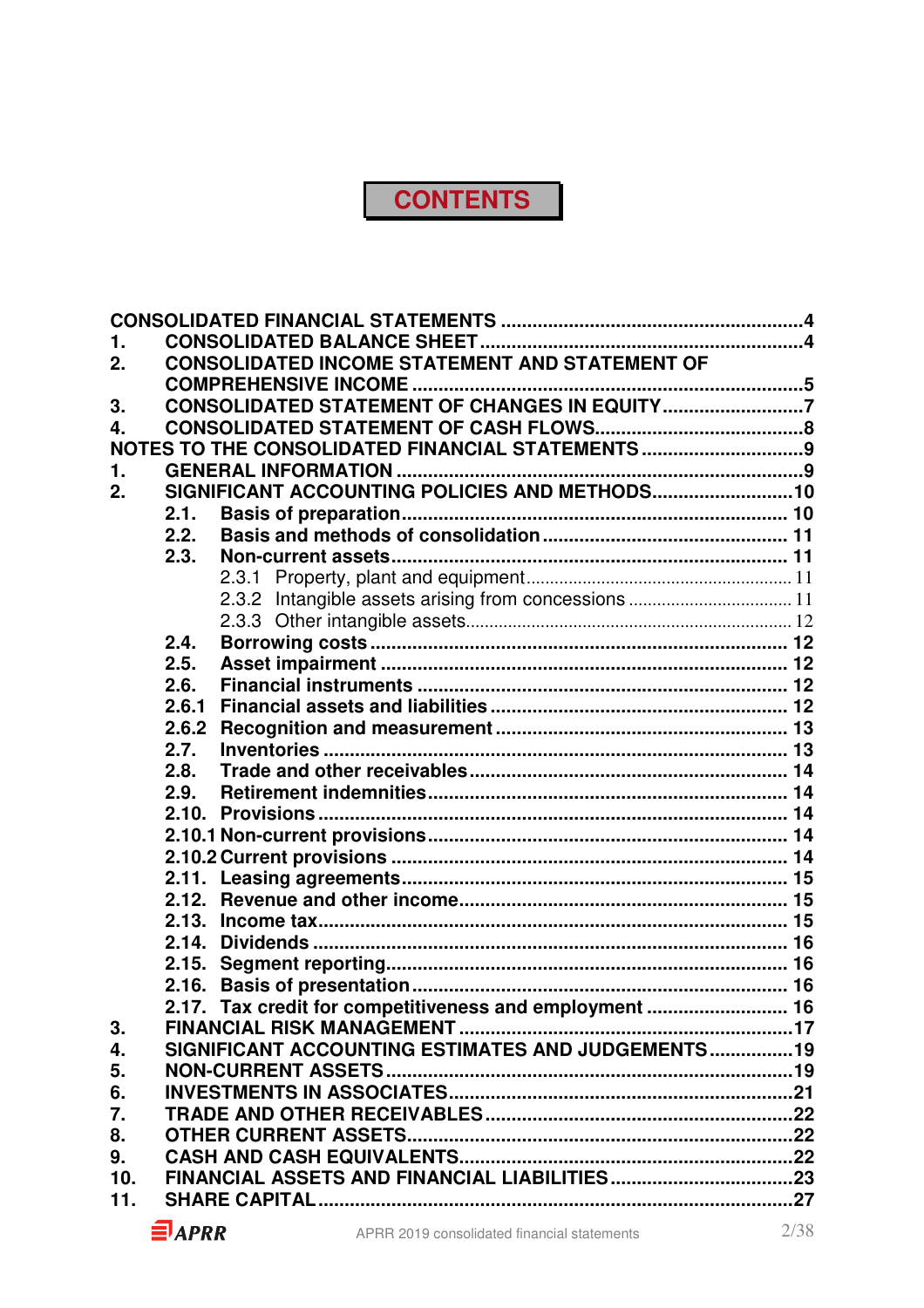# **CONTENTS**

| 1.  |       |                                                         |  |
|-----|-------|---------------------------------------------------------|--|
| 2.  |       | CONSOLIDATED INCOME STATEMENT AND STATEMENT OF          |  |
|     |       |                                                         |  |
| 3.  |       | CONSOLIDATED STATEMENT OF CHANGES IN EQUITY7            |  |
| 4.  |       |                                                         |  |
|     |       | NOTES TO THE CONSOLIDATED FINANCIAL STATEMENTS 9        |  |
| 1.  |       |                                                         |  |
| 2.  |       | SIGNIFICANT ACCOUNTING POLICIES AND METHODS 10          |  |
|     | 2.1.  |                                                         |  |
|     | 2.2.  |                                                         |  |
|     | 2.3.  |                                                         |  |
|     |       |                                                         |  |
|     |       |                                                         |  |
|     |       |                                                         |  |
|     | 2.4.  |                                                         |  |
|     | 2.5.  |                                                         |  |
|     | 2.6.  |                                                         |  |
|     | 2.6.1 |                                                         |  |
|     | 2.6.2 |                                                         |  |
|     | 2.7.  |                                                         |  |
|     | 2.8.  |                                                         |  |
|     | 2.9.  |                                                         |  |
|     |       |                                                         |  |
|     |       |                                                         |  |
|     |       |                                                         |  |
|     |       |                                                         |  |
|     |       |                                                         |  |
|     |       |                                                         |  |
|     | 2.15. |                                                         |  |
|     | 2.16. |                                                         |  |
|     |       | 2.17. Tax credit for competitiveness and employment  16 |  |
| 3.  |       |                                                         |  |
| 4.  |       | SIGNIFICANT ACCOUNTING ESTIMATES AND JUDGEMENTS19       |  |
| 5.  |       |                                                         |  |
| 6.  |       |                                                         |  |
| 7.  |       |                                                         |  |
| 8.  |       |                                                         |  |
| 9.  |       |                                                         |  |
| 10. |       |                                                         |  |
| 11. |       |                                                         |  |
|     |       |                                                         |  |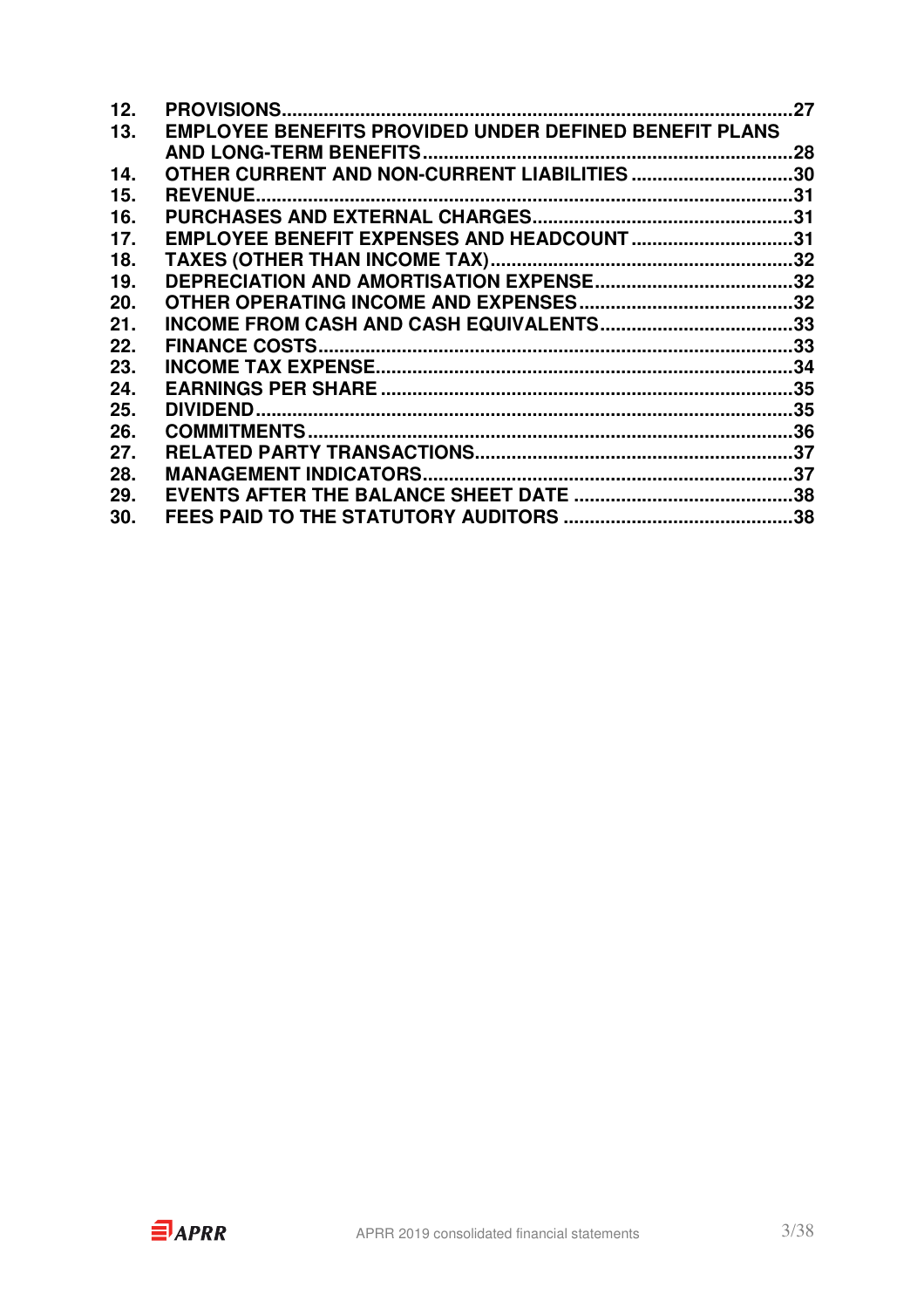| 12. |                                                               | 27  |
|-----|---------------------------------------------------------------|-----|
| 13. | <b>EMPLOYEE BENEFITS PROVIDED UNDER DEFINED BENEFIT PLANS</b> |     |
|     |                                                               | .28 |
| 14. | OTHER CURRENT AND NON-CURRENT LIABILITIES30                   |     |
| 15. | <b>REVENUE</b>                                                |     |
| 16. |                                                               |     |
| 17. | EMPLOYEE BENEFIT EXPENSES AND HEADCOUNT 31                    |     |
| 18. |                                                               |     |
| 19. |                                                               |     |
| 20. |                                                               |     |
| 21. |                                                               |     |
| 22. |                                                               | .33 |
| 23. |                                                               |     |
| 24. |                                                               |     |
| 25. |                                                               |     |
| 26. |                                                               |     |
| 27. |                                                               |     |
| 28. |                                                               |     |
| 29. |                                                               |     |
| 30. |                                                               |     |
|     |                                                               |     |

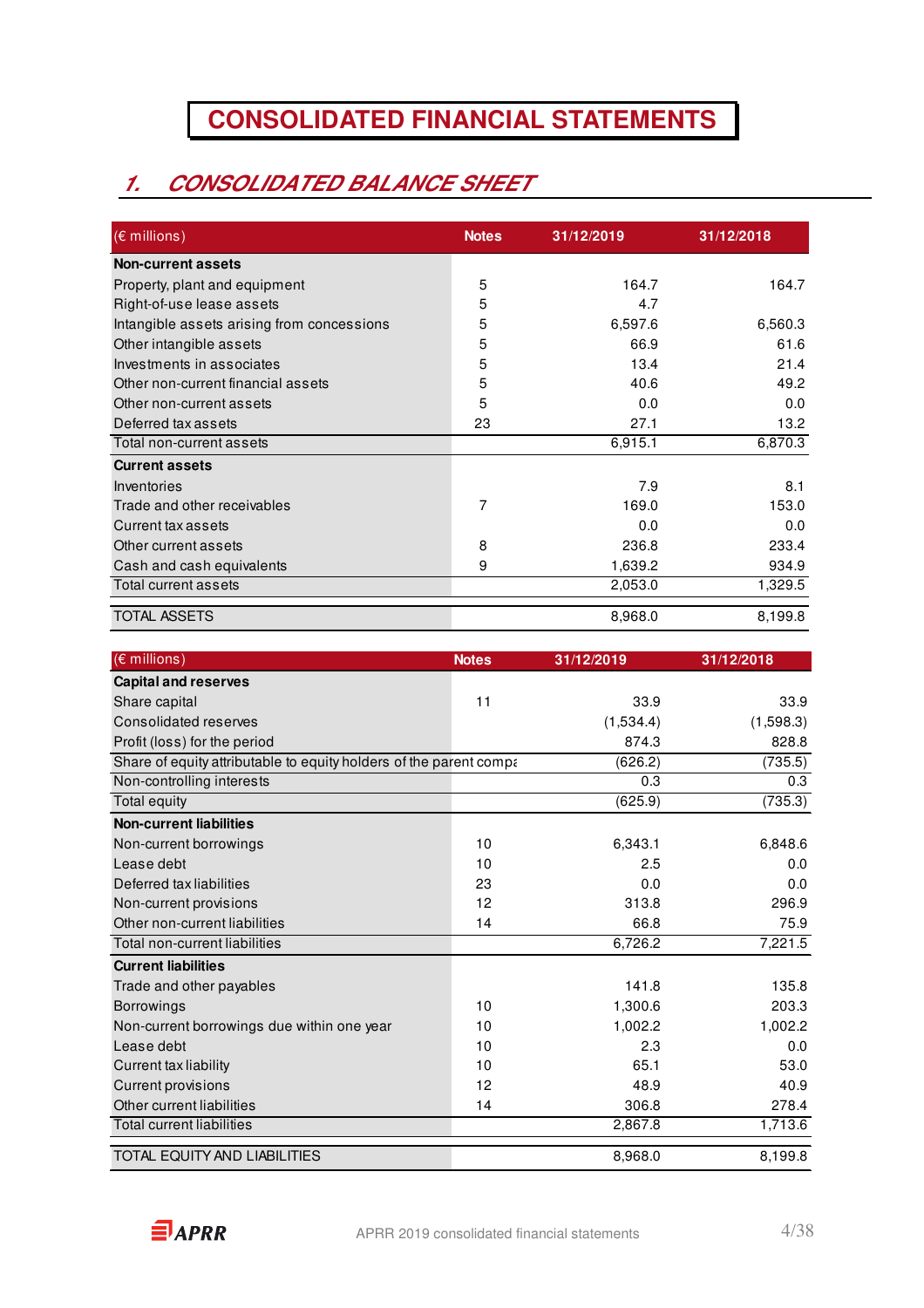# **CONSOLIDATED FINANCIAL STATEMENTS**

# **1. CONSOLIDATED BALANCE SHEET**

| $(\epsilon$ millions)                      | <b>Notes</b> | 31/12/2019 | 31/12/2018 |
|--------------------------------------------|--------------|------------|------------|
| <b>Non-current assets</b>                  |              |            |            |
| Property, plant and equipment              | 5            | 164.7      | 164.7      |
| Right-of-use lease assets                  | 5            | 4.7        |            |
| Intangible assets arising from concessions | 5            | 6,597.6    | 6,560.3    |
| Other intangible assets                    | 5            | 66.9       | 61.6       |
| Investments in associates                  | 5            | 13.4       | 21.4       |
| Other non-current financial assets         | 5            | 40.6       | 49.2       |
| Other non-current assets                   | 5            | 0.0        | 0.0        |
| Deferred tax assets                        | 23           | 27.1       | 13.2       |
| Total non-current assets                   |              | 6,915.1    | 6,870.3    |
| <b>Current assets</b>                      |              |            |            |
| Inventories                                |              | 7.9        | 8.1        |
| Trade and other receivables                | 7            | 169.0      | 153.0      |
| Current tax assets                         |              | 0.0        | 0.0        |
| Other current assets                       | 8            | 236.8      | 233.4      |
| Cash and cash equivalents                  | 9            | 1,639.2    | 934.9      |
| Total current assets                       |              | 2,053.0    | 1,329.5    |
| <b>TOTAL ASSETS</b>                        |              | 8,968.0    | 8,199.8    |

| $(E$ millions)                                                     | <b>Notes</b> | 31/12/2019 | 31/12/2018 |
|--------------------------------------------------------------------|--------------|------------|------------|
| <b>Capital and reserves</b>                                        |              |            |            |
| Share capital                                                      | 11           | 33.9       | 33.9       |
| Consolidated reserves                                              |              | (1,534.4)  | (1,598.3)  |
| Profit (loss) for the period                                       |              | 874.3      | 828.8      |
| Share of equity attributable to equity holders of the parent compa |              | (626.2)    | (735.5)    |
| Non-controlling interests                                          |              | 0.3        | 0.3        |
| Total equity                                                       |              | (625.9)    | (735.3)    |
| <b>Non-current liabilities</b>                                     |              |            |            |
| Non-current borrowings                                             | 10           | 6,343.1    | 6,848.6    |
| Lease debt                                                         | 10           | 2.5        | 0.0        |
| Deferred tax liabilities                                           | 23           | 0.0        | 0.0        |
| Non-current provisions                                             | 12           | 313.8      | 296.9      |
| Other non-current liabilities                                      | 14           | 66.8       | 75.9       |
| Total non-current liabilities                                      |              | 6,726.2    | 7,221.5    |
| <b>Current liabilities</b>                                         |              |            |            |
| Trade and other payables                                           |              | 141.8      | 135.8      |
| <b>Borrowings</b>                                                  | 10           | 1,300.6    | 203.3      |
| Non-current borrowings due within one year                         | 10           | 1,002.2    | 1,002.2    |
| Lease debt                                                         | 10           | 2.3        | 0.0        |
| Current tax liability                                              | 10           | 65.1       | 53.0       |
| <b>Current provisions</b>                                          | 12           | 48.9       | 40.9       |
| Other current liabilities                                          | 14           | 306.8      | 278.4      |
| <b>Total current liabilities</b>                                   |              | 2,867.8    | 1,713.6    |
| <b>TOTAL EQUITY AND LIABILITIES</b>                                |              | 8,968.0    | 8,199.8    |

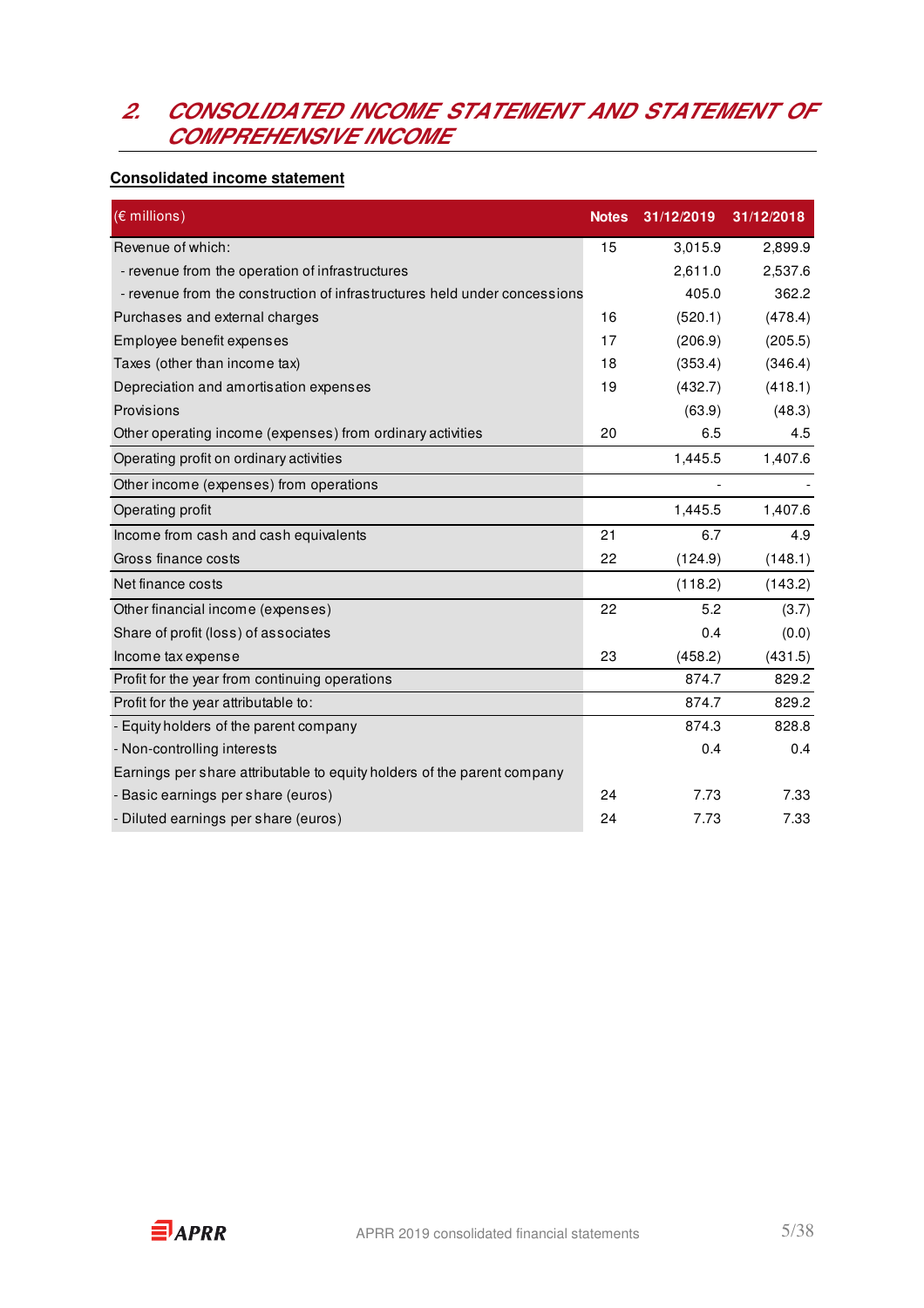### **2. CONSOLIDATED INCOME STATEMENT AND STATEMENT OF COMPREHENSIVE INCOME**

### **Consolidated income statement**

| $(E$ millions)                                                            | <b>Notes</b> | 31/12/2019 | 31/12/2018 |
|---------------------------------------------------------------------------|--------------|------------|------------|
| Revenue of which:                                                         | 15           | 3,015.9    | 2,899.9    |
| - revenue from the operation of infrastructures                           |              | 2,611.0    | 2,537.6    |
| - revenue from the construction of infrastructures held under concessions |              | 405.0      | 362.2      |
| Purchases and external charges                                            | 16           | (520.1)    | (478.4)    |
| Employee benefit expenses                                                 | 17           | (206.9)    | (205.5)    |
| Taxes (other than income tax)                                             | 18           | (353.4)    | (346.4)    |
| Depreciation and amortisation expenses                                    | 19           | (432.7)    | (418.1)    |
| Provisions                                                                |              | (63.9)     | (48.3)     |
| Other operating income (expenses) from ordinary activities                | 20           | 6.5        | 4.5        |
| Operating profit on ordinary activities                                   |              | 1,445.5    | 1,407.6    |
| Other income (expenses) from operations                                   |              |            |            |
| Operating profit                                                          |              | 1,445.5    | 1,407.6    |
| Income from cash and cash equivalents                                     | 21           | 6.7        | 4.9        |
| Gross finance costs                                                       | 22           | (124.9)    | (148.1)    |
| Net finance costs                                                         |              | (118.2)    | (143.2)    |
| Other financial income (expenses)                                         | 22           | 5.2        | (3.7)      |
| Share of profit (loss) of associates                                      |              | 0.4        | (0.0)      |
| Income tax expense                                                        | 23           | (458.2)    | (431.5)    |
| Profit for the year from continuing operations                            |              | 874.7      | 829.2      |
| Profit for the year attributable to:                                      |              | 874.7      | 829.2      |
| - Equity holders of the parent company                                    |              | 874.3      | 828.8      |
| - Non-controlling interests                                               |              | 0.4        | 0.4        |
| Earnings per share attributable to equity holders of the parent company   |              |            |            |
| - Basic earnings per share (euros)                                        | 24           | 7.73       | 7.33       |
| - Diluted earnings per share (euros)                                      | 24           | 7.73       | 7.33       |

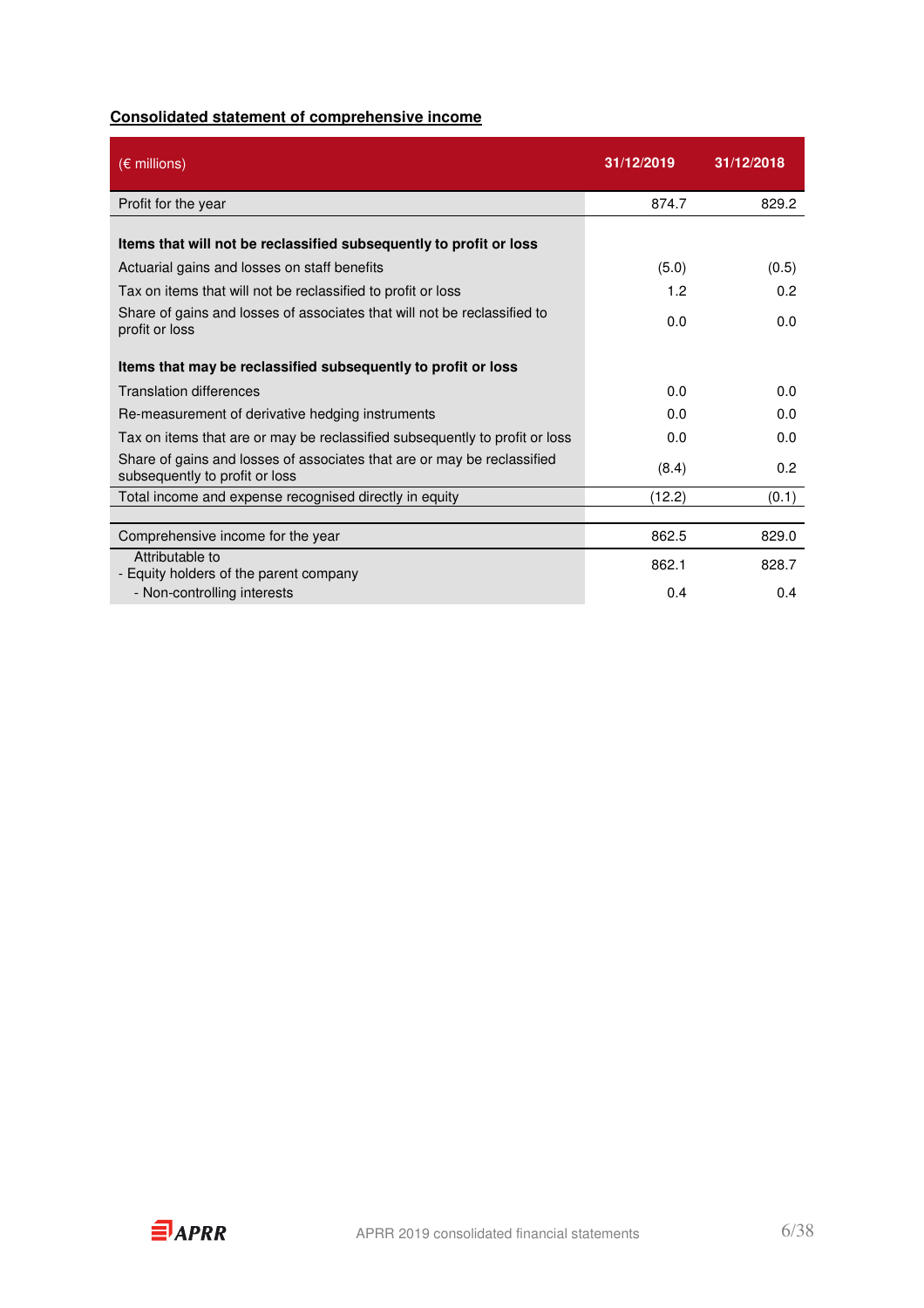### **Consolidated statement of comprehensive income**

| $(\epsilon$ millions)                                                                                     | 31/12/2019 | 31/12/2018 |
|-----------------------------------------------------------------------------------------------------------|------------|------------|
| Profit for the year                                                                                       | 874.7      | 829.2      |
| Items that will not be reclassified subsequently to profit or loss                                        |            |            |
| Actuarial gains and losses on staff benefits                                                              | (5.0)      | (0.5)      |
| Tax on items that will not be reclassified to profit or loss                                              | 1.2        | 0.2        |
| Share of gains and losses of associates that will not be reclassified to<br>profit or loss                | 0.0        | 0.0        |
| Items that may be reclassified subsequently to profit or loss                                             |            |            |
| <b>Translation differences</b>                                                                            | 0.0        | 0.0        |
| Re-measurement of derivative hedging instruments                                                          | 0.0        | 0.0        |
| Tax on items that are or may be reclassified subsequently to profit or loss                               | 0.0        | 0.0        |
| Share of gains and losses of associates that are or may be reclassified<br>subsequently to profit or loss | (8.4)      | 0.2        |
| Total income and expense recognised directly in equity                                                    | (12.2)     | (0.1)      |
|                                                                                                           |            |            |
| Comprehensive income for the year                                                                         | 862.5      | 829.0      |
| Attributable to<br>- Equity holders of the parent company                                                 | 862.1      | 828.7      |
| - Non-controlling interests                                                                               | 0.4        | 0.4        |

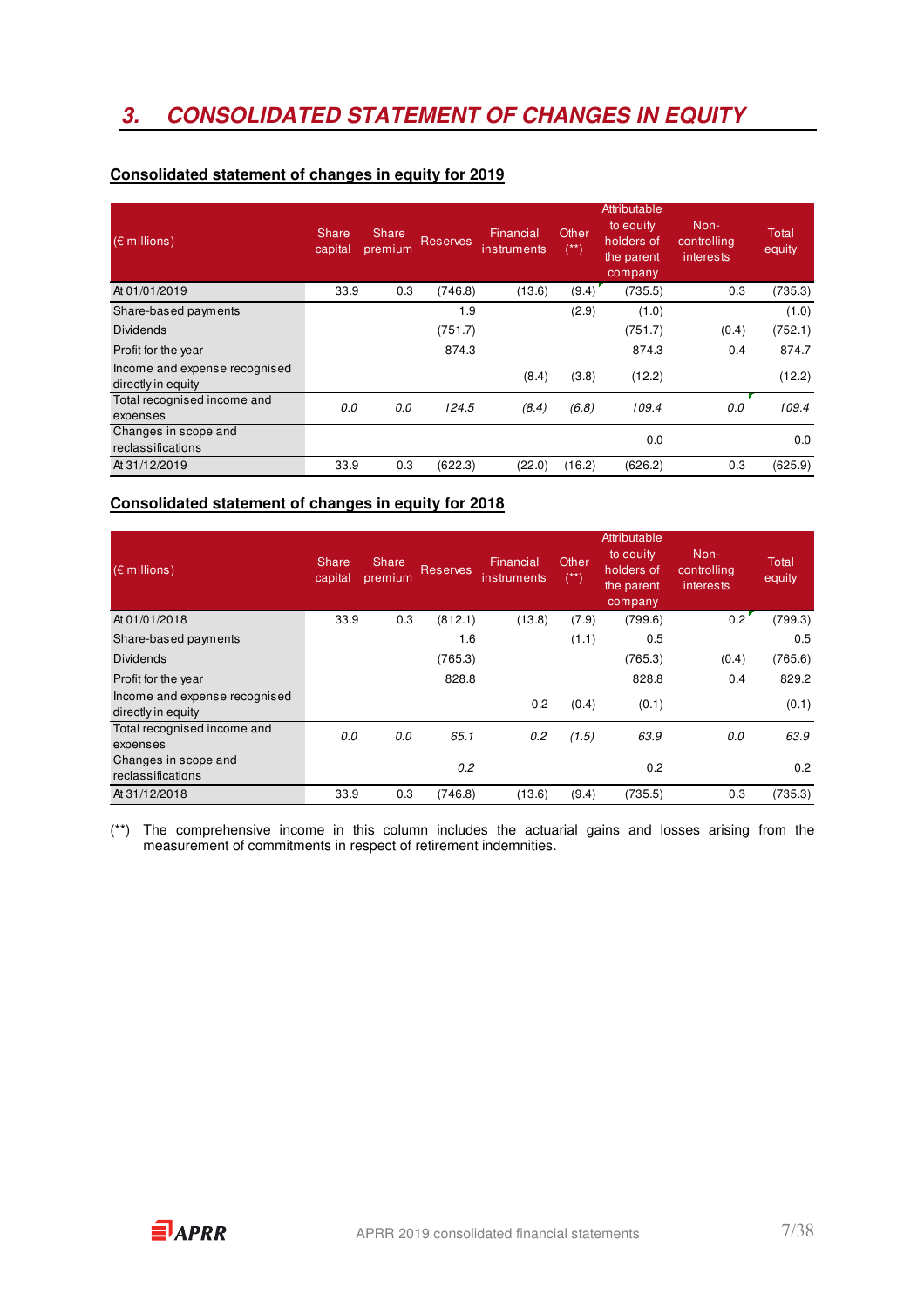# **3. CONSOLIDATED STATEMENT OF CHANGES IN EQUITY**

| $(\epsilon$ millions)                               | <b>Share</b><br>capital | Share<br>premium | <b>Reserves</b> | Financial<br>instruments | Other<br>$(**)$ | Attributable<br>to equity<br>holders of<br>the parent<br>company | Non-<br>controlling<br>interests | Total<br>equity |
|-----------------------------------------------------|-------------------------|------------------|-----------------|--------------------------|-----------------|------------------------------------------------------------------|----------------------------------|-----------------|
| At 01/01/2019                                       | 33.9                    | 0.3              | (746.8)         | (13.6)                   | (9.4)           | (735.5)                                                          | 0.3                              | (735.3)         |
| Share-based payments                                |                         |                  | 1.9             |                          | (2.9)           | (1.0)                                                            |                                  | (1.0)           |
| <b>Dividends</b>                                    |                         |                  | (751.7)         |                          |                 | (751.7)                                                          | (0.4)                            | (752.1)         |
| Profit for the year                                 |                         |                  | 874.3           |                          |                 | 874.3                                                            | 0.4                              | 874.7           |
| Income and expense recognised<br>directly in equity |                         |                  |                 | (8.4)                    | (3.8)           | (12.2)                                                           |                                  | (12.2)          |
| Total recognised income and                         | 0.0                     | 0.0              | 124.5           | (8.4)                    | (6.8)           | 109.4                                                            | 0.0                              | 109.4           |
| expenses                                            |                         |                  |                 |                          |                 |                                                                  |                                  |                 |
| Changes in scope and                                |                         |                  |                 |                          |                 | 0.0                                                              |                                  | 0.0             |
| reclassifications                                   |                         |                  |                 |                          |                 |                                                                  |                                  |                 |
| At 31/12/2019                                       | 33.9                    | 0.3              | (622.3)         | (22.0)                   | (16.2)          | (626.2)                                                          | 0.3                              | (625.9)         |

### **Consolidated statement of changes in equity for 2019**

### **Consolidated statement of changes in equity for 2018**

| $(\epsilon$ millions)                               | <b>Share</b><br>capital | Share<br>premium | <b>Reserves</b> | Financial<br>instruments | Other<br>$(^{**})$ | Attributable<br>to equity<br>holders of<br>the parent<br>company | Non-<br>controlling<br>interests | <b>Total</b><br>equity |
|-----------------------------------------------------|-------------------------|------------------|-----------------|--------------------------|--------------------|------------------------------------------------------------------|----------------------------------|------------------------|
| At 01/01/2018                                       | 33.9                    | 0.3              | (812.1)         | (13.8)                   | (7.9)              | (799.6)                                                          | 0.2                              | (799.3)                |
| Share-based payments                                |                         |                  | 1.6             |                          | (1.1)              | 0.5                                                              |                                  | 0.5                    |
| <b>Dividends</b>                                    |                         |                  | (765.3)         |                          |                    | (765.3)                                                          | (0.4)                            | (765.6)                |
| Profit for the year                                 |                         |                  | 828.8           |                          |                    | 828.8                                                            | 0.4                              | 829.2                  |
| Income and expense recognised<br>directly in equity |                         |                  |                 | 0.2                      | (0.4)              | (0.1)                                                            |                                  | (0.1)                  |
| Total recognised income and<br>expenses             | 0.0                     | 0.0              | 65.1            | 0.2                      | (1.5)              | 63.9                                                             | 0.0                              | 63.9                   |
| Changes in scope and<br>reclassifications           |                         |                  | 0.2             |                          |                    | 0.2                                                              |                                  | 0.2                    |
| At 31/12/2018                                       | 33.9                    | 0.3              | (746.8)         | (13.6)                   | (9.4)              | (735.5)                                                          | 0.3                              | (735.3)                |

(\*\*) The comprehensive income in this column includes the actuarial gains and losses arising from the measurement of commitments in respect of retirement indemnities.

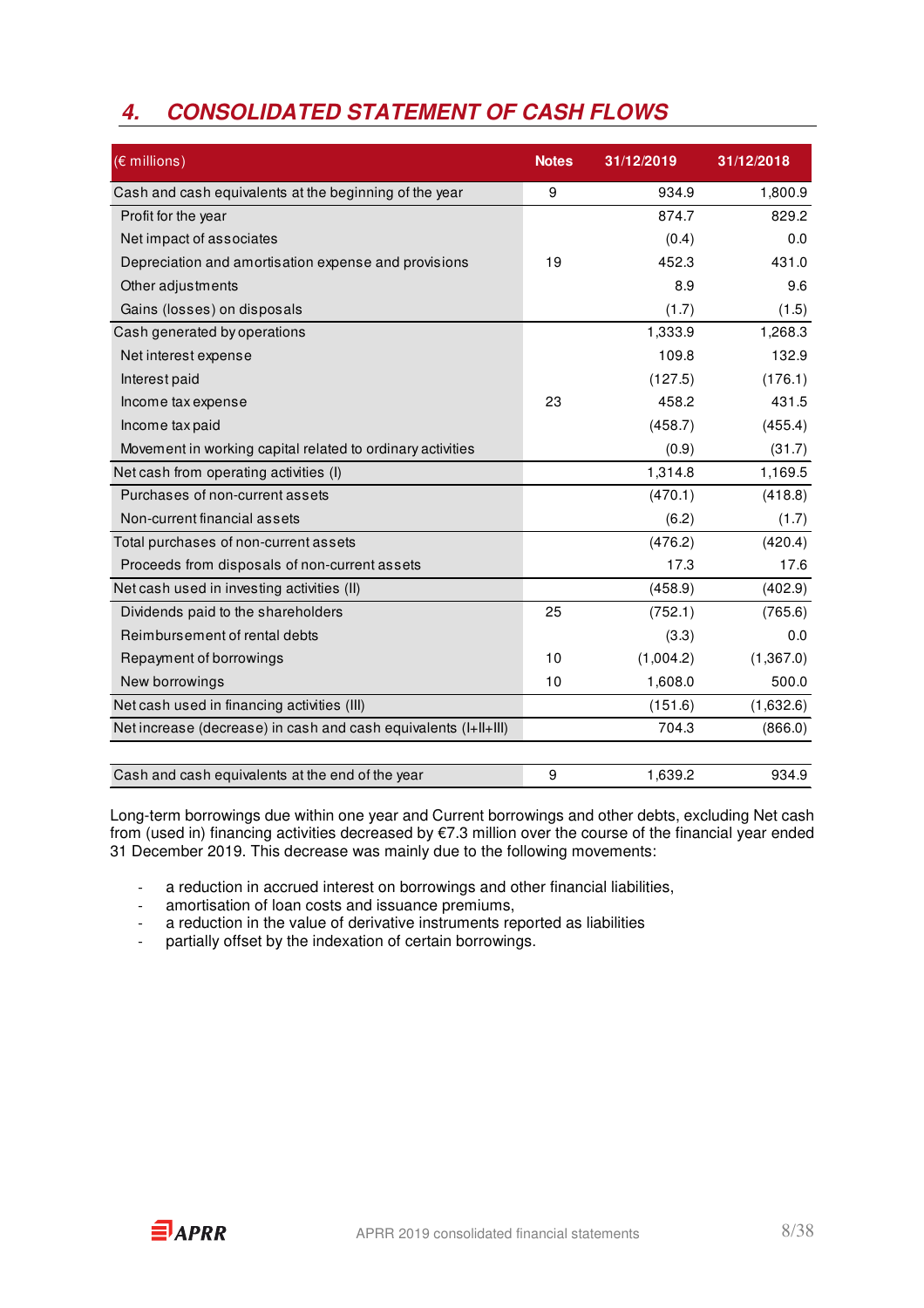### **4. CONSOLIDATED STATEMENT OF CASH FLOWS**

| (€ millions)                                                    | <b>Notes</b> | 31/12/2019 | 31/12/2018 |
|-----------------------------------------------------------------|--------------|------------|------------|
| Cash and cash equivalents at the beginning of the year          | 9            | 934.9      | 1,800.9    |
| Profit for the year                                             |              | 874.7      | 829.2      |
| Net impact of associates                                        |              | (0.4)      | 0.0        |
| Depreciation and amortisation expense and provisions            | 19           | 452.3      | 431.0      |
| Other adjustments                                               |              | 8.9        | 9.6        |
| Gains (losses) on disposals                                     |              | (1.7)      | (1.5)      |
| Cash generated by operations                                    |              | 1,333.9    | 1,268.3    |
| Net interest expense                                            |              | 109.8      | 132.9      |
| Interest paid                                                   |              | (127.5)    | (176.1)    |
| Income tax expense                                              | 23           | 458.2      | 431.5      |
| Income tax paid                                                 |              | (458.7)    | (455.4)    |
| Movement in working capital related to ordinary activities      |              | (0.9)      | (31.7)     |
| Net cash from operating activities (I)                          |              | 1,314.8    | 1,169.5    |
| Purchases of non-current assets                                 |              | (470.1)    | (418.8)    |
| Non-current financial assets                                    |              | (6.2)      | (1.7)      |
| Total purchases of non-current assets                           |              | (476.2)    | (420.4)    |
| Proceeds from disposals of non-current assets                   |              | 17.3       | 17.6       |
| Net cash used in investing activities (II)                      |              | (458.9)    | (402.9)    |
| Dividends paid to the shareholders                              | 25           | (752.1)    | (765.6)    |
| Reimbursement of rental debts                                   |              | (3.3)      | 0.0        |
| Repayment of borrowings                                         | 10           | (1,004.2)  | (1,367.0)  |
| New borrowings                                                  | 10           | 1,608.0    | 500.0      |
| Net cash used in financing activities (III)                     |              | (151.6)    | (1,632.6)  |
| Net increase (decrease) in cash and cash equivalents (I+II+III) |              | 704.3      | (866.0)    |
|                                                                 |              |            |            |
| Cash and cash equivalents at the end of the year                | 9            | 1,639.2    | 934.9      |

Long-term borrowings due within one year and Current borrowings and other debts, excluding Net cash from (used in) financing activities decreased by €7.3 million over the course of the financial year ended 31 December 2019. This decrease was mainly due to the following movements:

- a reduction in accrued interest on borrowings and other financial liabilities,
- amortisation of loan costs and issuance premiums,
- a reduction in the value of derivative instruments reported as liabilities
- partially offset by the indexation of certain borrowings.

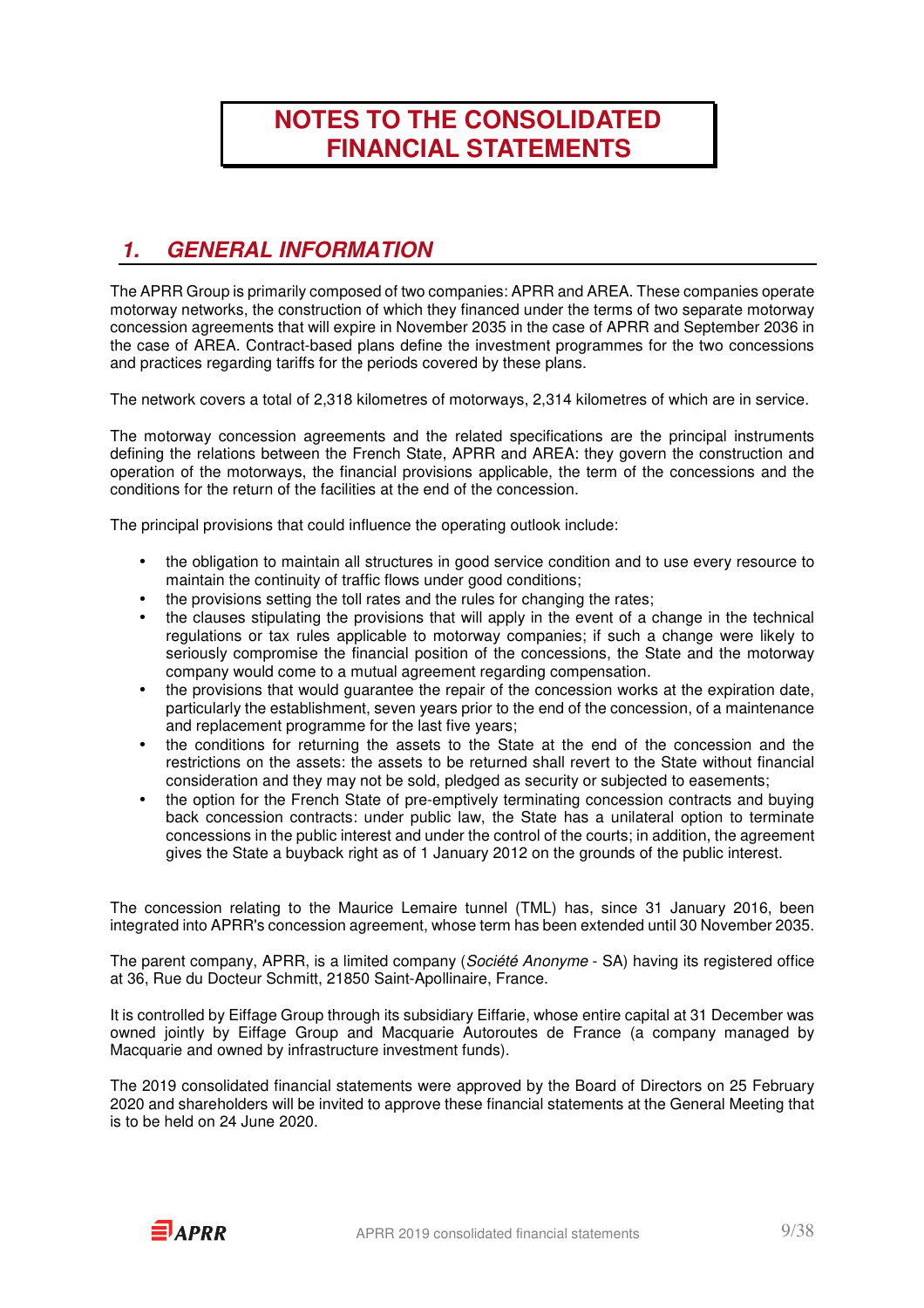# **NOTES TO THE CONSOLIDATED FINANCIAL STATEMENTS**

### **1. GENERAL INFORMATION**

The APRR Group is primarily composed of two companies: APRR and AREA. These companies operate motorway networks, the construction of which they financed under the terms of two separate motorway concession agreements that will expire in November 2035 in the case of APRR and September 2036 in the case of AREA. Contract-based plans define the investment programmes for the two concessions and practices regarding tariffs for the periods covered by these plans.

The network covers a total of 2,318 kilometres of motorways, 2,314 kilometres of which are in service.

The motorway concession agreements and the related specifications are the principal instruments defining the relations between the French State, APRR and AREA: they govern the construction and operation of the motorways, the financial provisions applicable, the term of the concessions and the conditions for the return of the facilities at the end of the concession.

The principal provisions that could influence the operating outlook include:

- the obligation to maintain all structures in good service condition and to use every resource to maintain the continuity of traffic flows under good conditions;
- the provisions setting the toll rates and the rules for changing the rates;
- the clauses stipulating the provisions that will apply in the event of a change in the technical regulations or tax rules applicable to motorway companies; if such a change were likely to seriously compromise the financial position of the concessions, the State and the motorway company would come to a mutual agreement regarding compensation.
- the provisions that would guarantee the repair of the concession works at the expiration date, particularly the establishment, seven years prior to the end of the concession, of a maintenance and replacement programme for the last five years;
- the conditions for returning the assets to the State at the end of the concession and the restrictions on the assets: the assets to be returned shall revert to the State without financial consideration and they may not be sold, pledged as security or subjected to easements;
- the option for the French State of pre-emptively terminating concession contracts and buying back concession contracts: under public law, the State has a unilateral option to terminate concessions in the public interest and under the control of the courts; in addition, the agreement gives the State a buyback right as of 1 January 2012 on the grounds of the public interest.

The concession relating to the Maurice Lemaire tunnel (TML) has, since 31 January 2016, been integrated into APRR's concession agreement, whose term has been extended until 30 November 2035.

The parent company, APRR, is a limited company (Société Anonyme - SA) having its registered office at 36, Rue du Docteur Schmitt, 21850 Saint-Apollinaire, France.

It is controlled by Eiffage Group through its subsidiary Eiffarie, whose entire capital at 31 December was owned jointly by Eiffage Group and Macquarie Autoroutes de France (a company managed by Macquarie and owned by infrastructure investment funds).

The 2019 consolidated financial statements were approved by the Board of Directors on 25 February 2020 and shareholders will be invited to approve these financial statements at the General Meeting that is to be held on 24 June 2020.

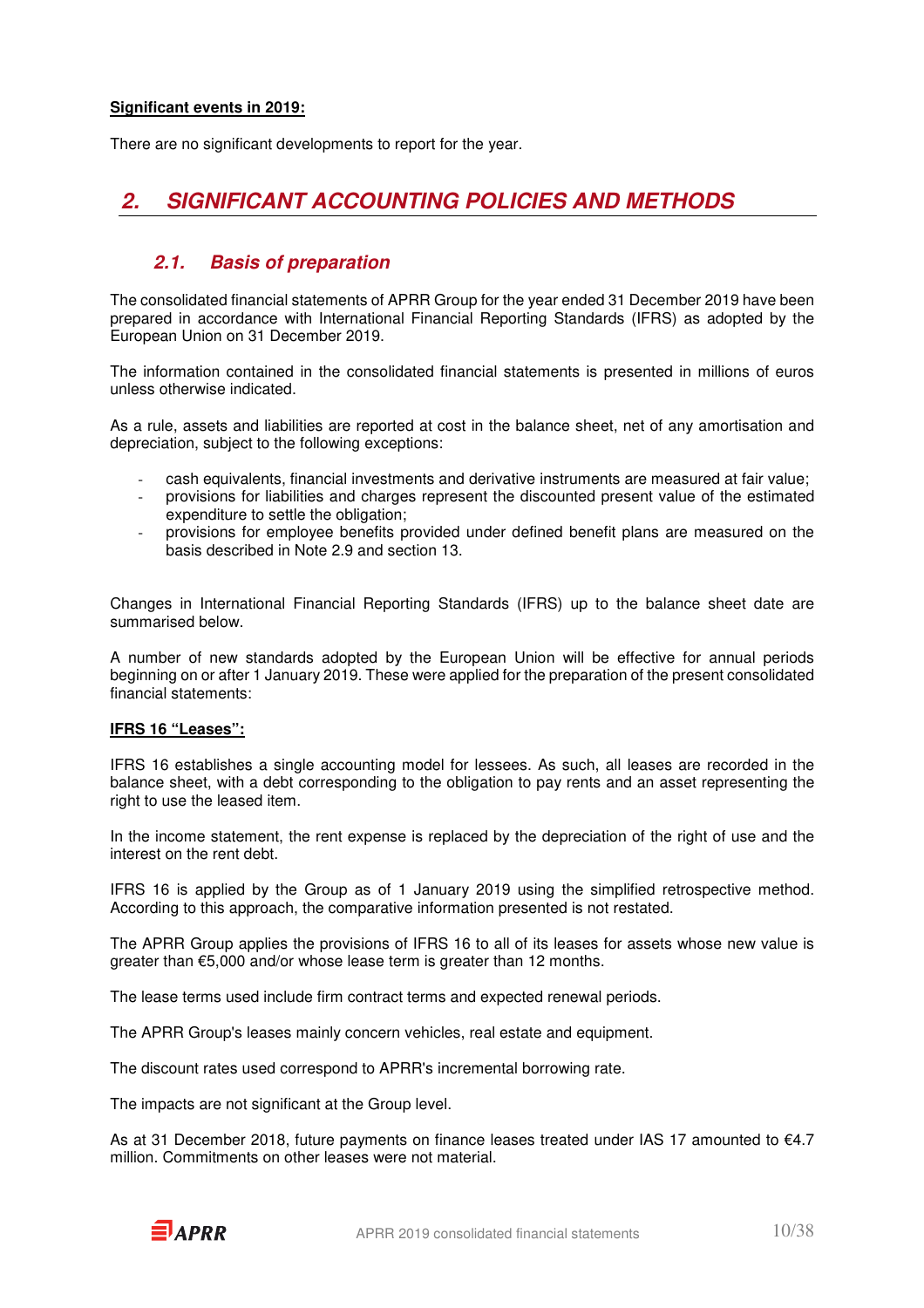#### **Significant events in 2019:**

There are no significant developments to report for the year.

### **2. SIGNIFICANT ACCOUNTING POLICIES AND METHODS**

### **2.1. Basis of preparation**

The consolidated financial statements of APRR Group for the year ended 31 December 2019 have been prepared in accordance with International Financial Reporting Standards (IFRS) as adopted by the European Union on 31 December 2019.

The information contained in the consolidated financial statements is presented in millions of euros unless otherwise indicated.

As a rule, assets and liabilities are reported at cost in the balance sheet, net of any amortisation and depreciation, subject to the following exceptions:

- cash equivalents, financial investments and derivative instruments are measured at fair value;
- provisions for liabilities and charges represent the discounted present value of the estimated expenditure to settle the obligation;
- provisions for employee benefits provided under defined benefit plans are measured on the basis described in Note 2.9 and section 13.

Changes in International Financial Reporting Standards (IFRS) up to the balance sheet date are summarised below.

A number of new standards adopted by the European Union will be effective for annual periods beginning on or after 1 January 2019. These were applied for the preparation of the present consolidated financial statements:

### **IFRS 16 "Leases":**

IFRS 16 establishes a single accounting model for lessees. As such, all leases are recorded in the balance sheet, with a debt corresponding to the obligation to pay rents and an asset representing the right to use the leased item.

In the income statement, the rent expense is replaced by the depreciation of the right of use and the interest on the rent debt.

IFRS 16 is applied by the Group as of 1 January 2019 using the simplified retrospective method. According to this approach, the comparative information presented is not restated.

The APRR Group applies the provisions of IFRS 16 to all of its leases for assets whose new value is greater than €5,000 and/or whose lease term is greater than 12 months.

The lease terms used include firm contract terms and expected renewal periods.

The APRR Group's leases mainly concern vehicles, real estate and equipment.

The discount rates used correspond to APRR's incremental borrowing rate.

The impacts are not significant at the Group level.

As at 31 December 2018, future payments on finance leases treated under IAS 17 amounted to €4.7 million. Commitments on other leases were not material.

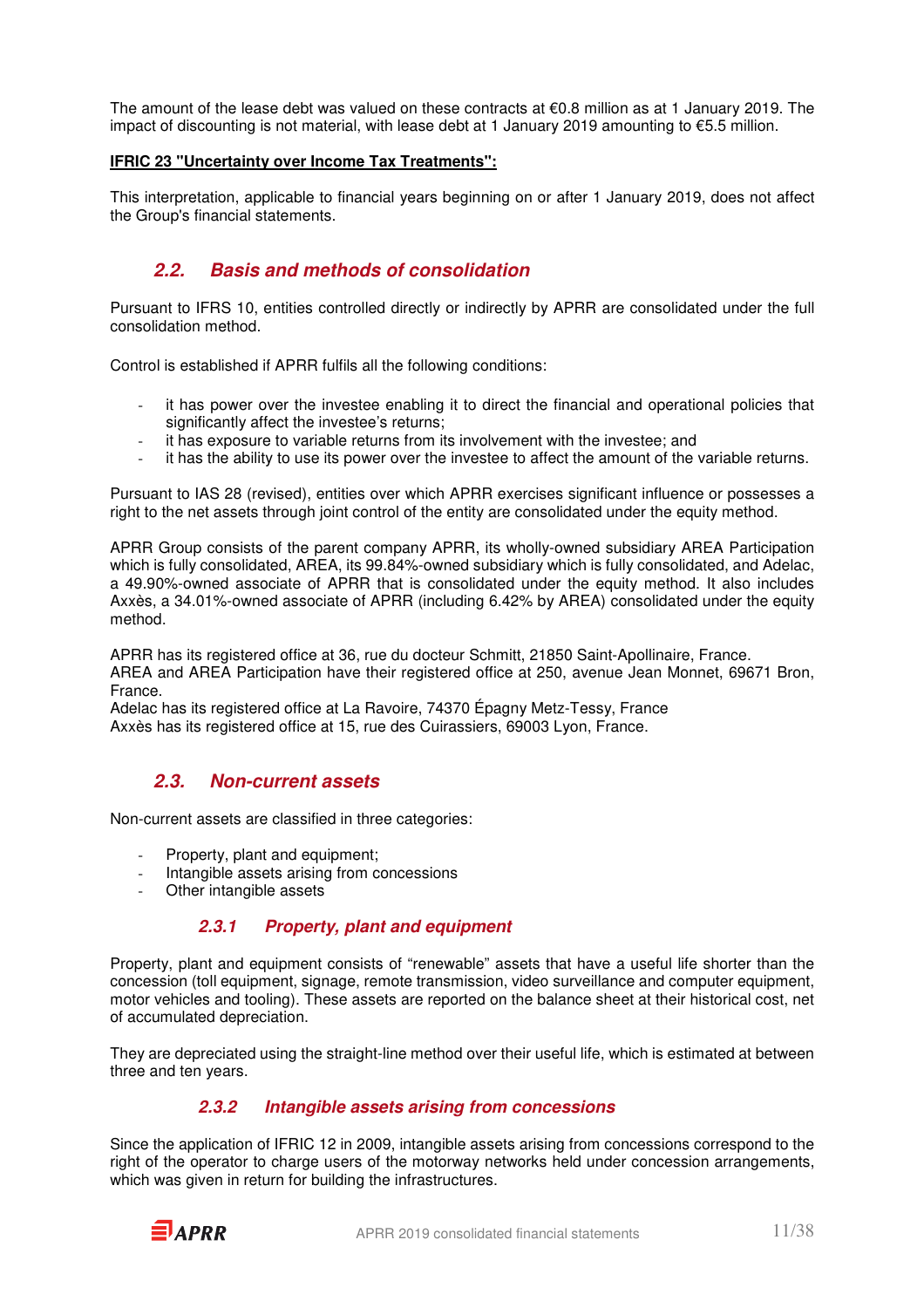The amount of the lease debt was valued on these contracts at  $\epsilon$ 0.8 million as at 1 January 2019. The impact of discounting is not material, with lease debt at 1 January 2019 amounting to €5.5 million.

### **IFRIC 23 "Uncertainty over Income Tax Treatments":**

This interpretation, applicable to financial years beginning on or after 1 January 2019, does not affect the Group's financial statements.

### **2.2. Basis and methods of consolidation**

Pursuant to IFRS 10, entities controlled directly or indirectly by APRR are consolidated under the full consolidation method.

Control is established if APRR fulfils all the following conditions:

- it has power over the investee enabling it to direct the financial and operational policies that significantly affect the investee's returns;
- it has exposure to variable returns from its involvement with the investee; and
- it has the ability to use its power over the investee to affect the amount of the variable returns.

Pursuant to IAS 28 (revised), entities over which APRR exercises significant influence or possesses a right to the net assets through joint control of the entity are consolidated under the equity method.

APRR Group consists of the parent company APRR, its wholly-owned subsidiary AREA Participation which is fully consolidated, AREA, its 99.84%-owned subsidiary which is fully consolidated, and Adelac, a 49.90%-owned associate of APRR that is consolidated under the equity method. It also includes Axxès, a 34.01%-owned associate of APRR (including 6.42% by AREA) consolidated under the equity method.

APRR has its registered office at 36, rue du docteur Schmitt, 21850 Saint-Apollinaire, France. AREA and AREA Participation have their registered office at 250, avenue Jean Monnet, 69671 Bron, France.

Adelac has its registered office at La Ravoire, 74370 Épagny Metz-Tessy, France Axxès has its registered office at 15, rue des Cuirassiers, 69003 Lyon, France.

### **2.3. Non-current assets**

Non-current assets are classified in three categories:

- Property, plant and equipment;
- Intangible assets arising from concessions
- Other intangible assets

### **2.3.1 Property, plant and equipment**

Property, plant and equipment consists of "renewable" assets that have a useful life shorter than the concession (toll equipment, signage, remote transmission, video surveillance and computer equipment, motor vehicles and tooling). These assets are reported on the balance sheet at their historical cost, net of accumulated depreciation.

They are depreciated using the straight-line method over their useful life, which is estimated at between three and ten years.

### **2.3.2 Intangible assets arising from concessions**

Since the application of IFRIC 12 in 2009, intangible assets arising from concessions correspond to the right of the operator to charge users of the motorway networks held under concession arrangements, which was given in return for building the infrastructures.

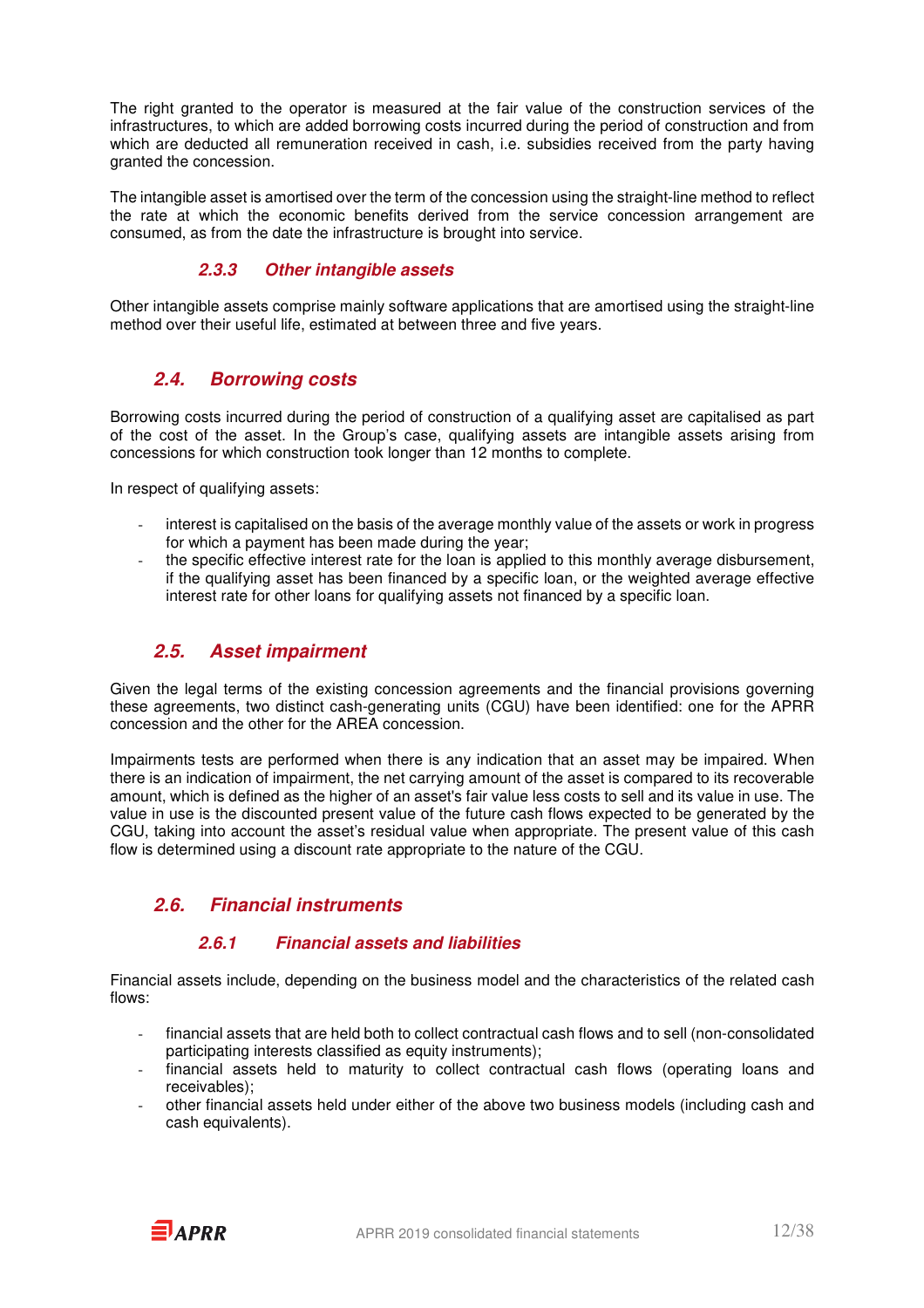The right granted to the operator is measured at the fair value of the construction services of the infrastructures, to which are added borrowing costs incurred during the period of construction and from which are deducted all remuneration received in cash, i.e. subsidies received from the party having granted the concession.

The intangible asset is amortised over the term of the concession using the straight-line method to reflect the rate at which the economic benefits derived from the service concession arrangement are consumed, as from the date the infrastructure is brought into service.

### **2.3.3 Other intangible assets**

Other intangible assets comprise mainly software applications that are amortised using the straight-line method over their useful life, estimated at between three and five years.

### **2.4. Borrowing costs**

Borrowing costs incurred during the period of construction of a qualifying asset are capitalised as part of the cost of the asset. In the Group's case, qualifying assets are intangible assets arising from concessions for which construction took longer than 12 months to complete.

In respect of qualifying assets:

- interest is capitalised on the basis of the average monthly value of the assets or work in progress for which a payment has been made during the year;
- the specific effective interest rate for the loan is applied to this monthly average disbursement, if the qualifying asset has been financed by a specific loan, or the weighted average effective interest rate for other loans for qualifying assets not financed by a specific loan.

### **2.5. Asset impairment**

Given the legal terms of the existing concession agreements and the financial provisions governing these agreements, two distinct cash-generating units (CGU) have been identified: one for the APRR concession and the other for the AREA concession.

Impairments tests are performed when there is any indication that an asset may be impaired. When there is an indication of impairment, the net carrying amount of the asset is compared to its recoverable amount, which is defined as the higher of an asset's fair value less costs to sell and its value in use. The value in use is the discounted present value of the future cash flows expected to be generated by the CGU, taking into account the asset's residual value when appropriate. The present value of this cash flow is determined using a discount rate appropriate to the nature of the CGU.

### **2.6. Financial instruments**

### **2.6.1 Financial assets and liabilities**

Financial assets include, depending on the business model and the characteristics of the related cash flows:

- financial assets that are held both to collect contractual cash flows and to sell (non-consolidated participating interests classified as equity instruments);
- financial assets held to maturity to collect contractual cash flows (operating loans and receivables);
- other financial assets held under either of the above two business models (including cash and cash equivalents).

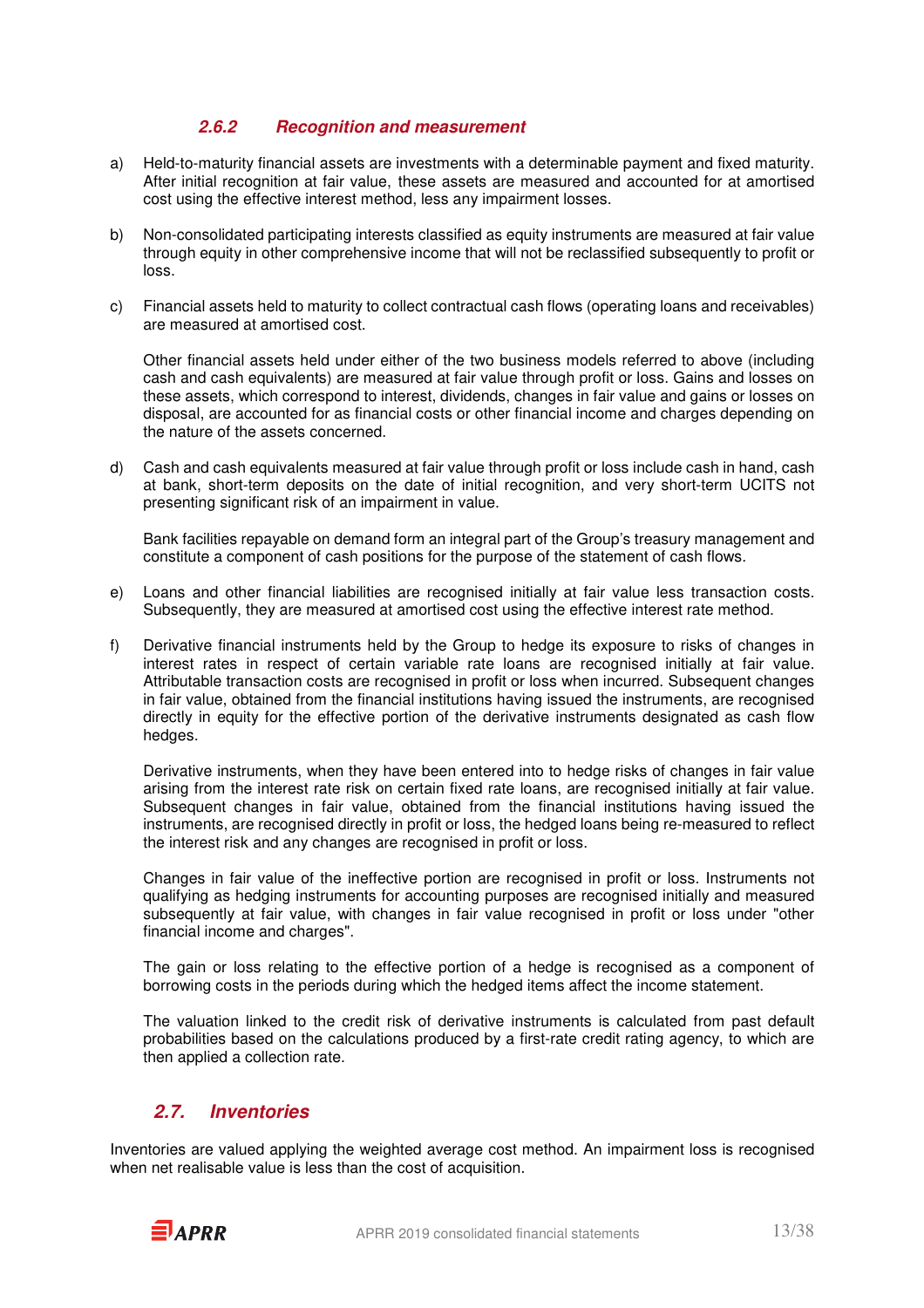### **2.6.2 Recognition and measurement**

- a) Held-to-maturity financial assets are investments with a determinable payment and fixed maturity. After initial recognition at fair value, these assets are measured and accounted for at amortised cost using the effective interest method, less any impairment losses.
- b) Non-consolidated participating interests classified as equity instruments are measured at fair value through equity in other comprehensive income that will not be reclassified subsequently to profit or loss.
- c) Financial assets held to maturity to collect contractual cash flows (operating loans and receivables) are measured at amortised cost.

Other financial assets held under either of the two business models referred to above (including cash and cash equivalents) are measured at fair value through profit or loss. Gains and losses on these assets, which correspond to interest, dividends, changes in fair value and gains or losses on disposal, are accounted for as financial costs or other financial income and charges depending on the nature of the assets concerned.

d) Cash and cash equivalents measured at fair value through profit or loss include cash in hand, cash at bank, short-term deposits on the date of initial recognition, and very short-term UCITS not presenting significant risk of an impairment in value.

Bank facilities repayable on demand form an integral part of the Group's treasury management and constitute a component of cash positions for the purpose of the statement of cash flows.

- e) Loans and other financial liabilities are recognised initially at fair value less transaction costs. Subsequently, they are measured at amortised cost using the effective interest rate method.
- f) Derivative financial instruments held by the Group to hedge its exposure to risks of changes in interest rates in respect of certain variable rate loans are recognised initially at fair value. Attributable transaction costs are recognised in profit or loss when incurred. Subsequent changes in fair value, obtained from the financial institutions having issued the instruments, are recognised directly in equity for the effective portion of the derivative instruments designated as cash flow hedges.

Derivative instruments, when they have been entered into to hedge risks of changes in fair value arising from the interest rate risk on certain fixed rate loans, are recognised initially at fair value. Subsequent changes in fair value, obtained from the financial institutions having issued the instruments, are recognised directly in profit or loss, the hedged loans being re-measured to reflect the interest risk and any changes are recognised in profit or loss.

 Changes in fair value of the ineffective portion are recognised in profit or loss. Instruments not qualifying as hedging instruments for accounting purposes are recognised initially and measured subsequently at fair value, with changes in fair value recognised in profit or loss under "other financial income and charges".

 The gain or loss relating to the effective portion of a hedge is recognised as a component of borrowing costs in the periods during which the hedged items affect the income statement.

The valuation linked to the credit risk of derivative instruments is calculated from past default probabilities based on the calculations produced by a first-rate credit rating agency, to which are then applied a collection rate.

### **2.7. Inventories**

Inventories are valued applying the weighted average cost method. An impairment loss is recognised when net realisable value is less than the cost of acquisition.

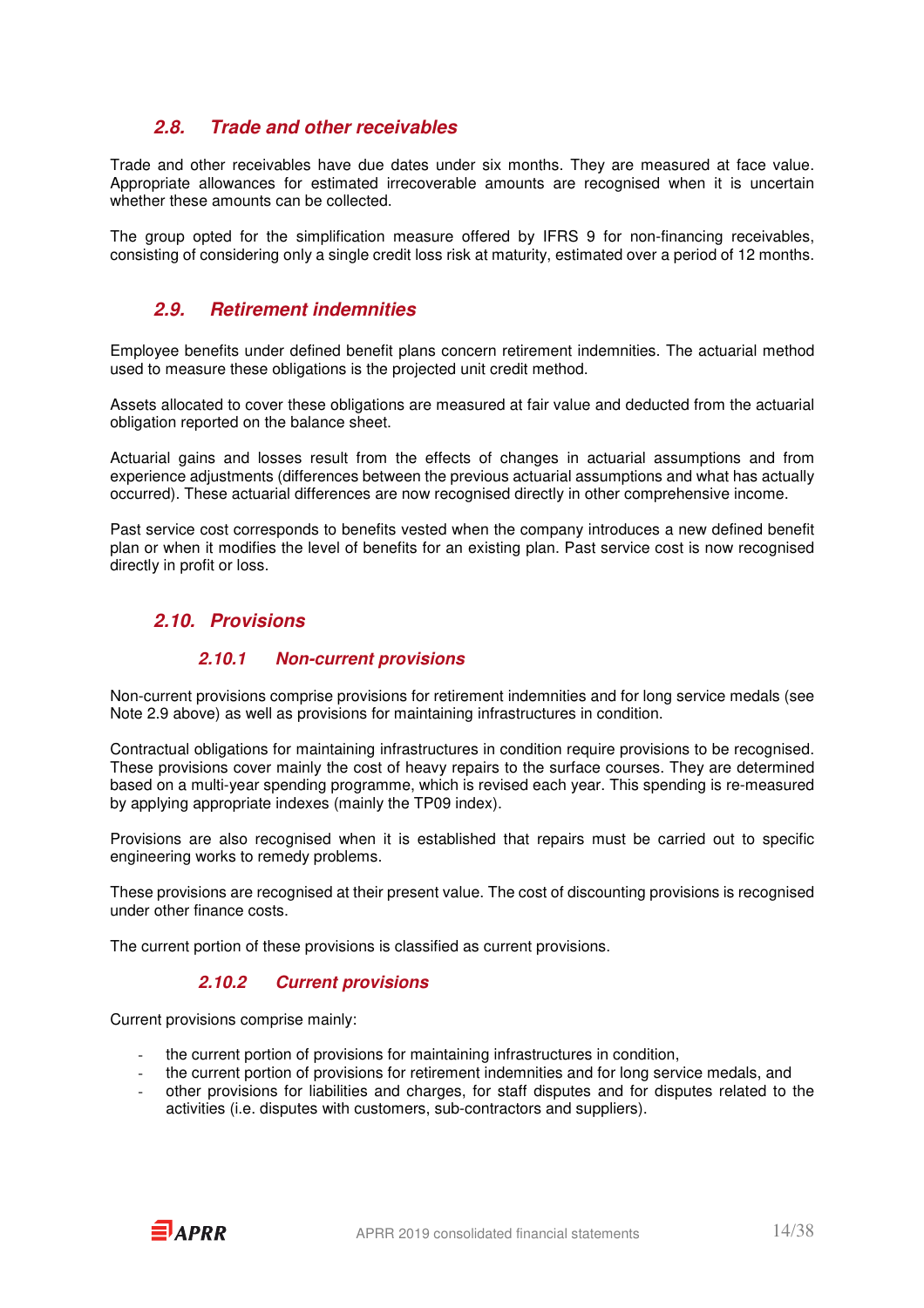### **2.8. Trade and other receivables**

Trade and other receivables have due dates under six months. They are measured at face value. Appropriate allowances for estimated irrecoverable amounts are recognised when it is uncertain whether these amounts can be collected.

The group opted for the simplification measure offered by IFRS 9 for non-financing receivables, consisting of considering only a single credit loss risk at maturity, estimated over a period of 12 months.

### **2.9. Retirement indemnities**

Employee benefits under defined benefit plans concern retirement indemnities. The actuarial method used to measure these obligations is the projected unit credit method.

Assets allocated to cover these obligations are measured at fair value and deducted from the actuarial obligation reported on the balance sheet.

Actuarial gains and losses result from the effects of changes in actuarial assumptions and from experience adjustments (differences between the previous actuarial assumptions and what has actually occurred). These actuarial differences are now recognised directly in other comprehensive income.

Past service cost corresponds to benefits vested when the company introduces a new defined benefit plan or when it modifies the level of benefits for an existing plan. Past service cost is now recognised directly in profit or loss.

### **2.10. Provisions**

### **2.10.1 Non-current provisions**

Non-current provisions comprise provisions for retirement indemnities and for long service medals (see Note 2.9 above) as well as provisions for maintaining infrastructures in condition.

Contractual obligations for maintaining infrastructures in condition require provisions to be recognised. These provisions cover mainly the cost of heavy repairs to the surface courses. They are determined based on a multi-year spending programme, which is revised each year. This spending is re-measured by applying appropriate indexes (mainly the TP09 index).

Provisions are also recognised when it is established that repairs must be carried out to specific engineering works to remedy problems.

These provisions are recognised at their present value. The cost of discounting provisions is recognised under other finance costs.

The current portion of these provisions is classified as current provisions.

### **2.10.2 Current provisions**

Current provisions comprise mainly:

- the current portion of provisions for maintaining infrastructures in condition,
- the current portion of provisions for retirement indemnities and for long service medals, and
- other provisions for liabilities and charges, for staff disputes and for disputes related to the activities (i.e. disputes with customers, sub-contractors and suppliers).

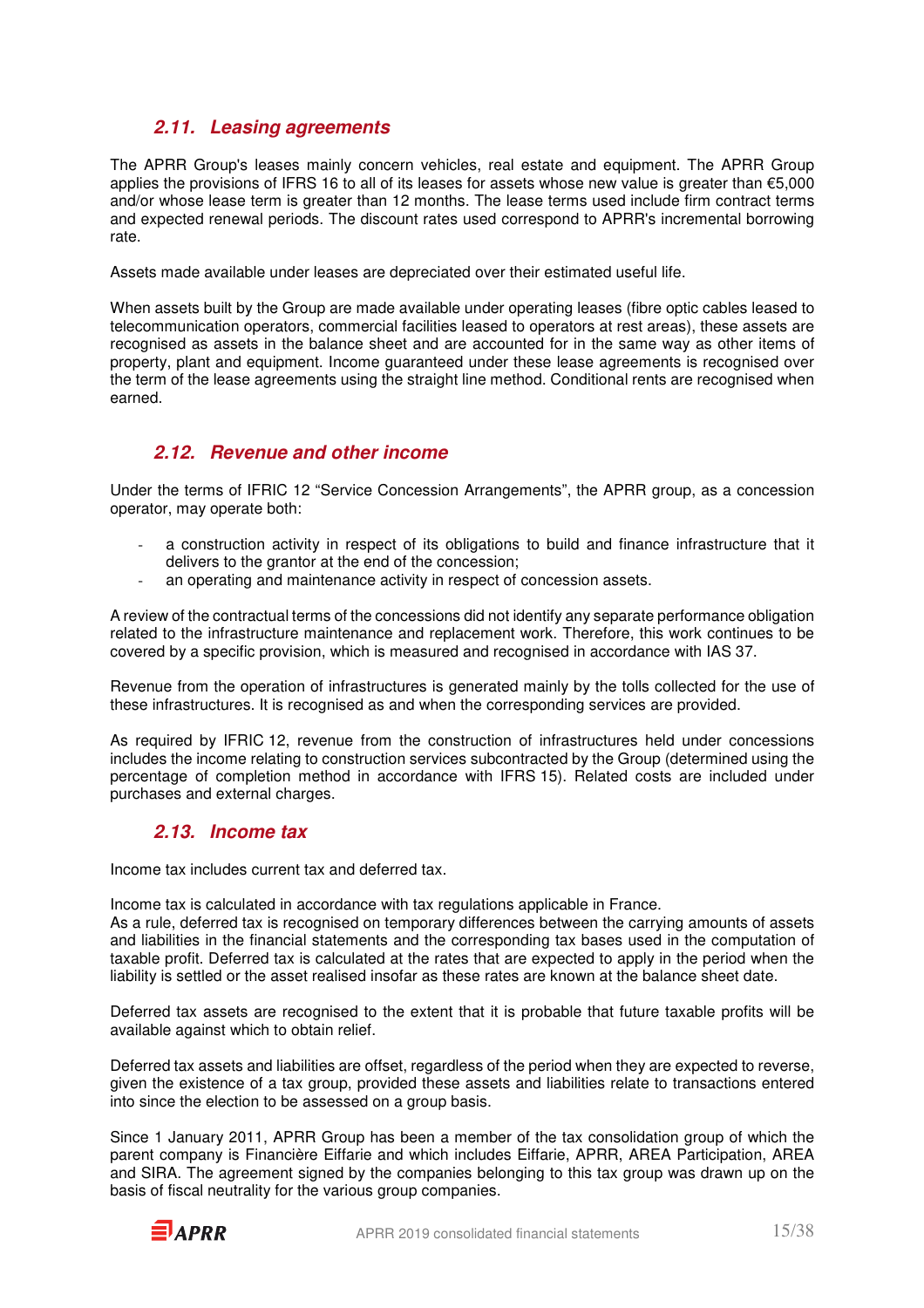### **2.11. Leasing agreements**

The APRR Group's leases mainly concern vehicles, real estate and equipment. The APRR Group applies the provisions of IFRS 16 to all of its leases for assets whose new value is greater than €5,000 and/or whose lease term is greater than 12 months. The lease terms used include firm contract terms and expected renewal periods. The discount rates used correspond to APRR's incremental borrowing rate.

Assets made available under leases are depreciated over their estimated useful life.

When assets built by the Group are made available under operating leases (fibre optic cables leased to telecommunication operators, commercial facilities leased to operators at rest areas), these assets are recognised as assets in the balance sheet and are accounted for in the same way as other items of property, plant and equipment. Income guaranteed under these lease agreements is recognised over the term of the lease agreements using the straight line method. Conditional rents are recognised when earned.

### **2.12. Revenue and other income**

Under the terms of IFRIC 12 "Service Concession Arrangements", the APRR group, as a concession operator, may operate both:

- a construction activity in respect of its obligations to build and finance infrastructure that it delivers to the grantor at the end of the concession;
- an operating and maintenance activity in respect of concession assets.

A review of the contractual terms of the concessions did not identify any separate performance obligation related to the infrastructure maintenance and replacement work. Therefore, this work continues to be covered by a specific provision, which is measured and recognised in accordance with IAS 37.

Revenue from the operation of infrastructures is generated mainly by the tolls collected for the use of these infrastructures. It is recognised as and when the corresponding services are provided.

As required by IFRIC 12, revenue from the construction of infrastructures held under concessions includes the income relating to construction services subcontracted by the Group (determined using the percentage of completion method in accordance with IFRS 15). Related costs are included under purchases and external charges.

### **2.13. Income tax**

Income tax includes current tax and deferred tax.

Income tax is calculated in accordance with tax regulations applicable in France.

As a rule, deferred tax is recognised on temporary differences between the carrying amounts of assets and liabilities in the financial statements and the corresponding tax bases used in the computation of taxable profit. Deferred tax is calculated at the rates that are expected to apply in the period when the liability is settled or the asset realised insofar as these rates are known at the balance sheet date.

Deferred tax assets are recognised to the extent that it is probable that future taxable profits will be available against which to obtain relief.

Deferred tax assets and liabilities are offset, regardless of the period when they are expected to reverse, given the existence of a tax group, provided these assets and liabilities relate to transactions entered into since the election to be assessed on a group basis.

Since 1 January 2011, APRR Group has been a member of the tax consolidation group of which the parent company is Financière Eiffarie and which includes Eiffarie, APRR, AREA Participation, AREA and SIRA. The agreement signed by the companies belonging to this tax group was drawn up on the basis of fiscal neutrality for the various group companies.

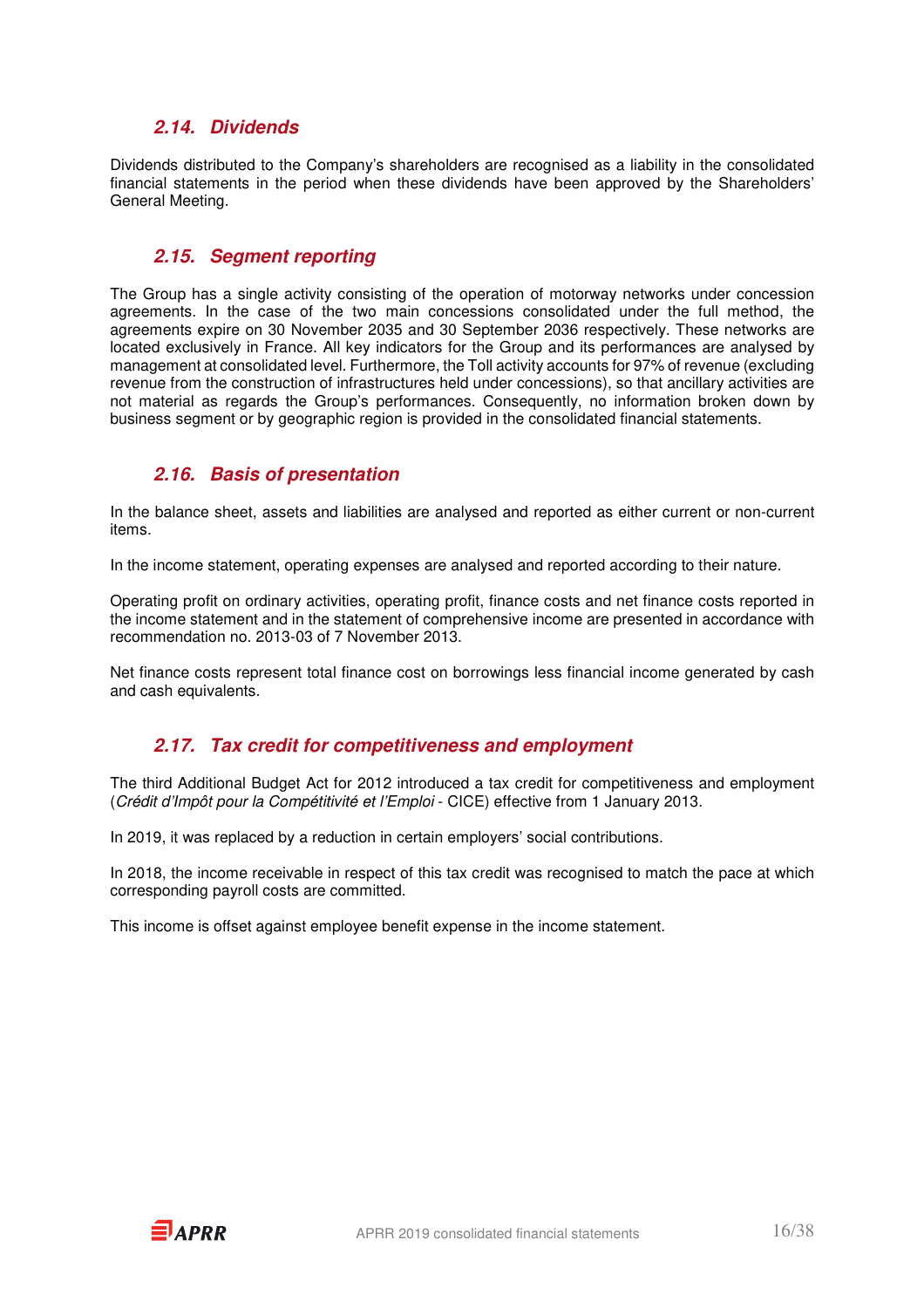### **2.14. Dividends**

Dividends distributed to the Company's shareholders are recognised as a liability in the consolidated financial statements in the period when these dividends have been approved by the Shareholders' General Meeting.

### **2.15. Segment reporting**

The Group has a single activity consisting of the operation of motorway networks under concession agreements. In the case of the two main concessions consolidated under the full method, the agreements expire on 30 November 2035 and 30 September 2036 respectively. These networks are located exclusively in France. All key indicators for the Group and its performances are analysed by management at consolidated level. Furthermore, the Toll activity accounts for 97% of revenue (excluding revenue from the construction of infrastructures held under concessions), so that ancillary activities are not material as regards the Group's performances. Consequently, no information broken down by business segment or by geographic region is provided in the consolidated financial statements.

### **2.16. Basis of presentation**

In the balance sheet, assets and liabilities are analysed and reported as either current or non-current items.

In the income statement, operating expenses are analysed and reported according to their nature.

Operating profit on ordinary activities, operating profit, finance costs and net finance costs reported in the income statement and in the statement of comprehensive income are presented in accordance with recommendation no. 2013-03 of 7 November 2013.

Net finance costs represent total finance cost on borrowings less financial income generated by cash and cash equivalents.

### **2.17. Tax credit for competitiveness and employment**

The third Additional Budget Act for 2012 introduced a tax credit for competitiveness and employment (Crédit d'Impôt pour la Compétitivité et l'Emploi - CICE) effective from 1 January 2013.

In 2019, it was replaced by a reduction in certain employers' social contributions.

In 2018, the income receivable in respect of this tax credit was recognised to match the pace at which corresponding payroll costs are committed.

This income is offset against employee benefit expense in the income statement.

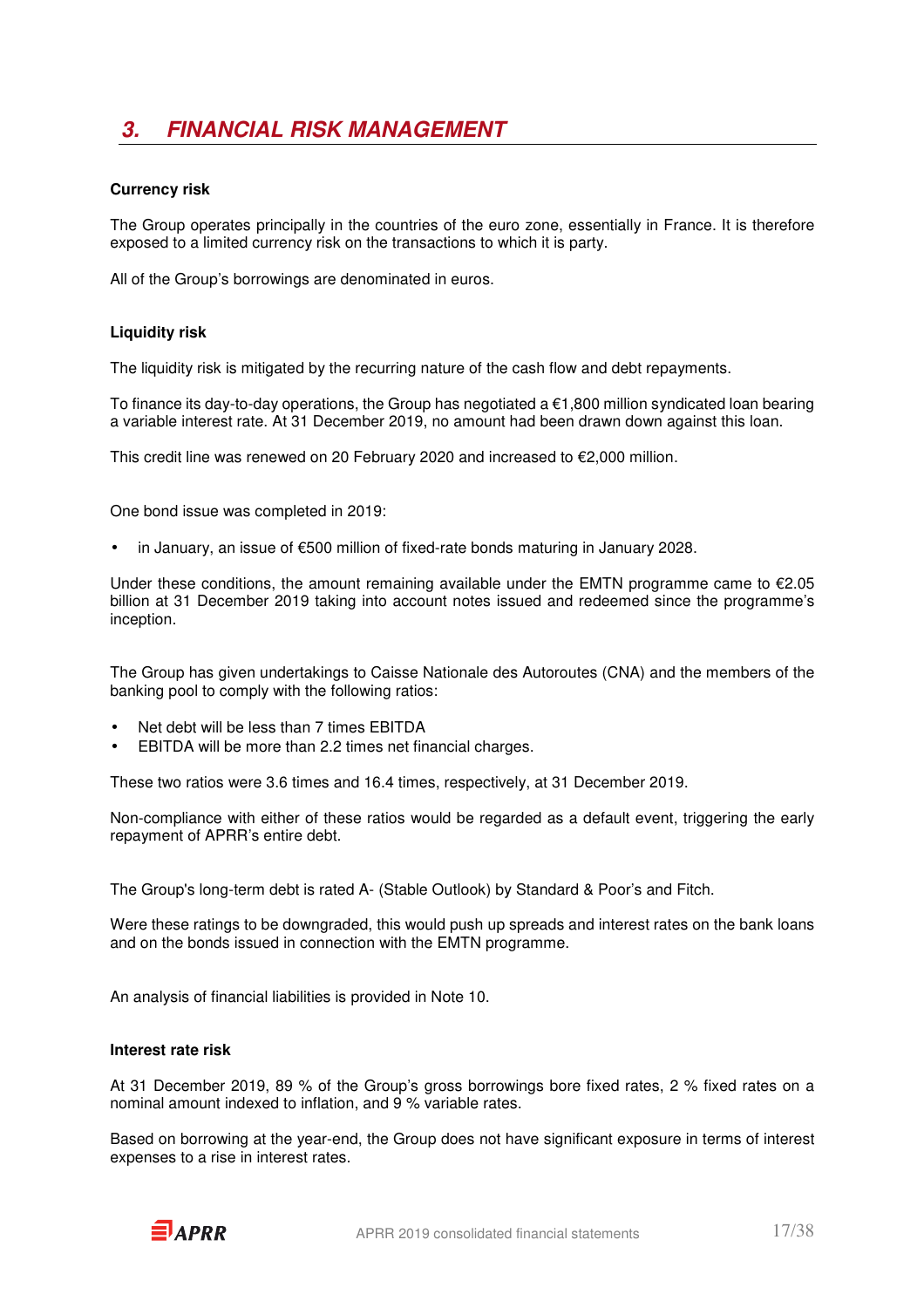## **3. FINANCIAL RISK MANAGEMENT**

#### **Currency risk**

The Group operates principally in the countries of the euro zone, essentially in France. It is therefore exposed to a limited currency risk on the transactions to which it is party.

All of the Group's borrowings are denominated in euros.

### **Liquidity risk**

The liquidity risk is mitigated by the recurring nature of the cash flow and debt repayments.

To finance its day-to-day operations, the Group has negotiated a  $\epsilon$ 1,800 million syndicated loan bearing a variable interest rate. At 31 December 2019, no amount had been drawn down against this loan.

This credit line was renewed on 20 February 2020 and increased to €2,000 million.

One bond issue was completed in 2019:

• in January, an issue of €500 million of fixed-rate bonds maturing in January 2028.

Under these conditions, the amount remaining available under the EMTN programme came to  $\epsilon$ 2.05 billion at 31 December 2019 taking into account notes issued and redeemed since the programme's inception.

The Group has given undertakings to Caisse Nationale des Autoroutes (CNA) and the members of the banking pool to comply with the following ratios:

- Net debt will be less than 7 times EBITDA
- EBITDA will be more than 2.2 times net financial charges.

These two ratios were 3.6 times and 16.4 times, respectively, at 31 December 2019.

Non-compliance with either of these ratios would be regarded as a default event, triggering the early repayment of APRR's entire debt.

The Group's long-term debt is rated A- (Stable Outlook) by Standard & Poor's and Fitch.

Were these ratings to be downgraded, this would push up spreads and interest rates on the bank loans and on the bonds issued in connection with the EMTN programme.

An analysis of financial liabilities is provided in Note 10.

#### **Interest rate risk**

At 31 December 2019, 89 % of the Group's gross borrowings bore fixed rates, 2 % fixed rates on a nominal amount indexed to inflation, and 9 % variable rates.

Based on borrowing at the year-end, the Group does not have significant exposure in terms of interest expenses to a rise in interest rates.

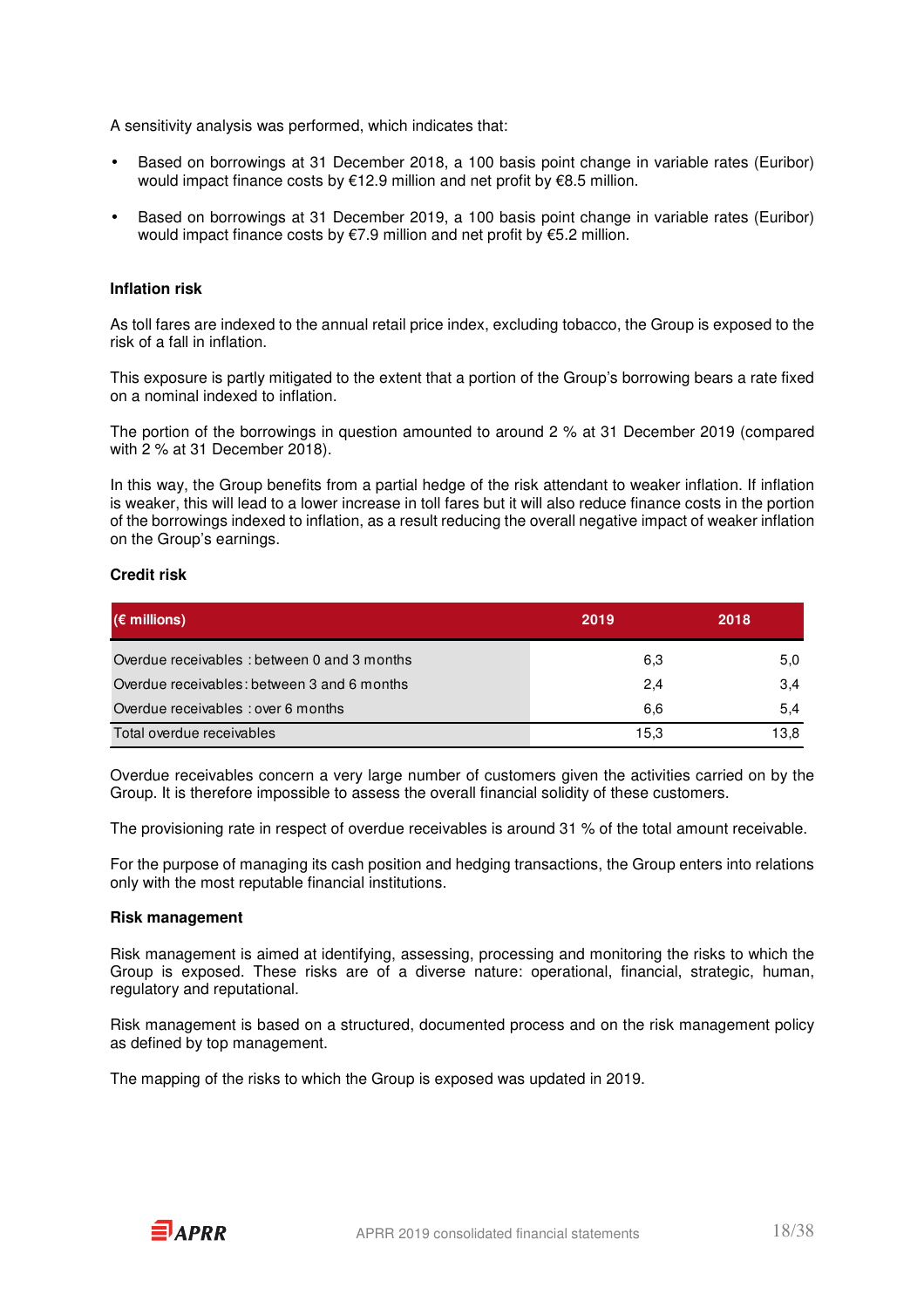A sensitivity analysis was performed, which indicates that:

- Based on borrowings at 31 December 2018, a 100 basis point change in variable rates (Euribor) would impact finance costs by €12.9 million and net profit by €8.5 million.
- Based on borrowings at 31 December 2019, a 100 basis point change in variable rates (Euribor) would impact finance costs by €7.9 million and net profit by €5.2 million.

#### **Inflation risk**

As toll fares are indexed to the annual retail price index, excluding tobacco, the Group is exposed to the risk of a fall in inflation.

This exposure is partly mitigated to the extent that a portion of the Group's borrowing bears a rate fixed on a nominal indexed to inflation.

The portion of the borrowings in question amounted to around 2 % at 31 December 2019 (compared with 2 % at 31 December 2018).

In this way, the Group benefits from a partial hedge of the risk attendant to weaker inflation. If inflation is weaker, this will lead to a lower increase in toll fares but it will also reduce finance costs in the portion of the borrowings indexed to inflation, as a result reducing the overall negative impact of weaker inflation on the Group's earnings.

#### **Credit risk**

| $(\epsilon$ millions)                       | 2019 | 2018 |
|---------------------------------------------|------|------|
| Overdue receivables: between 0 and 3 months | 6,3  | 5,0  |
| Overdue receivables: between 3 and 6 months | 2,4  | 3,4  |
| Overdue receivables : over 6 months         | 6,6  | 5,4  |
| Total overdue receivables                   | 15,3 | 13.8 |

Overdue receivables concern a very large number of customers given the activities carried on by the Group. It is therefore impossible to assess the overall financial solidity of these customers.

The provisioning rate in respect of overdue receivables is around 31 % of the total amount receivable.

For the purpose of managing its cash position and hedging transactions, the Group enters into relations only with the most reputable financial institutions.

#### **Risk management**

Risk management is aimed at identifying, assessing, processing and monitoring the risks to which the Group is exposed. These risks are of a diverse nature: operational, financial, strategic, human, regulatory and reputational.

Risk management is based on a structured, documented process and on the risk management policy as defined by top management.

The mapping of the risks to which the Group is exposed was updated in 2019.

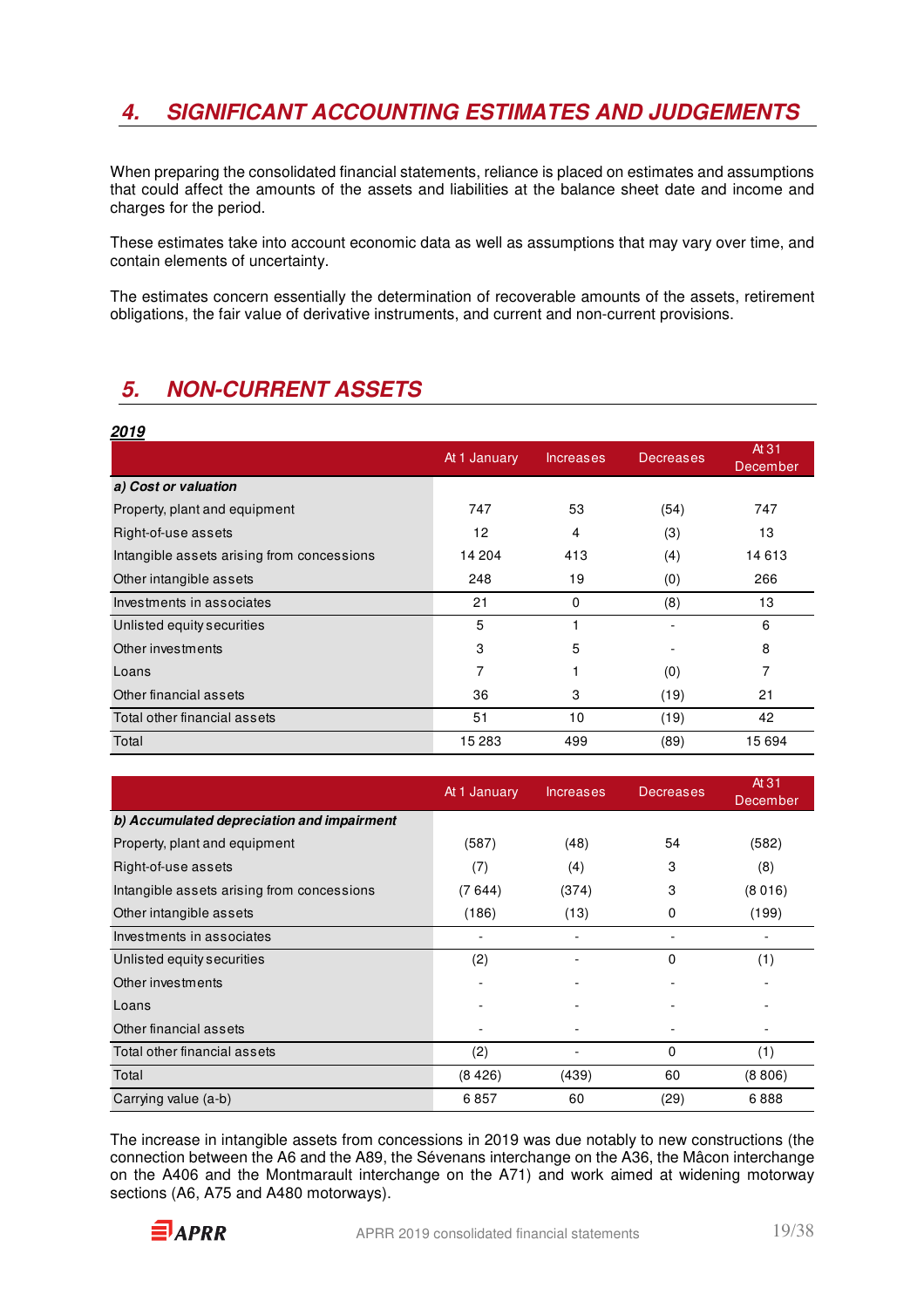### **4. SIGNIFICANT ACCOUNTING ESTIMATES AND JUDGEMENTS**

When preparing the consolidated financial statements, reliance is placed on estimates and assumptions that could affect the amounts of the assets and liabilities at the balance sheet date and income and charges for the period.

These estimates take into account economic data as well as assumptions that may vary over time, and contain elements of uncertainty.

The estimates concern essentially the determination of recoverable amounts of the assets, retirement obligations, the fair value of derivative instruments, and current and non-current provisions.

### **5. NON-CURRENT ASSETS**

| 2019                                       |              |           |                  |                   |
|--------------------------------------------|--------------|-----------|------------------|-------------------|
|                                            | At 1 January | Increases | <b>Decreases</b> | At 31<br>December |
| a) Cost or valuation                       |              |           |                  |                   |
| Property, plant and equipment              | 747          | 53        | (54)             | 747               |
| Right-of-use assets                        | 12           | 4         | (3)              | 13                |
| Intangible assets arising from concessions | 14 204       | 413       | (4)              | 14 613            |
| Other intangible assets                    | 248          | 19        | (0)              | 266               |
| Investments in associates                  | 21           | 0         | (8)              | 13                |
| Unlisted equity securities                 | 5            |           |                  | 6                 |
| Other investments                          | 3            | 5         |                  | 8                 |
| Loans                                      | 7            |           | (0)              | 7                 |
| Other financial assets                     | 36           | 3         | (19)             | 21                |
| Total other financial assets               | 51           | 10        | (19)             | 42                |
| Total                                      | 15 283       | 499       | (89)             | 15 694            |

|                                            | At 1 January             | <b>Increases</b> | <b>Decreases</b> | At 31<br>December |
|--------------------------------------------|--------------------------|------------------|------------------|-------------------|
| b) Accumulated depreciation and impairment |                          |                  |                  |                   |
| Property, plant and equipment              | (587)                    | (48)             | 54               | (582)             |
| Right-of-use assets                        | (7)                      | (4)              | 3                | (8)               |
| Intangible assets arising from concessions | (7644)                   | (374)            | 3                | (8016)            |
| Other intangible assets                    | (186)                    | (13)             | 0                | (199)             |
| Investments in associates                  |                          |                  | -                |                   |
| Unlisted equity securities                 | (2)                      |                  | 0                | (1)               |
| Other investments                          | $\overline{\phantom{0}}$ |                  |                  |                   |
| Loans                                      |                          |                  |                  |                   |
| Other financial assets                     |                          |                  |                  |                   |
| Total other financial assets               | (2)                      |                  | 0                | (1)               |
| Total                                      | (8426)                   | (439)            | 60               | (8806)            |
| Carrying value (a-b)                       | 6857                     | 60               | (29)             | 6888              |

The increase in intangible assets from concessions in 2019 was due notably to new constructions (the connection between the A6 and the A89, the Sévenans interchange on the A36, the Mâcon interchange on the A406 and the Montmarault interchange on the A71) and work aimed at widening motorway sections (A6, A75 and A480 motorways).

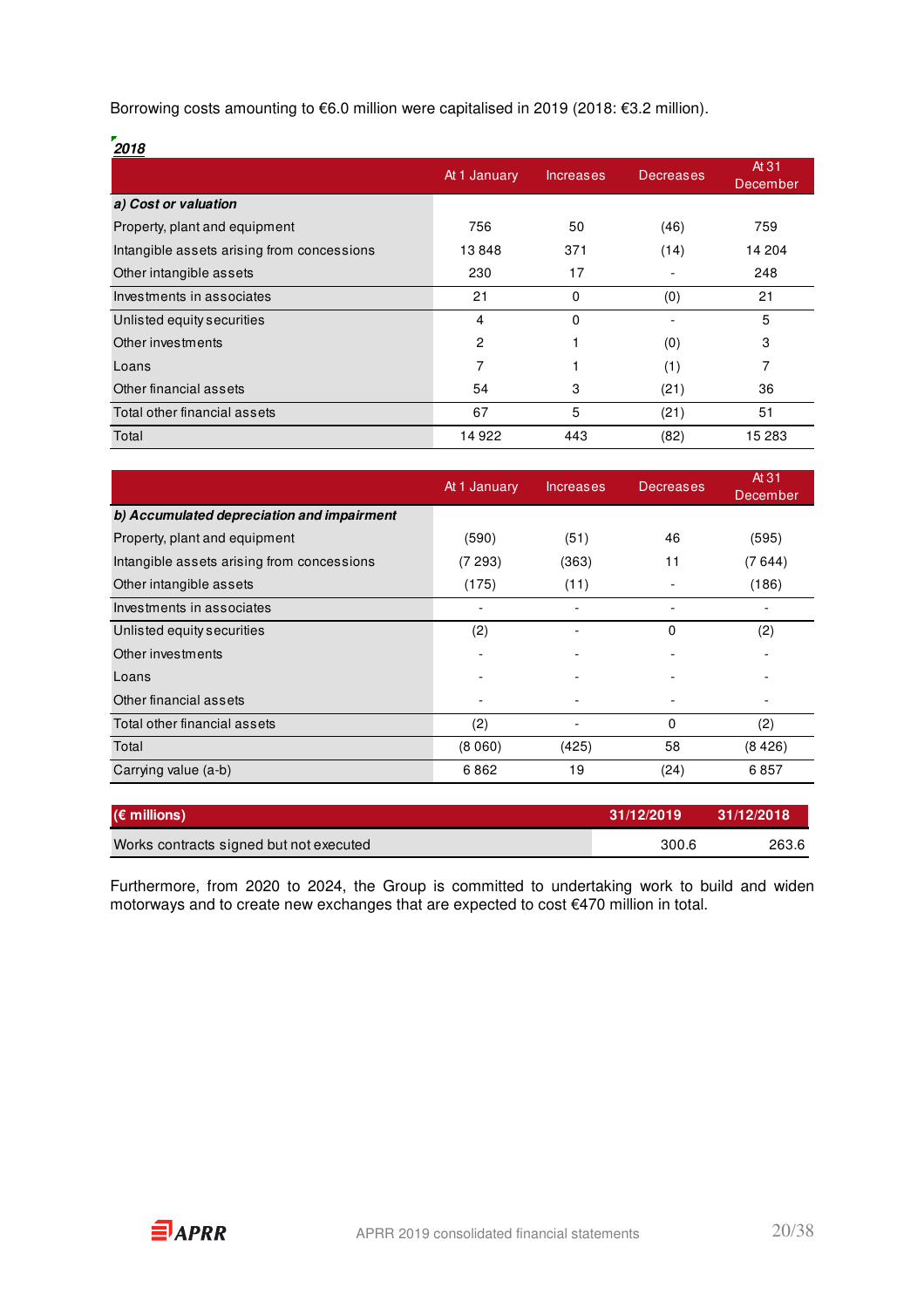Borrowing costs amounting to €6.0 million were capitalised in 2019 (2018: €3.2 million).

| 2018                                       |                |           |                  |                   |
|--------------------------------------------|----------------|-----------|------------------|-------------------|
|                                            | At 1 January   | Increases | <b>Decreases</b> | At 31<br>December |
| a) Cost or valuation                       |                |           |                  |                   |
| Property, plant and equipment              | 756            | 50        | (46)             | 759               |
| Intangible assets arising from concessions | 13848          | 371       | (14)             | 14 204            |
| Other intangible assets                    | 230            | 17        |                  | 248               |
| Investments in associates                  | 21             | 0         | (0)              | 21                |
| Unlisted equity securities                 | $\overline{4}$ | $\Omega$  |                  | 5                 |
| Other investments                          | 2              |           | (0)              | 3                 |
| Loans                                      | 7              |           | (1)              | 7                 |
| Other financial assets                     | 54             | 3         | (21)             | 36                |
| Total other financial assets               | 67             | 5         | (21)             | 51                |
| Total                                      | 14922          | 443       | (82)             | 15 283            |

|                                            | At 1 January<br><b>Increases</b> |       | <b>Decreases</b> | At 31<br>December |
|--------------------------------------------|----------------------------------|-------|------------------|-------------------|
| b) Accumulated depreciation and impairment |                                  |       |                  |                   |
| Property, plant and equipment              | (590)                            | (51)  | 46               | (595)             |
| Intangible assets arising from concessions | (7 293)                          | (363) | 11               | (7644)            |
| Other intangible assets                    | (175)                            | (11)  |                  | (186)             |
| Investments in associates                  |                                  | -     |                  |                   |
| Unlisted equity securities                 | (2)                              |       | 0                | (2)               |
| Other investments                          |                                  |       |                  |                   |
| Loans                                      |                                  | ٠     |                  |                   |
| Other financial assets                     |                                  |       |                  |                   |
| Total other financial assets               | (2)                              |       | 0                | (2)               |
| Total                                      | (8060)                           | (425) | 58               | (8426)            |
| Carrying value (a-b)                       | 6862                             | 19    | (24)             | 6857              |

| $(\epsilon$ millions)                   | 31/12/2019 | 31/12/2018 |
|-----------------------------------------|------------|------------|
| Works contracts signed but not executed | 300.6      | 263.6      |

Furthermore, from 2020 to 2024, the Group is committed to undertaking work to build and widen motorways and to create new exchanges that are expected to cost €470 million in total.

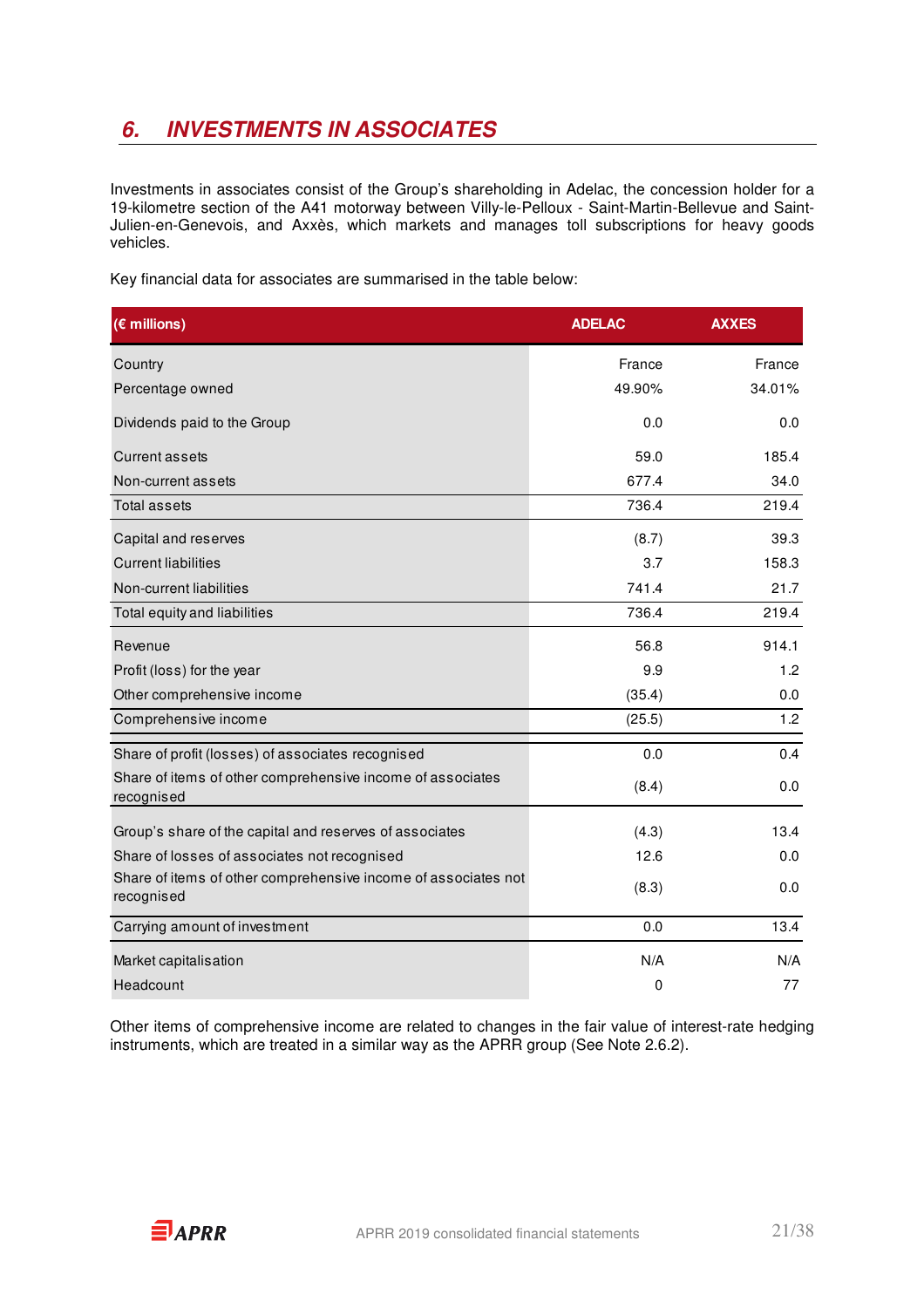# **6. INVESTMENTS IN ASSOCIATES**

Investments in associates consist of the Group's shareholding in Adelac, the concession holder for a 19-kilometre section of the A41 motorway between Villy-le-Pelloux - Saint-Martin-Bellevue and Saint-Julien-en-Genevois, and Axxès, which markets and manages toll subscriptions for heavy goods vehicles.

Key financial data for associates are summarised in the table below:

| $(E$ millions)                                                               | <b>ADELAC</b> | <b>AXXES</b> |
|------------------------------------------------------------------------------|---------------|--------------|
| Country                                                                      | France        | France       |
| Percentage owned                                                             | 49.90%        | 34.01%       |
| Dividends paid to the Group                                                  | 0.0           | 0.0          |
| <b>Current assets</b>                                                        | 59.0          | 185.4        |
| Non-current assets                                                           | 677.4         | 34.0         |
| <b>Total assets</b>                                                          | 736.4         | 219.4        |
| Capital and reserves                                                         | (8.7)         | 39.3         |
| <b>Current liabilities</b>                                                   | 3.7           | 158.3        |
| Non-current liabilities                                                      | 741.4         | 21.7         |
| Total equity and liabilities                                                 | 736.4         | 219.4        |
| Revenue                                                                      | 56.8          | 914.1        |
| Profit (loss) for the year                                                   | 9.9           | 1.2          |
| Other comprehensive income                                                   | (35.4)        | 0.0          |
| Comprehensive income                                                         | (25.5)        | 1.2          |
| Share of profit (losses) of associates recognised                            | 0.0           | 0.4          |
| Share of items of other comprehensive income of associates<br>recognised     | (8.4)         | 0.0          |
| Group's share of the capital and reserves of associates                      | (4.3)         | 13.4         |
| Share of losses of associates not recognised                                 | 12.6          | 0.0          |
| Share of items of other comprehensive income of associates not<br>recognised | (8.3)         | 0.0          |
| Carrying amount of investment                                                | 0.0           | 13.4         |
| Market capitalisation                                                        | N/A           | N/A          |
| Headcount                                                                    | 0             | 77           |

Other items of comprehensive income are related to changes in the fair value of interest-rate hedging instruments, which are treated in a similar way as the APRR group (See Note 2.6.2).

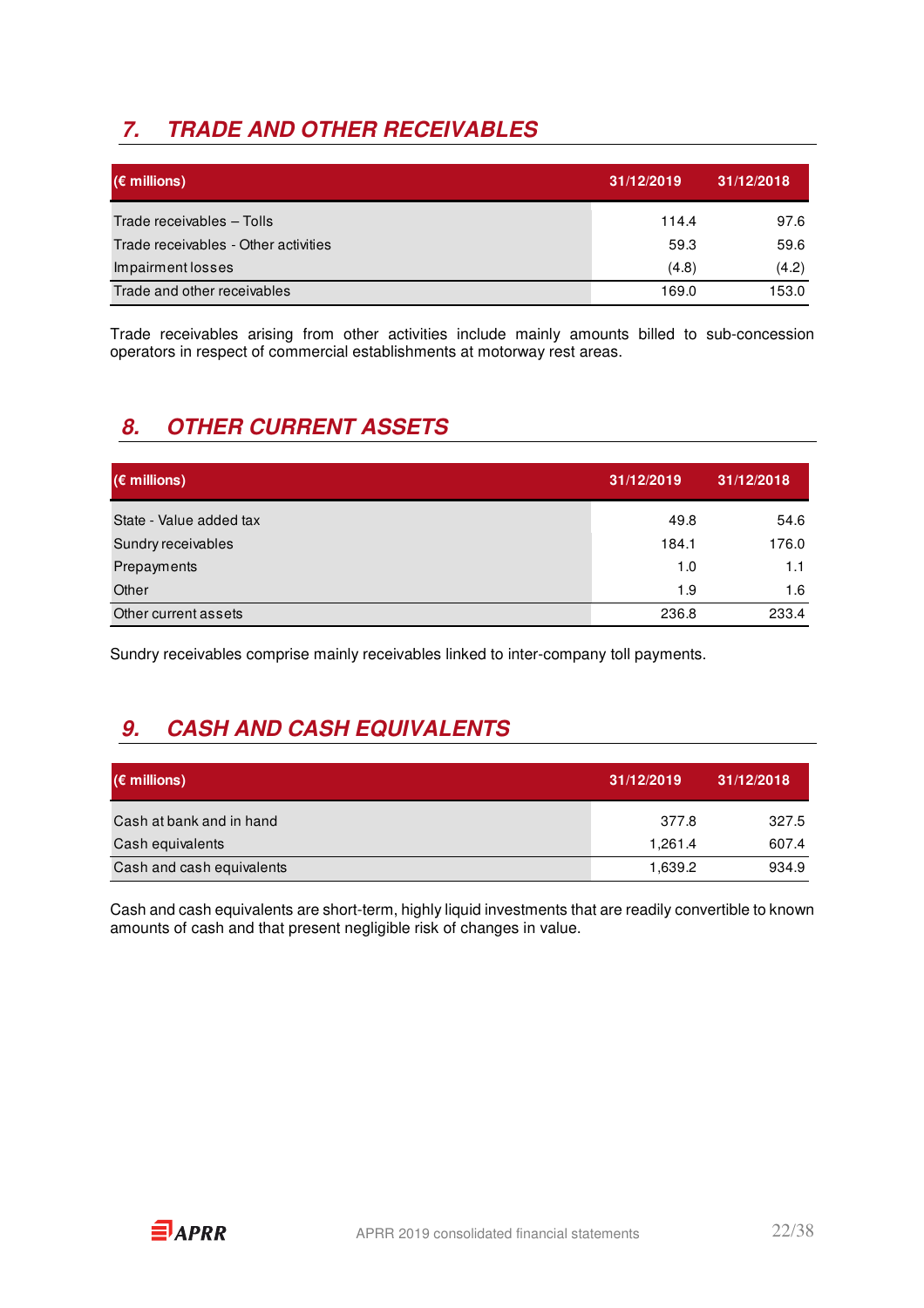# **7. TRADE AND OTHER RECEIVABLES**

| $(\epsilon$ millions)                | 31/12/2019 | 31/12/2018 |
|--------------------------------------|------------|------------|
| Trade receivables - Tolls            | 114.4      | 97.6       |
| Trade receivables - Other activities | 59.3       | 59.6       |
| Impairment losses                    | (4.8)      | (4.2)      |
| Trade and other receivables          | 169.0      | 153.0      |

Trade receivables arising from other activities include mainly amounts billed to sub-concession operators in respect of commercial establishments at motorway rest areas.

# **8. OTHER CURRENT ASSETS**

| $(\epsilon$ millions)   | 31/12/2019 | 31/12/2018 |
|-------------------------|------------|------------|
| State - Value added tax | 49.8       | 54.6       |
| Sundry receivables      | 184.1      | 176.0      |
| Prepayments             | 1.0        | 1.1        |
| Other                   | 1.9        | 1.6        |
| Other current assets    | 236.8      | 233.4      |

Sundry receivables comprise mainly receivables linked to inter-company toll payments.

# **9. CASH AND CASH EQUIVALENTS**

| $(\epsilon$ millions)     | 31/12/2019 | 31/12/2018 |
|---------------------------|------------|------------|
| Cash at bank and in hand  | 377.8      | 327.5      |
| Cash equivalents          | 1.261.4    | 607.4      |
| Cash and cash equivalents | 1.639.2    | 934.9      |

Cash and cash equivalents are short-term, highly liquid investments that are readily convertible to known amounts of cash and that present negligible risk of changes in value.

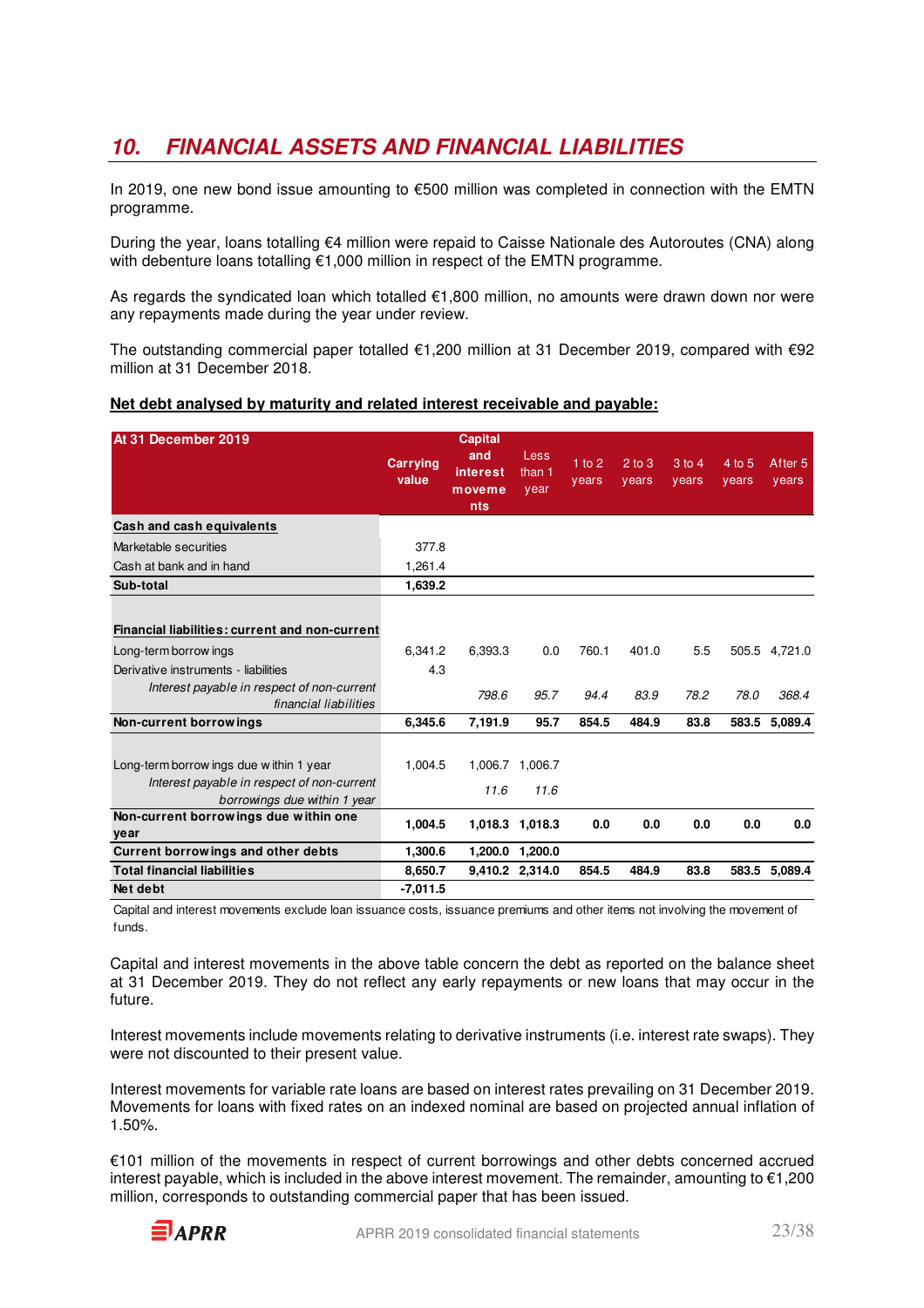## **10. FINANCIAL ASSETS AND FINANCIAL LIABILITIES**

In 2019, one new bond issue amounting to €500 million was completed in connection with the EMTN programme.

During the year, loans totalling €4 million were repaid to Caisse Nationale des Autoroutes (CNA) along with debenture loans totalling €1,000 million in respect of the EMTN programme.

As regards the syndicated loan which totalled €1,800 million, no amounts were drawn down nor were any repayments made during the year under review.

The outstanding commercial paper totalled €1,200 million at 31 December 2019, compared with €92 million at 31 December 2018.

| At 31 December 2019       | <b>Carrying</b><br>value | <b>Capital</b><br>and<br><b>interest</b><br>moveme |      | vears | years | 1 to 2 2 to 3 3 to 4<br>years | $\overline{4}$<br>V( |
|---------------------------|--------------------------|----------------------------------------------------|------|-------|-------|-------------------------------|----------------------|
|                           |                          | nts                                                | year |       |       |                               |                      |
| Cash and cash equivalents |                          |                                                    |      |       |       |                               |                      |

### **Net debt analysed by maturity and related interest receivable and payable:**

Marketable securities 377.8 Cash at bank and in hand 1,261.4

| Sub-total                                                                  | 1,639.2    |         |                 |       |       |      |       |               |
|----------------------------------------------------------------------------|------------|---------|-----------------|-------|-------|------|-------|---------------|
|                                                                            |            |         |                 |       |       |      |       |               |
| Financial liabilities: current and non-current                             |            |         |                 |       |       |      |       |               |
| Long-term borrow ings                                                      | 6,341.2    | 6,393.3 | 0.0             | 760.1 | 401.0 | 5.5  |       | 505.5 4,721.0 |
| Derivative instruments - liabilities                                       | 4.3        |         |                 |       |       |      |       |               |
| Interest payable in respect of non-current<br>financial liabilities        |            | 798.6   | 95.7            | 94.4  | 83.9  | 78.2 | 78.0  | 368.4         |
| Non-current borrowings                                                     | 6,345.6    | 7,191.9 | 95.7            | 854.5 | 484.9 | 83.8 | 583.5 | 5,089.4       |
|                                                                            |            |         |                 |       |       |      |       |               |
| Long-term borrow ings due within 1 year                                    | 1.004.5    | 1,006.7 | 1,006.7         |       |       |      |       |               |
| Interest payable in respect of non-current<br>borrowings due within 1 year |            | 11.6    | 11.6            |       |       |      |       |               |
| Non-current borrowings due within one<br>year                              | 1,004.5    | 1,018.3 | 1,018.3         | 0.0   | 0.0   | 0.0  | 0.0   | 0.0           |
| Current borrowings and other debts                                         | 1,300.6    | 1,200.0 | 1,200.0         |       |       |      |       |               |
| <b>Total financial liabilities</b>                                         | 8,650.7    |         | 9,410.2 2,314.0 | 854.5 | 484.9 | 83.8 |       | 583.5 5,089.4 |
| Net debt                                                                   | $-7,011.5$ |         |                 |       |       |      |       |               |

Capital and interest movements exclude loan issuance costs, issuance premiums and other items not involving the movement of funds.

Capital and interest movements in the above table concern the debt as reported on the balance sheet at 31 December 2019. They do not reflect any early repayments or new loans that may occur in the future.

Interest movements include movements relating to derivative instruments (i.e. interest rate swaps). They were not discounted to their present value.

Interest movements for variable rate loans are based on interest rates prevailing on 31 December 2019. Movements for loans with fixed rates on an indexed nominal are based on projected annual inflation of 1.50%.

€101 million of the movements in respect of current borrowings and other debts concerned accrued interest payable, which is included in the above interest movement. The remainder, amounting to €1,200 million, corresponds to outstanding commercial paper that has been issued.



 $10<sub>5</sub>$ ars

After 5 years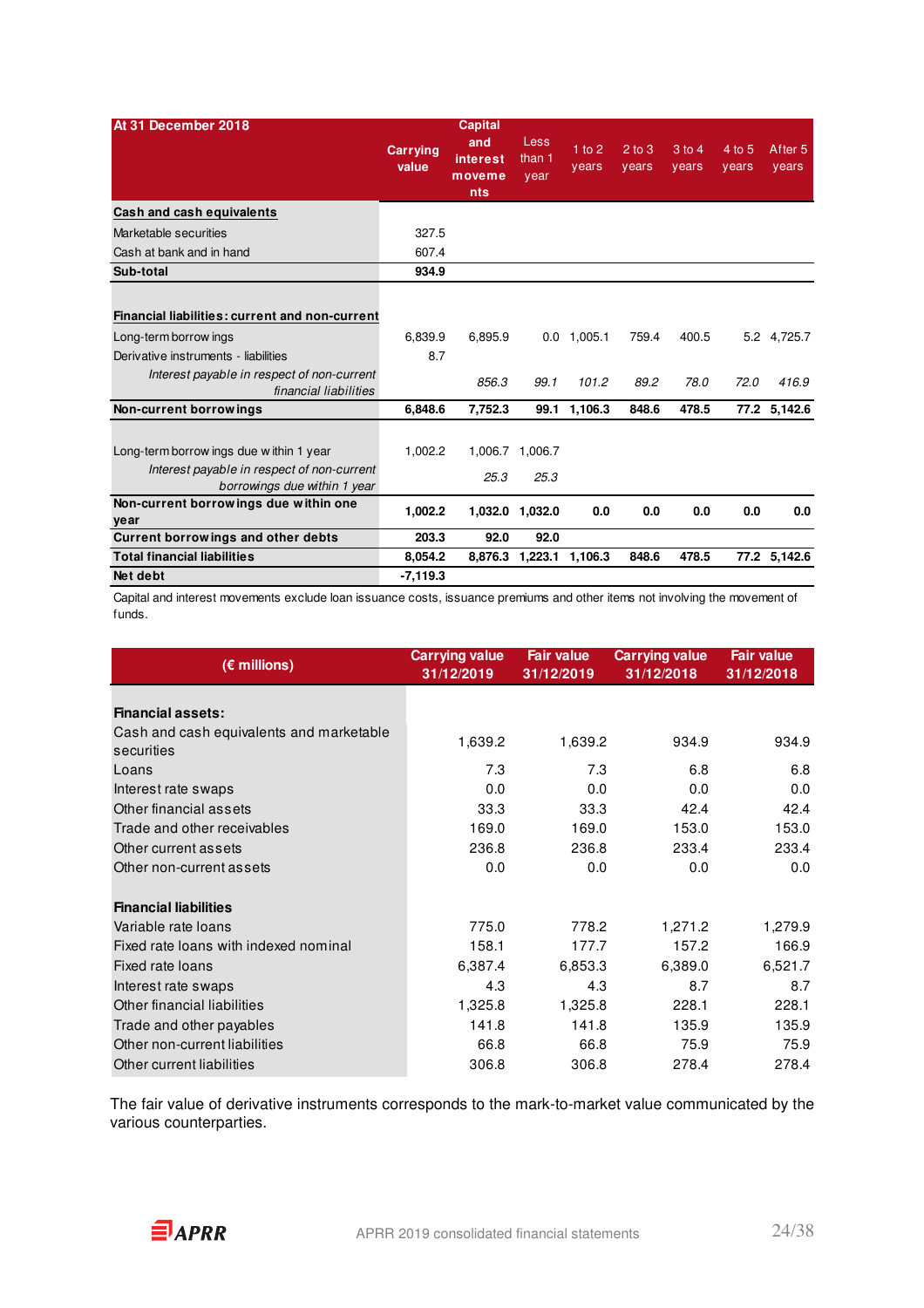| At 31 December 2018                                                                                                                                                                    | <b>Carrying</b><br>value | <b>Capital</b><br>and<br>interest<br>moveme<br><b>nts</b> | Less<br>than 1<br>year | $1$ to 2<br>years | $2$ to $3$<br>vears | 3 to 4<br>years | 4 to 5<br>years | After <sub>5</sub><br>years |
|----------------------------------------------------------------------------------------------------------------------------------------------------------------------------------------|--------------------------|-----------------------------------------------------------|------------------------|-------------------|---------------------|-----------------|-----------------|-----------------------------|
| Cash and cash equivalents                                                                                                                                                              |                          |                                                           |                        |                   |                     |                 |                 |                             |
| Marketable securities                                                                                                                                                                  | 327.5                    |                                                           |                        |                   |                     |                 |                 |                             |
| Cash at bank and in hand                                                                                                                                                               | 607.4                    |                                                           |                        |                   |                     |                 |                 |                             |
| Sub-total                                                                                                                                                                              | 934.9                    |                                                           |                        |                   |                     |                 |                 |                             |
| Financial liabilities: current and non-current<br>Long-term borrow ings<br>Derivative instruments - liabilities<br>Interest payable in respect of non-current<br>financial liabilities | 6.839.9<br>8.7           | 6.895.9<br>856.3                                          | 0.0<br>99.1            | 1.005.1<br>101.2  | 759.4<br>89.2       | 400.5<br>78.0   | 72.0            | 5.2 4.725.7<br>416.9        |
| Non-current borrowings                                                                                                                                                                 | 6.848.6                  | 7.752.3                                                   | 99.1                   | 1.106.3           | 848.6               | 478.5           |                 | 77.2 5,142.6                |
| Long-term borrow ings due within 1 year<br>Interest payable in respect of non-current<br>borrowings due within 1 year                                                                  | 1.002.2                  | 1.006.7<br>25.3                                           | 1.006.7<br>25.3        |                   |                     |                 |                 |                             |
| Non-current borrowings due within one<br>year                                                                                                                                          | 1,002.2                  |                                                           | 1,032.0 1,032.0        | 0.0               | 0.0                 | 0.0             | 0.0             | 0.0                         |
| Current borrowings and other debts                                                                                                                                                     | 203.3                    | 92.0                                                      | 92.0                   |                   |                     |                 |                 |                             |
| <b>Total financial liabilities</b>                                                                                                                                                     | 8,054.2                  | 8.876.3                                                   | 1,223.1                | 1,106.3           | 848.6               | 478.5           |                 | 77.2 5,142.6                |
| Net debt                                                                                                                                                                               | $-7,119.3$               |                                                           |                        |                   |                     |                 |                 |                             |

Capital and interest movements exclude loan issuance costs, issuance premiums and other items not involving the movement of funds.

| $(\epsilon$ millions)                                  | <b>Carrying value</b><br>31/12/2019 | <b>Fair value</b><br>31/12/2019 | <b>Carrying value</b><br>31/12/2018 | <b>Fair value</b><br>31/12/2018 |
|--------------------------------------------------------|-------------------------------------|---------------------------------|-------------------------------------|---------------------------------|
| <b>Financial assets:</b>                               |                                     |                                 |                                     |                                 |
| Cash and cash equivalents and marketable<br>securities | 1,639.2                             | 1,639.2                         | 934.9                               | 934.9                           |
| Loans                                                  | 7.3                                 | 7.3                             | 6.8                                 | 6.8                             |
| Interest rate swaps                                    | 0.0                                 | 0.0                             | 0.0                                 | 0.0                             |
| Other financial assets                                 | 33.3                                | 33.3                            | 42.4                                | 42.4                            |
| Trade and other receivables                            | 169.0                               | 169.0                           | 153.0                               | 153.0                           |
| Other current assets                                   | 236.8                               | 236.8                           | 233.4                               | 233.4                           |
| Other non-current assets                               | 0.0                                 | 0.0                             | 0.0                                 | 0.0                             |
| <b>Financial liabilities</b>                           |                                     |                                 |                                     |                                 |
| Variable rate loans                                    | 775.0                               | 778.2                           | 1,271.2                             | 1,279.9                         |
| Fixed rate loans with indexed nominal                  | 158.1                               | 177.7                           | 157.2                               | 166.9                           |
| Fixed rate loans                                       | 6,387.4                             | 6,853.3                         | 6,389.0                             | 6,521.7                         |
| Interest rate swaps                                    | 4.3                                 | 4.3                             | 8.7                                 | 8.7                             |
| Other financial liabilities                            | 1,325.8                             | 1,325.8                         | 228.1                               | 228.1                           |
| Trade and other payables                               | 141.8                               | 141.8                           | 135.9                               | 135.9                           |
| Other non-current liabilities                          | 66.8                                | 66.8                            | 75.9                                | 75.9                            |
| Other current liabilities                              | 306.8                               | 306.8                           | 278.4                               | 278.4                           |

The fair value of derivative instruments corresponds to the mark-to-market value communicated by the various counterparties.

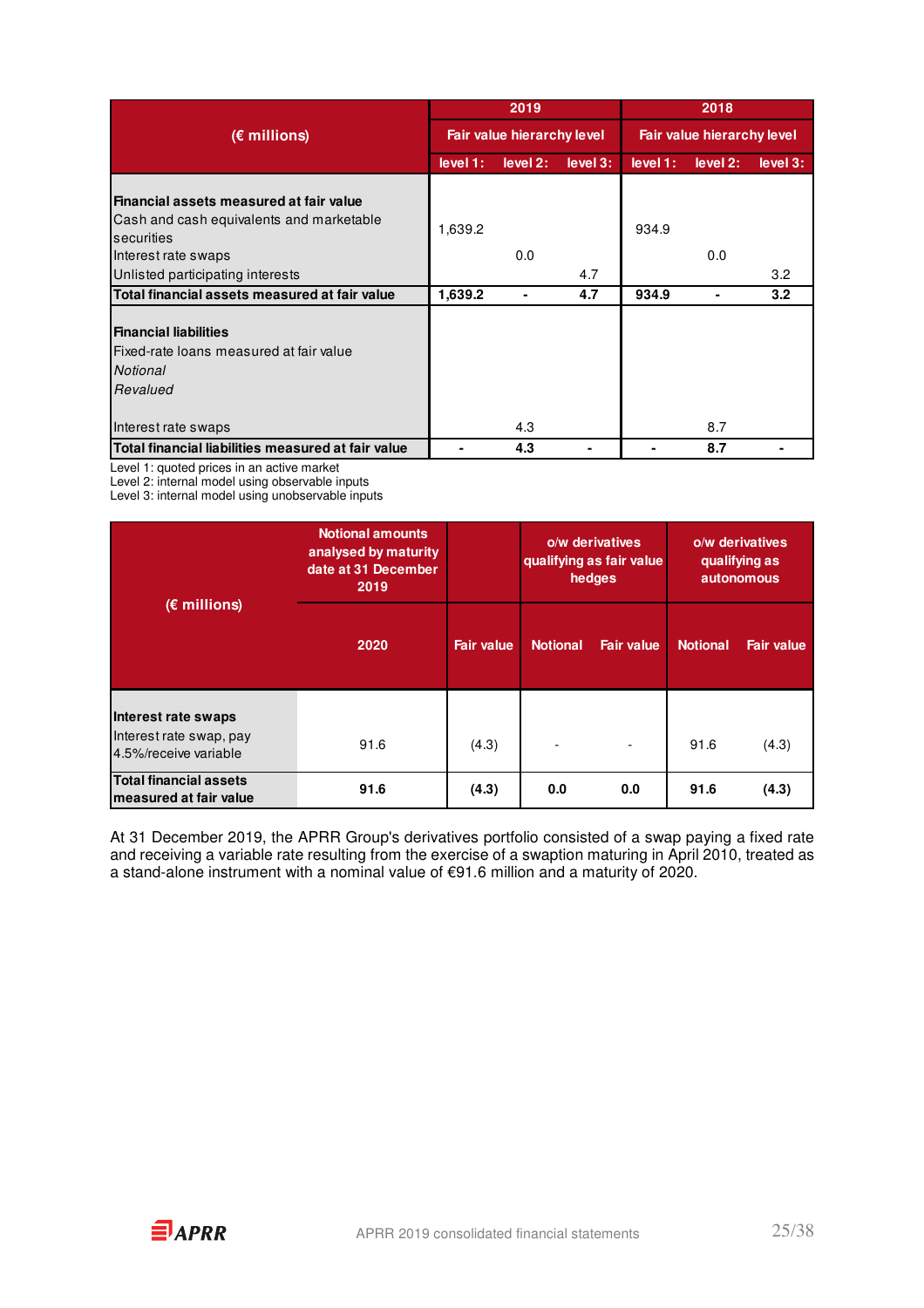|                                                                                                                          |          | 2019                       |          | 2018                       |          |          |  |
|--------------------------------------------------------------------------------------------------------------------------|----------|----------------------------|----------|----------------------------|----------|----------|--|
| $(E$ millions)                                                                                                           |          | Fair value hierarchy level |          | Fair value hierarchy level |          |          |  |
|                                                                                                                          | level 1: | level 2:                   | level 3: | level 1:                   | level 2: | level 3: |  |
| Financial assets measured at fair value<br>Cash and cash equivalents and marketable<br>securities<br>Interest rate swaps | 1,639.2  | 0.0                        |          | 934.9                      | 0.0      |          |  |
| Unlisted participating interests                                                                                         |          |                            | 4.7      |                            |          | 3.2      |  |
| Total financial assets measured at fair value                                                                            | 1,639.2  | ۰                          | 4.7      | 934.9                      | ۰        | 3.2      |  |
| <b>Financial liabilities</b><br>Fixed-rate loans measured at fair value<br>Notional<br>Revalued<br>Interest rate swaps   |          | 4.3                        |          |                            | 8.7      |          |  |
| Total financial liabilities measured at fair value                                                                       |          | 4.3                        |          |                            | 8.7      |          |  |
|                                                                                                                          |          |                            |          |                            |          |          |  |

Level 1: quoted prices in an active market

Level 2: internal model using observable inputs

Level 3: internal model using unobservable inputs

|                                                                         | <b>Notional amounts</b><br>analysed by maturity<br>date at 31 December<br>2019 |                   | o/w derivatives<br>qualifying as fair value<br>hedges |                   | o/w derivatives<br>qualifying as<br><b>autonomous</b> |                   |
|-------------------------------------------------------------------------|--------------------------------------------------------------------------------|-------------------|-------------------------------------------------------|-------------------|-------------------------------------------------------|-------------------|
| $(E$ millions)                                                          | 2020                                                                           | <b>Fair value</b> | <b>Notional</b>                                       | <b>Fair value</b> | <b>Notional</b>                                       | <b>Fair value</b> |
| Interest rate swaps<br>Interest rate swap, pay<br>4.5%/receive variable | 91.6                                                                           | (4.3)             | $\overline{\phantom{0}}$                              | ٠                 | 91.6                                                  | (4.3)             |
| <b>Total financial assets</b><br>measured at fair value                 | 91.6                                                                           | (4.3)             | 0.0                                                   | 0.0               | 91.6                                                  | (4.3)             |

At 31 December 2019, the APRR Group's derivatives portfolio consisted of a swap paying a fixed rate and receiving a variable rate resulting from the exercise of a swaption maturing in April 2010, treated as a stand-alone instrument with a nominal value of €91.6 million and a maturity of 2020.

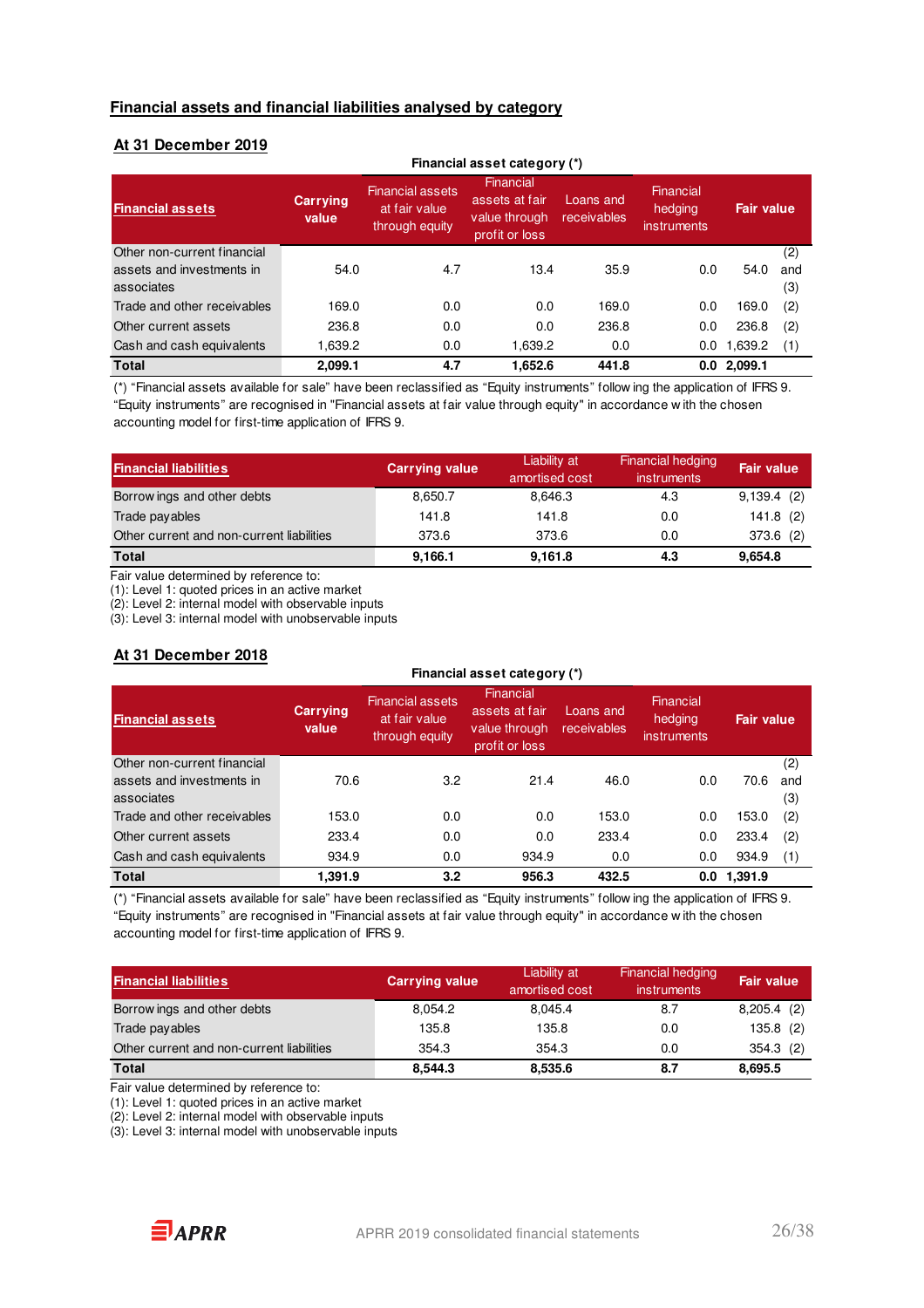#### **Financial assets and financial liabilities analysed by category**

### **At 31 December 2019**

|                             |                   | Financial asset category (*)                                |                                                                |                          |                                            |               |     |
|-----------------------------|-------------------|-------------------------------------------------------------|----------------------------------------------------------------|--------------------------|--------------------------------------------|---------------|-----|
| <b>Financial assets</b>     | Carrying<br>value | <b>Financial assets</b><br>at fair value.<br>through equity | Financial<br>assets at fair<br>value through<br>profit or loss | Loans and<br>receivables | Financial<br>hedging<br><i>instruments</i> | Fair value.   |     |
| Other non-current financial |                   |                                                             |                                                                |                          |                                            |               | (2) |
| assets and investments in   | 54.0              | 4.7                                                         | 13.4                                                           | 35.9                     | 0.0                                        | 54.0          | and |
| associates                  |                   |                                                             |                                                                |                          |                                            |               | (3) |
| Trade and other receivables | 169.0             | 0.0                                                         | 0.0                                                            | 169.0                    | 0.0                                        | 169.0         | (2) |
| Other current assets        | 236.8             | 0.0                                                         | 0.0                                                            | 236.8                    | 0.0                                        | 236.8         | (2) |
| Cash and cash equivalents   | 1,639.2           | 0.0                                                         | 1,639.2                                                        | 0.0                      | 0.0                                        | 1,639.2       | (1) |
| <b>Total</b>                | 2,099.1           | 4.7                                                         | 1,652.6                                                        | 441.8                    |                                            | $0.0$ 2,099.1 |     |

(\*) "Financial assets available for sale" have been reclassified as "Equity instruments" follow ing the application of IFRS 9. "Equity instruments" are recognised in "Financial assets at fair value through equity" in accordance w ith the chosen accounting model for first-time application of IFRS 9.

| <b>Financial liabilities</b>              | <b>Carrying value</b> | Liability at<br>amortised cost | Financial hedging<br>instruments | <b>Fair value</b> |
|-------------------------------------------|-----------------------|--------------------------------|----------------------------------|-------------------|
| Borrow ings and other debts               | 8,650.7               | 8.646.3                        | 4.3                              | 9,139.4(2)        |
| Trade payables                            | 141.8                 | 141.8                          | 0.0                              | 141.8(2)          |
| Other current and non-current liabilities | 373.6                 | 373.6                          | 0.0                              | 373.6(2)          |
| <b>Total</b>                              | 9,166.1               | 9,161.8                        | 4.3                              | 9,654.8           |

Fair value determined by reference to:

(1): Level 1: quoted prices in an active market

(2): Level 2: internal model with observable inputs

(3): Level 3: internal model with unobservable inputs

### **At 31 December 2018**

|                             |                   | Financial asset category (*)                               |                                                                |                          |                                     |                   |     |  |
|-----------------------------|-------------------|------------------------------------------------------------|----------------------------------------------------------------|--------------------------|-------------------------------------|-------------------|-----|--|
| <b>Financial assets</b>     | Carrying<br>value | <b>Financial assets</b><br>at fair value<br>through equity | Financial<br>assets at fair<br>value through<br>profit or loss | Loans and<br>receivables | Financial<br>hedging<br>instruments | <b>Fair value</b> |     |  |
| Other non-current financial |                   |                                                            |                                                                |                          |                                     |                   | (2) |  |
| assets and investments in   | 70.6              | 3.2                                                        | 21.4                                                           | 46.0                     | 0.0                                 | 70.6              | and |  |
| associates                  |                   |                                                            |                                                                |                          |                                     |                   | (3) |  |
| Trade and other receivables | 153.0             | 0.0                                                        | 0.0                                                            | 153.0                    | 0.0                                 | 153.0             | (2) |  |
| Other current assets        | 233.4             | 0.0                                                        | 0.0                                                            | 233.4                    | 0.0                                 | 233.4             | (2) |  |
| Cash and cash equivalents   | 934.9             | 0.0                                                        | 934.9                                                          | 0.0                      | 0.0                                 | 934.9             | (1) |  |
| <b>Total</b>                | 1,391.9           | 3.2                                                        | 956.3                                                          | 432.5                    | 0.0                                 | 1.391.9           |     |  |

(\*) "Financial assets available for sale" have been reclassified as "Equity instruments" follow ing the application of IFRS 9. "Equity instruments" are recognised in "Financial assets at fair value through equity" in accordance w ith the chosen accounting model for first-time application of IFRS 9.

| <b>Financial liabilities</b>              | <b>Carrying value</b> | Liability at<br>amortised cost | Financial hedging<br><i>instruments</i> | <b>Fair value</b> |
|-------------------------------------------|-----------------------|--------------------------------|-----------------------------------------|-------------------|
| Borrow ings and other debts               | 8,054.2               | 8.045.4                        | 8.7                                     | $8,205.4$ (2)     |
| Trade payables                            | 135.8                 | 135.8                          | 0.0                                     | 135.8(2)          |
| Other current and non-current liabilities | 354.3                 | 354.3                          | 0.0                                     | 354.3(2)          |
| <b>Total</b>                              | 8.544.3               | 8,535.6                        | 8.7                                     | 8,695.5           |

Fair value determined by reference to:

(1): Level 1: quoted prices in an active market

(2): Level 2: internal model with observable inputs

(3): Level 3: internal model with unobservable inputs

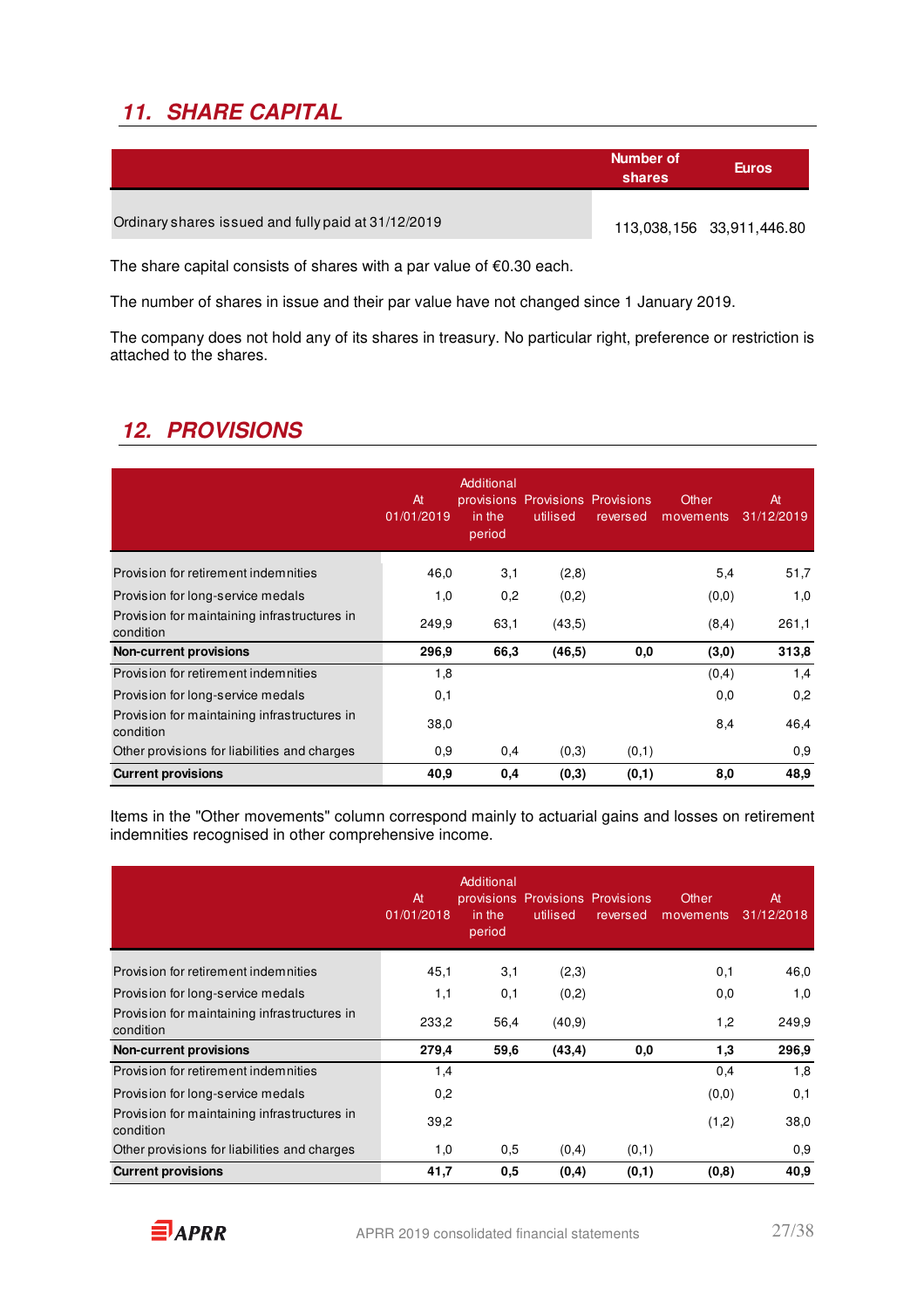# **11. SHARE CAPITAL**

|                                                     | Number of<br>shares | <b>Euros</b>              |
|-----------------------------------------------------|---------------------|---------------------------|
| Ordinary shares issued and fully paid at 31/12/2019 |                     | 113,038,156 33,911,446.80 |

The share capital consists of shares with a par value of €0.30 each.

The number of shares in issue and their par value have not changed since 1 January 2019.

The company does not hold any of its shares in treasury. No particular right, preference or restriction is attached to the shares.

### **12. PROVISIONS**

|                                                           | At<br>01/01/2019 | Additional<br>in the<br>period | provisions Provisions Provisions<br>utilised | reversed | Other<br>movements | At<br>31/12/2019 |
|-----------------------------------------------------------|------------------|--------------------------------|----------------------------------------------|----------|--------------------|------------------|
| Provision for retirement indemnities                      | 46,0             | 3,1                            | (2,8)                                        |          | 5,4                | 51,7             |
| Provision for long-service medals                         | 1,0              | 0,2                            | (0,2)                                        |          | (0,0)              | 1,0              |
| Provision for maintaining infrastructures in<br>condition | 249,9            | 63,1                           | (43,5)                                       |          | (8,4)              | 261,1            |
| <b>Non-current provisions</b>                             | 296,9            | 66,3                           | (46, 5)                                      | 0,0      | (3,0)              | 313,8            |
| Provision for retirement indemnities                      | 1,8              |                                |                                              |          | (0,4)              | 1,4              |
| Provision for long-service medals                         | 0,1              |                                |                                              |          | 0,0                | 0,2              |
| Provision for maintaining infrastructures in<br>condition | 38,0             |                                |                                              |          | 8,4                | 46,4             |
| Other provisions for liabilities and charges              | 0,9              | 0,4                            | (0,3)                                        | (0,1)    |                    | 0,9              |
| <b>Current provisions</b>                                 | 40,9             | 0,4                            | (0,3)                                        | (0,1)    | 8.0                | 48,9             |

Items in the "Other movements" column correspond mainly to actuarial gains and losses on retirement indemnities recognised in other comprehensive income.

|                                                           | At<br>01/01/2018 | Additional<br>in the<br>period | provisions Provisions Provisions<br>utilised | reversed | Other<br>movements | At<br>31/12/2018 |
|-----------------------------------------------------------|------------------|--------------------------------|----------------------------------------------|----------|--------------------|------------------|
| Provision for retirement indemnities                      | 45,1             | 3,1                            | (2,3)                                        |          | 0,1                | 46,0             |
| Provision for long-service medals                         | 1,1              | 0,1                            | (0,2)                                        |          | 0,0                | 1,0              |
| Provision for maintaining infrastructures in<br>condition | 233,2            | 56,4                           | (40, 9)                                      |          | 1,2                | 249,9            |
| <b>Non-current provisions</b>                             | 279,4            | 59,6                           | (43, 4)                                      | 0,0      | 1,3                | 296,9            |
| Provision for retirement indemnities                      | 1,4              |                                |                                              |          | 0,4                | 1,8              |
| Provision for long-service medals                         | 0,2              |                                |                                              |          | (0,0)              | 0,1              |
| Provision for maintaining infrastructures in<br>condition | 39,2             |                                |                                              |          | (1,2)              | 38,0             |
| Other provisions for liabilities and charges              | 1,0              | 0,5                            | (0,4)                                        | (0,1)    |                    | 0,9              |
| <b>Current provisions</b>                                 | 41,7             | 0.5                            | (0,4)                                        | (0,1)    | (0,8)              | 40,9             |

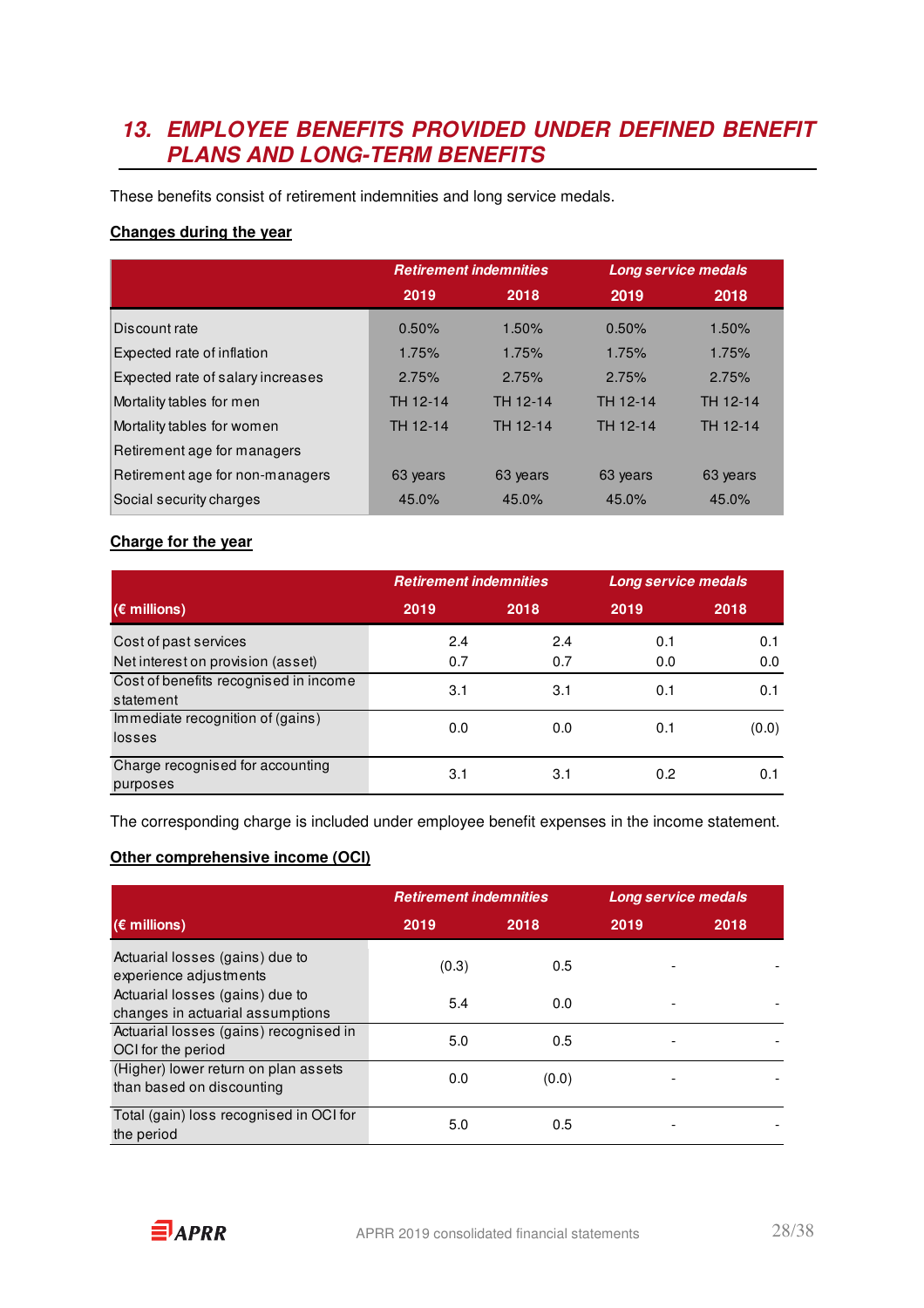### **13. EMPLOYEE BENEFITS PROVIDED UNDER DEFINED BENEFIT PLANS AND LONG-TERM BENEFITS**

These benefits consist of retirement indemnities and long service medals.

### **Changes during the year**

|                                   | <b>Retirement indemnities</b> |          |          | Long service medals |
|-----------------------------------|-------------------------------|----------|----------|---------------------|
|                                   | 2019                          | 2018     | 2019     | 2018                |
| Discount rate                     | 0.50%                         | 1.50%    | 0.50%    | 1.50%               |
| Expected rate of inflation        | 1.75%                         | 1.75%    | 1.75%    | 1.75%               |
| Expected rate of salary increases | 2.75%                         | 2.75%    | 2.75%    | 2.75%               |
| Mortality tables for men          | TH 12-14                      | TH 12-14 | TH 12-14 | TH 12-14            |
| Mortality tables for women        | TH 12-14                      | TH 12-14 | TH 12-14 | TH 12-14            |
| Retirement age for managers       |                               |          |          |                     |
| Retirement age for non-managers   | 63 years                      | 63 years | 63 years | 63 years            |
| Social security charges           | 45.0%                         | 45.0%    | 45.0%    | 45.0%               |

### **Charge for the year**

|                                                    | <b>Retirement indemnities</b> |      | Long service medals |       |
|----------------------------------------------------|-------------------------------|------|---------------------|-------|
| $(\epsilon$ millions)                              | 2019                          | 2018 | 2019                | 2018  |
| Cost of past services                              | 2.4                           | 2.4  | 0.1                 | 0.1   |
| Net interest on provision (asset)                  | 0.7                           | 0.7  | 0.0                 | 0.0   |
| Cost of benefits recognised in income<br>statement | 3.1                           | 3.1  | 0.1                 | 0.1   |
| Immediate recognition of (gains)                   |                               |      |                     |       |
| losses                                             | 0.0                           | 0.0  | 0.1                 | (0.0) |
| Charge recognised for accounting<br>purposes       | 3.1                           | 3.1  | 0.2                 | 0.1   |

The corresponding charge is included under employee benefit expenses in the income statement.

### **Other comprehensive income (OCI)**

|                                                                     | <b>Retirement indemnities</b> |       | Long service medals |      |
|---------------------------------------------------------------------|-------------------------------|-------|---------------------|------|
| $(\epsilon$ millions)                                               | 2019                          | 2018  | 2019                | 2018 |
| Actuarial losses (gains) due to<br>experience adjustments           | (0.3)                         | 0.5   |                     |      |
| Actuarial losses (gains) due to<br>changes in actuarial assumptions | 5.4                           | 0.0   |                     |      |
| Actuarial losses (gains) recognised in<br>OCI for the period        | 5.0                           | 0.5   |                     |      |
| (Higher) lower return on plan assets<br>than based on discounting   | 0.0                           | (0.0) |                     |      |
| Total (gain) loss recognised in OCI for<br>the period               | 5.0                           | 0.5   |                     |      |

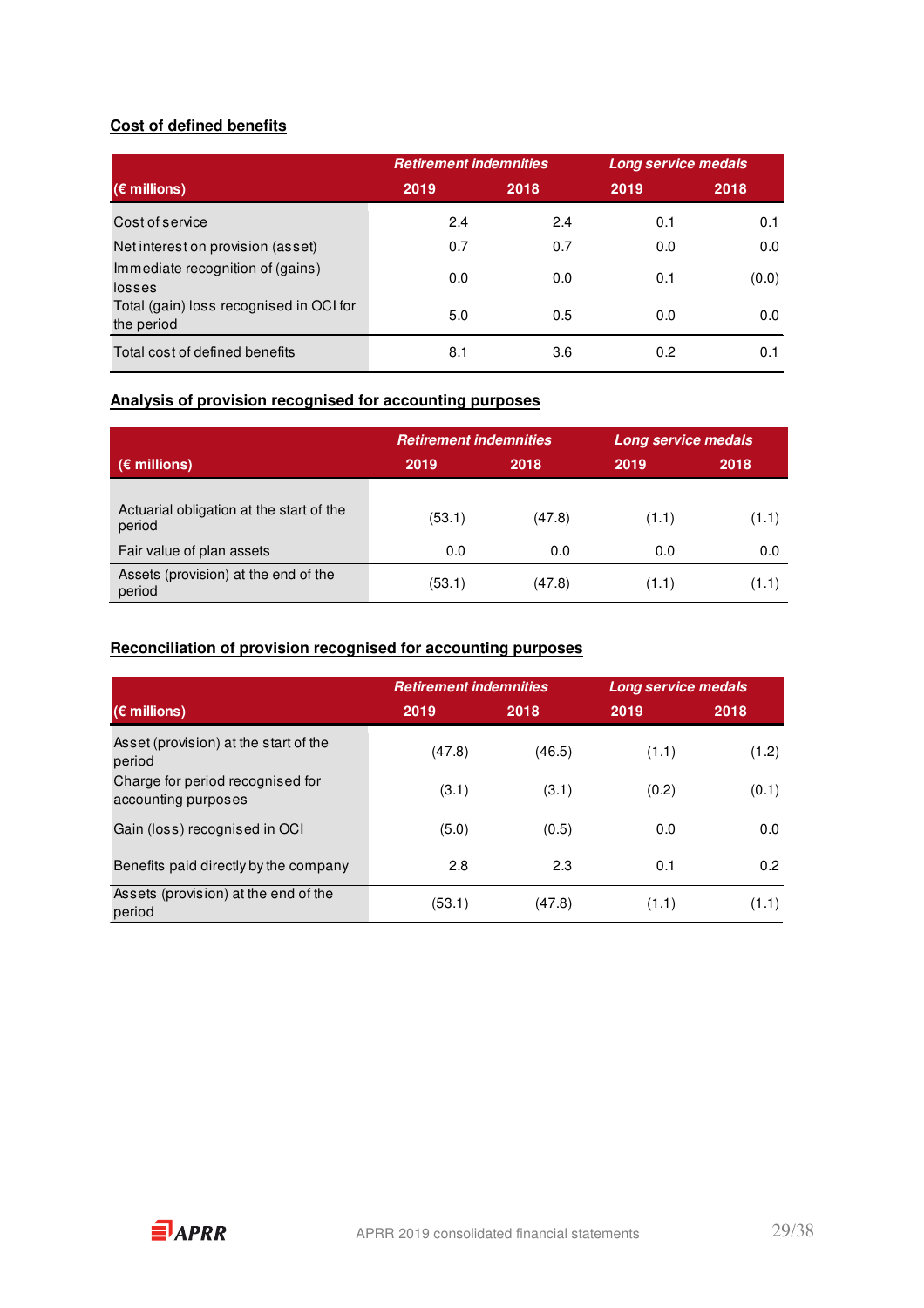### **Cost of defined benefits**

|                                                       | <b>Retirement indemnities</b> |      | Long service medals |       |
|-------------------------------------------------------|-------------------------------|------|---------------------|-------|
| $(\epsilon$ millions)                                 | 2019                          | 2018 | 2019                | 2018  |
| Cost of service                                       | 2.4                           | 2.4  | 0.1                 | 0.1   |
| Net interest on provision (asset)                     | 0.7                           | 0.7  | 0.0                 | 0.0   |
| Immediate recognition of (gains)<br>losses            | 0.0                           | 0.0  | 0.1                 | (0.0) |
| Total (gain) loss recognised in OCI for<br>the period | 5.0                           | 0.5  | 0.0                 | 0.0   |
| Total cost of defined benefits                        | 8.1                           | 3.6  | 0.2                 | 0.1   |

### **Analysis of provision recognised for accounting purposes**

|                                                    |        | <b>Retirement indemnities</b> |       | <b>Long service medals</b> |
|----------------------------------------------------|--------|-------------------------------|-------|----------------------------|
| $(\epsilon$ millions)                              | 2019   | 2018                          | 2019  | 2018                       |
| Actuarial obligation at the start of the<br>period | (53.1) | (47.8)                        | (1.1) | (1.1)                      |
| Fair value of plan assets                          | 0.0    | 0.0                           | 0.0   | 0.0                        |
| Assets (provision) at the end of the<br>period     | (53.1) | (47.8)                        | (1.1) | (1.1)                      |

### **Reconciliation of provision recognised for accounting purposes**

|                                                         | <b>Retirement indemnities</b> |        | Long service medals |       |
|---------------------------------------------------------|-------------------------------|--------|---------------------|-------|
| $(\epsilon$ millions)                                   | 2019                          | 2018   | 2019                | 2018  |
| Asset (provision) at the start of the<br>period         | (47.8)                        | (46.5) | (1.1)               | (1.2) |
| Charge for period recognised for<br>accounting purposes | (3.1)                         | (3.1)  | (0.2)               | (0.1) |
| Gain (loss) recognised in OCI                           | (5.0)                         | (0.5)  | 0.0                 | 0.0   |
| Benefits paid directly by the company                   | 2.8                           | 2.3    | 0.1                 | 0.2   |
| Assets (provision) at the end of the<br>period          | (53.1)                        | (47.8) | (1.1)               | (1.1) |

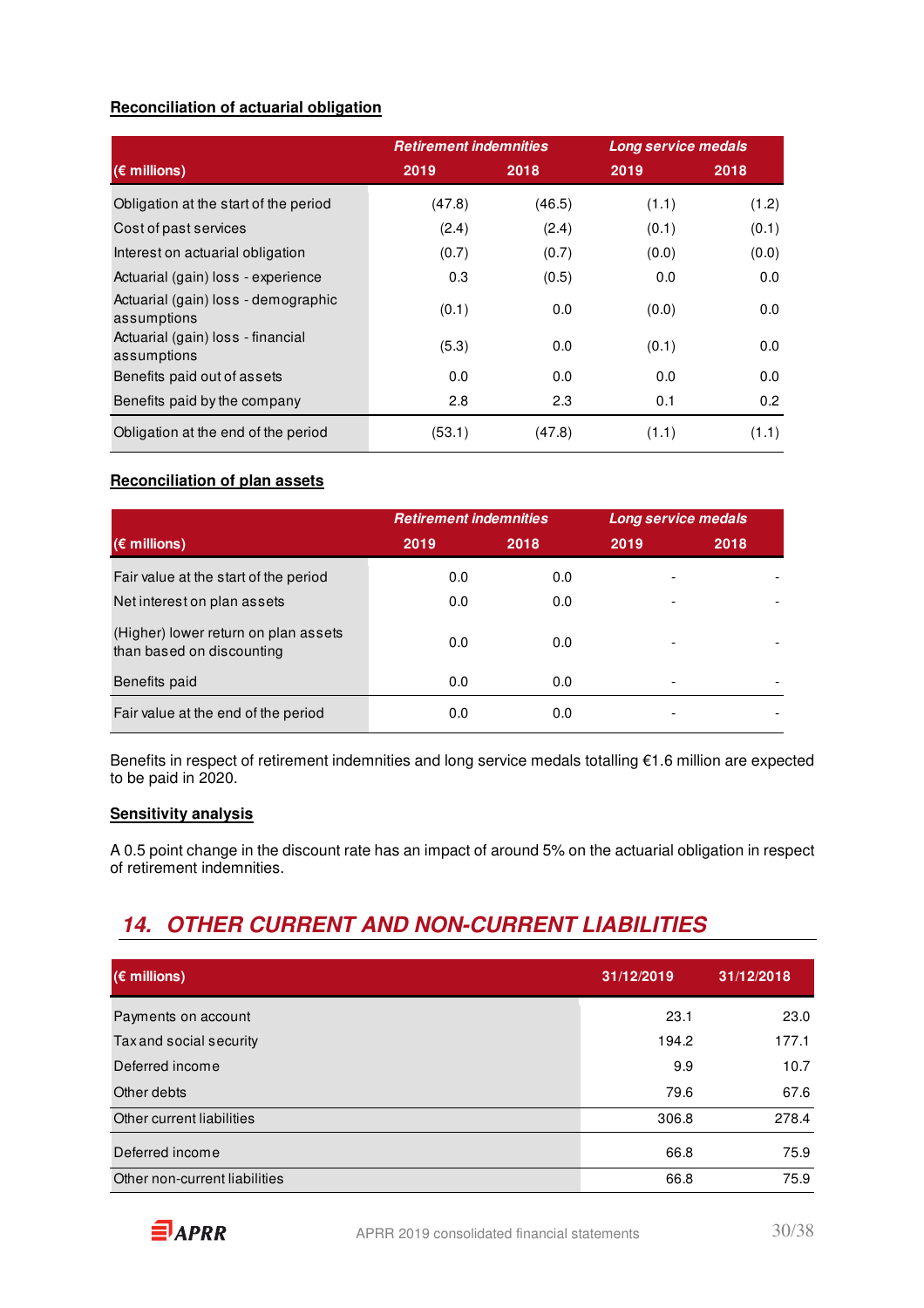### **Reconciliation of actuarial obligation**

|                                                    | <b>Retirement indemnities</b> |        | <b>Long service medals</b> |                  |
|----------------------------------------------------|-------------------------------|--------|----------------------------|------------------|
| $(\epsilon$ millions)                              | 2019                          | 2018   | 2019                       | 2018             |
| Obligation at the start of the period              | (47.8)                        | (46.5) | (1.1)                      | (1.2)            |
| Cost of past services                              | (2.4)                         | (2.4)  | (0.1)                      | (0.1)            |
| Interest on actuarial obligation                   | (0.7)                         | (0.7)  | (0.0)                      | (0.0)            |
| Actuarial (gain) loss - experience                 | 0.3                           | (0.5)  | 0.0                        | 0.0              |
| Actuarial (gain) loss - demographic<br>assumptions | (0.1)                         | 0.0    | (0.0)                      | 0.0              |
| Actuarial (gain) loss - financial<br>assumptions   | (5.3)                         | 0.0    | (0.1)                      | 0.0              |
| Benefits paid out of assets                        | 0.0                           | 0.0    | 0.0                        | 0.0              |
| Benefits paid by the company                       | 2.8                           | 2.3    | 0.1                        | 0.2 <sub>0</sub> |
| Obligation at the end of the period                | (53.1)                        | (47.8) | (1.1)                      | (1.1)            |

### **Reconciliation of plan assets**

|                                                                   | <b>Retirement indemnities</b> |      | Long service medals |      |  |
|-------------------------------------------------------------------|-------------------------------|------|---------------------|------|--|
| $(\epsilon$ millions)                                             | 2019                          | 2018 | 2019                | 2018 |  |
| Fair value at the start of the period                             | 0.0                           | 0.0  |                     |      |  |
| Net interest on plan assets                                       | 0.0                           | 0.0  |                     |      |  |
| (Higher) lower return on plan assets<br>than based on discounting | 0.0                           | 0.0  |                     |      |  |
| Benefits paid                                                     | 0.0                           | 0.0  |                     |      |  |
| Fair value at the end of the period                               | 0.0                           | 0.0  |                     |      |  |

Benefits in respect of retirement indemnities and long service medals totalling €1.6 million are expected to be paid in 2020.

### **Sensitivity analysis**

A 0.5 point change in the discount rate has an impact of around 5% on the actuarial obligation in respect of retirement indemnities.

# **14. OTHER CURRENT AND NON-CURRENT LIABILITIES**

| $(\epsilon$ millions)         | 31/12/2019 | 31/12/2018 |
|-------------------------------|------------|------------|
| Payments on account           | 23.1       | 23.0       |
| Tax and social security       | 194.2      | 177.1      |
| Deferred income               | 9.9        | 10.7       |
| Other debts                   | 79.6       | 67.6       |
| Other current liabilities     | 306.8      | 278.4      |
| Deferred income               | 66.8       | 75.9       |
| Other non-current liabilities | 66.8       | 75.9       |

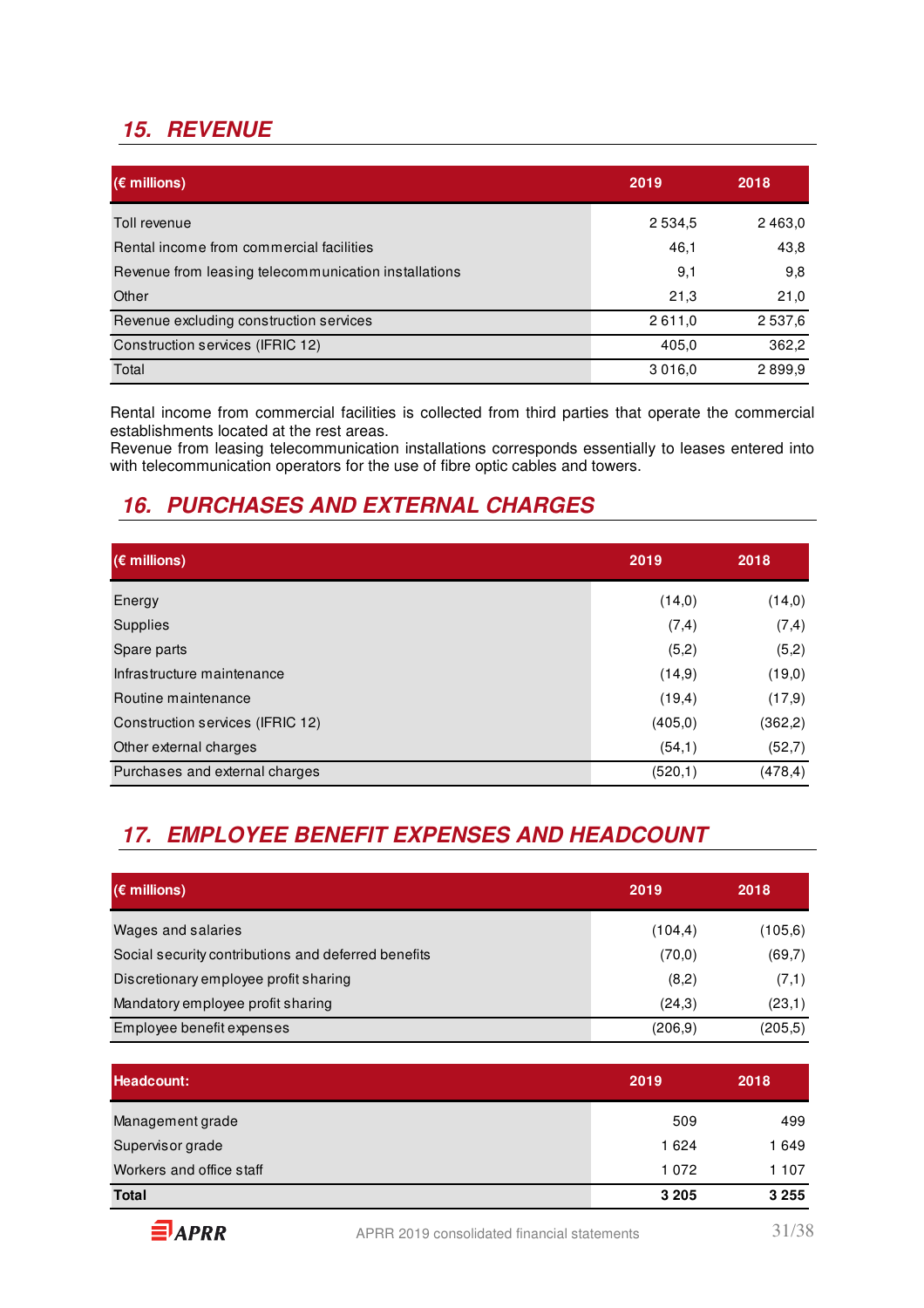# **15. REVENUE**

| $(\epsilon$ millions)                                | 2019      | 2018        |
|------------------------------------------------------|-----------|-------------|
| Toll revenue                                         | 2 5 3 4 5 | 2 4 6 3 , 0 |
| Rental income from commercial facilities             | 46,1      | 43,8        |
| Revenue from leasing telecommunication installations | 9,1       | 9,8         |
| Other                                                | 21,3      | 21,0        |
| Revenue excluding construction services              | 2611,0    | 2 5 3 7,6   |
| Construction services (IFRIC 12)                     | 405,0     | 362,2       |
| Total                                                | 3016.0    | 2899,9      |

Rental income from commercial facilities is collected from third parties that operate the commercial establishments located at the rest areas.

Revenue from leasing telecommunication installations corresponds essentially to leases entered into with telecommunication operators for the use of fibre optic cables and towers.

### **16. PURCHASES AND EXTERNAL CHARGES**

| $(\epsilon$ millions)            | 2019     | 2018     |
|----------------------------------|----------|----------|
| Energy                           | (14,0)   | (14,0)   |
| <b>Supplies</b>                  | (7, 4)   | (7, 4)   |
| Spare parts                      | (5,2)    | (5,2)    |
| Infrastructure maintenance       | (14,9)   | (19,0)   |
| Routine maintenance              | (19,4)   | (17,9)   |
| Construction services (IFRIC 12) | (405, 0) | (362,2)  |
| Other external charges           | (54,1)   | (52,7)   |
| Purchases and external charges   | (520,1)  | (478, 4) |

# **17. EMPLOYEE BENEFIT EXPENSES AND HEADCOUNT**

| $(\epsilon$ millions)                               | 2019     | 2018     |
|-----------------------------------------------------|----------|----------|
| Wages and salaries                                  | (104, 4) | (105, 6) |
| Social security contributions and deferred benefits | (70, 0)  | (69,7)   |
| Discretionary employee profit sharing               | (8,2)    | (7,1)    |
| Mandatory employee profit sharing                   | (24,3)   | (23,1)   |
| Employee benefit expenses                           | (206.9)  | (205.5)  |

| Headcount:               | 2019    | 2018    |
|--------------------------|---------|---------|
| Management grade         | 509     | 499     |
| Supervisor grade         | 1624    | 1649    |
| Workers and office staff | 1072    | 1 107   |
| <b>Total</b>             | 3 2 0 5 | 3 2 5 5 |

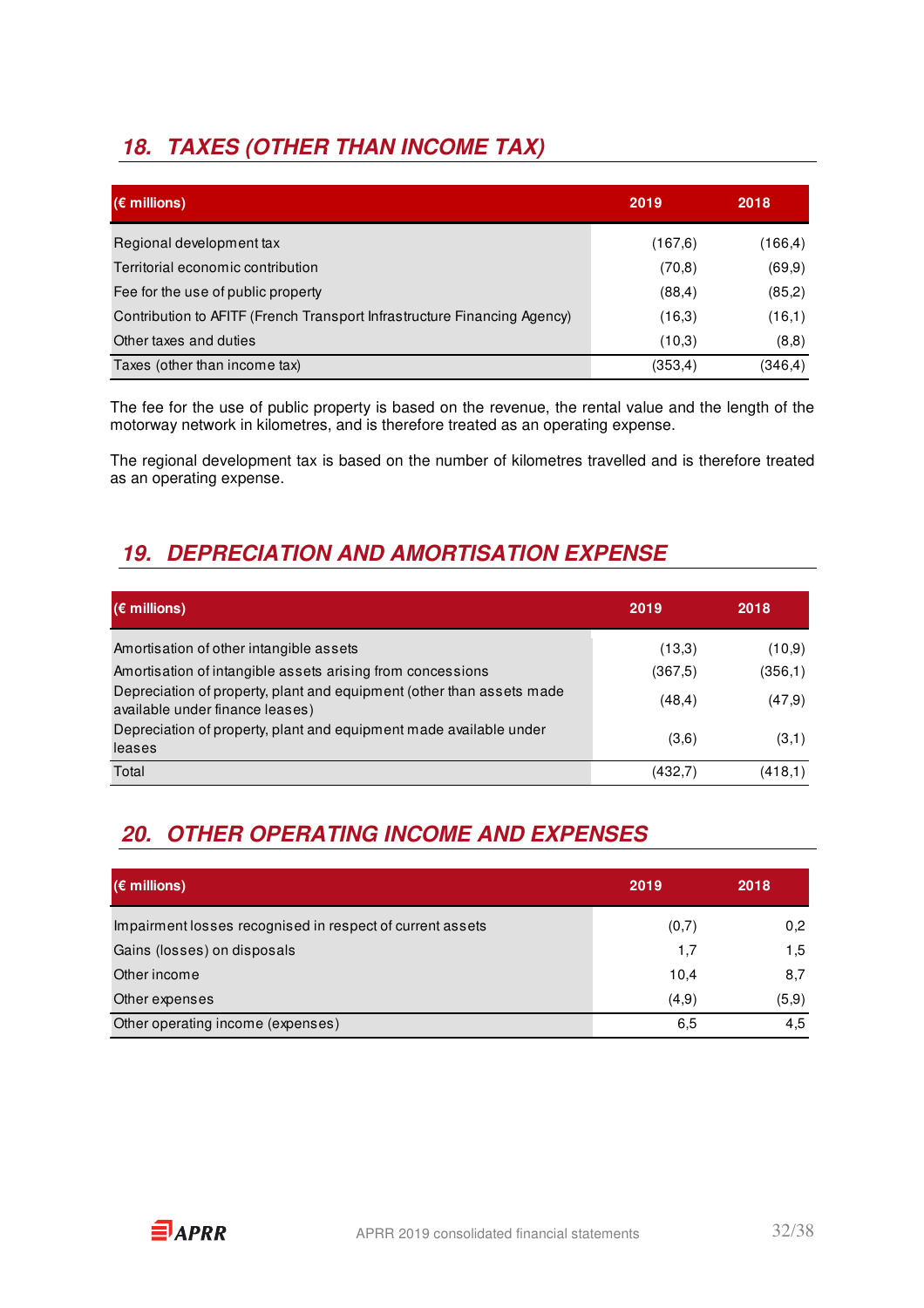# **18. TAXES (OTHER THAN INCOME TAX)**

| $(\epsilon$ millions)                                                    | 2019     | 2018     |
|--------------------------------------------------------------------------|----------|----------|
| Regional development tax                                                 | (167, 6) | (166, 4) |
| Territorial economic contribution                                        | (70, 8)  | (69, 9)  |
| Fee for the use of public property                                       | (88, 4)  | (85,2)   |
| Contribution to AFITF (French Transport Infrastructure Financing Agency) | (16,3)   | (16,1)   |
| Other taxes and duties                                                   | (10,3)   | (8,8)    |
| Taxes (other than income tax)                                            | (353, 4) | (346, 4) |

The fee for the use of public property is based on the revenue, the rental value and the length of the motorway network in kilometres, and is therefore treated as an operating expense.

The regional development tax is based on the number of kilometres travelled and is therefore treated as an operating expense.

# **19. DEPRECIATION AND AMORTISATION EXPENSE**

| $(\epsilon$ millions)                                                                                    | 2019    | 2018    |
|----------------------------------------------------------------------------------------------------------|---------|---------|
| Amortisation of other intangible assets                                                                  | (13,3)  | (10,9)  |
| Amortisation of intangible assets arising from concessions                                               | (367,5) | (356,1) |
| Depreciation of property, plant and equipment (other than assets made<br>available under finance leases) | (48, 4) | (47,9)  |
| Depreciation of property, plant and equipment made available under<br>leases                             | (3,6)   | (3,1)   |
| Total                                                                                                    | (432,7  | (418,1) |

# **20. OTHER OPERATING INCOME AND EXPENSES**

| $(\epsilon$ millions)                                     | 2019  | 2018  |
|-----------------------------------------------------------|-------|-------|
| Impairment losses recognised in respect of current assets | (0,7) | 0,2   |
| Gains (losses) on disposals                               | 1.7   | 1,5   |
| Other income                                              | 10,4  | 8,7   |
| Other expenses                                            | (4,9) | (5,9) |
| Other operating income (expenses)                         | 6,5   | 4,5   |

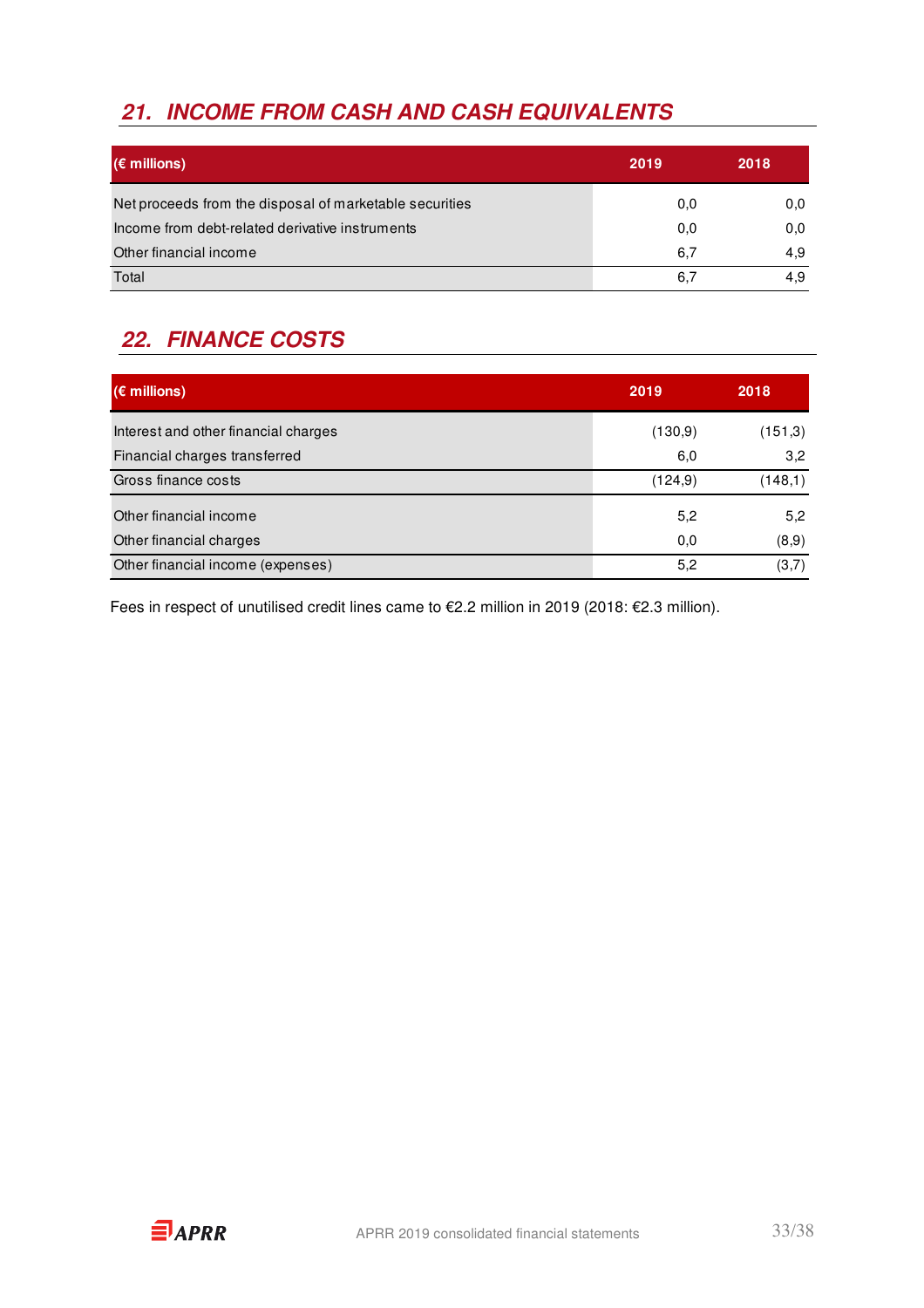# **21. INCOME FROM CASH AND CASH EQUIVALENTS**

| $(\epsilon$ millions)                                   | 2019 | 2018 |
|---------------------------------------------------------|------|------|
| Net proceeds from the disposal of marketable securities | 0,0  | 0,0  |
| Income from debt-related derivative instruments         | 0,0  | 0,0  |
| Other financial income                                  | 6,7  | 4,9  |
| Total                                                   | 6,7  | 4.9  |

# **22. FINANCE COSTS**

| $(\epsilon$ millions)                | 2019     | 2018    |
|--------------------------------------|----------|---------|
| Interest and other financial charges | (130, 9) | (151,3) |
| Financial charges transferred        | 6,0      | 3,2     |
| Gross finance costs                  | (124, 9) | (148,1) |
| Other financial income               | 5,2      | 5,2     |
| Other financial charges              | 0,0      | (8,9)   |
| Other financial income (expenses)    | 5,2      | (3,7)   |

Fees in respect of unutilised credit lines came to €2.2 million in 2019 (2018: €2.3 million).

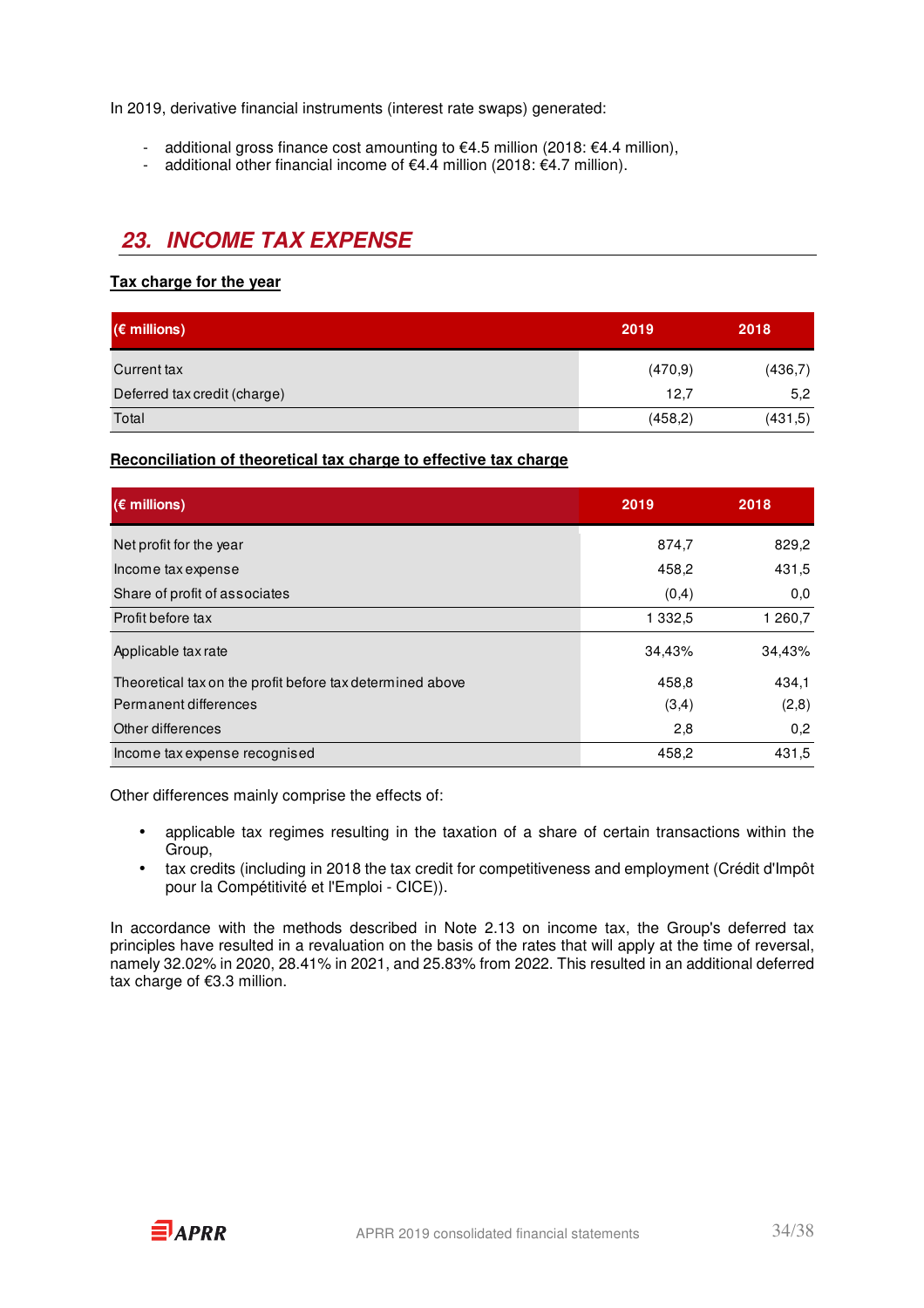In 2019, derivative financial instruments (interest rate swaps) generated:

- additional gross finance cost amounting to  $€4.5$  million (2018:  $€4.4$  million),
- additional other financial income of  $€4.4$  million (2018:  $€4.7$  million).

### **23. INCOME TAX EXPENSE**

### **Tax charge for the year**

| $(\epsilon$ millions)        | 2019     | 2018    |
|------------------------------|----------|---------|
| Current tax                  | (470, 9) | (436,7) |
| Deferred tax credit (charge) | 12,7     | 5,2     |
| Total                        | (458,2)  | (431,5) |

**Reconciliation of theoretical tax charge to effective tax charge** 

| $(\epsilon$ millions)                                     | 2019       | 2018    |
|-----------------------------------------------------------|------------|---------|
| Net profit for the year                                   | 874,7      | 829,2   |
| Income tax expense                                        | 458,2      | 431,5   |
| Share of profit of associates                             | (0,4)      | 0,0     |
| Profit before tax                                         | 1 3 3 2 .5 | 1 260,7 |
| Applicable tax rate                                       | 34,43%     | 34,43%  |
| Theoretical tax on the profit before tax determined above | 458,8      | 434,1   |
| Permanent differences                                     | (3,4)      | (2,8)   |
| Other differences                                         | 2,8        | 0,2     |
| Income tax expense recognised                             | 458,2      | 431,5   |

Other differences mainly comprise the effects of:

- applicable tax regimes resulting in the taxation of a share of certain transactions within the Group,
- tax credits (including in 2018 the tax credit for competitiveness and employment (Crédit d'Impôt pour la Compétitivité et l'Emploi - CICE)).

In accordance with the methods described in Note 2.13 on income tax, the Group's deferred tax principles have resulted in a revaluation on the basis of the rates that will apply at the time of reversal, namely 32.02% in 2020, 28.41% in 2021, and 25.83% from 2022. This resulted in an additional deferred tax charge of €3.3 million.

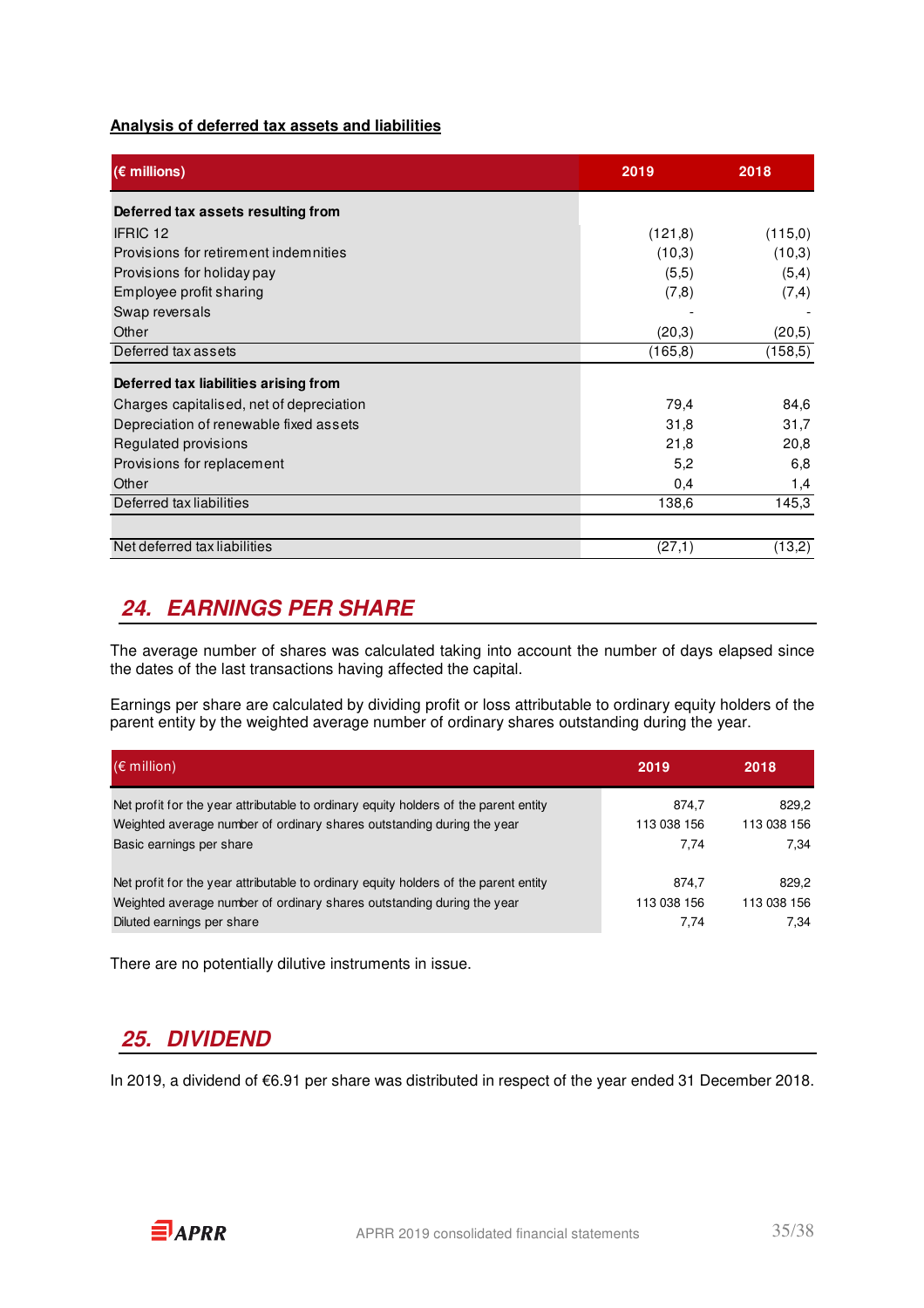#### **Analysis of deferred tax assets and liabilities**

| $(\epsilon$ millions)                    | 2019     | 2018     |
|------------------------------------------|----------|----------|
| Deferred tax assets resulting from       |          |          |
| IFRIC 12                                 | (121, 8) | (115,0)  |
| Provisions for retirement indemnities    | (10,3)   | (10,3)   |
| Provisions for holiday pay               | (5,5)    | (5,4)    |
| Employee profit sharing                  | (7,8)    | (7,4)    |
| Swap reversals                           |          |          |
| Other                                    | (20,3)   | (20,5)   |
| Deferred tax assets                      | (165,8)  | (158, 5) |
| Deferred tax liabilities arising from    |          |          |
| Charges capitalised, net of depreciation | 79,4     | 84,6     |
| Depreciation of renewable fixed assets   | 31,8     | 31,7     |
| Regulated provisions                     | 21,8     | 20,8     |
| Provisions for replacement               | 5,2      | 6,8      |
| Other                                    | 0,4      | 1,4      |
| Deferred tax liabilities                 | 138,6    | 145,3    |
|                                          |          |          |
| Net deferred tax liabilities             | (27,1)   | (13,2)   |

### **24. EARNINGS PER SHARE**

The average number of shares was calculated taking into account the number of days elapsed since the dates of the last transactions having affected the capital.

Earnings per share are calculated by dividing profit or loss attributable to ordinary equity holders of the parent entity by the weighted average number of ordinary shares outstanding during the year.

| $(\epsilon$ million)                                                                 | 2019        | 2018        |
|--------------------------------------------------------------------------------------|-------------|-------------|
| Net profit for the year attributable to ordinary equity holders of the parent entity | 874,7       | 829.2       |
| Weighted average number of ordinary shares outstanding during the year               | 113 038 156 | 113 038 156 |
| Basic earnings per share                                                             | 7.74        | 7.34        |
| Net profit for the year attributable to ordinary equity holders of the parent entity | 874.7       | 829.2       |
| Weighted average number of ordinary shares outstanding during the year               | 113 038 156 | 113 038 156 |
| Diluted earnings per share                                                           | 7.74        | 7.34        |

There are no potentially dilutive instruments in issue.

### **25. DIVIDEND**

In 2019, a dividend of €6.91 per share was distributed in respect of the year ended 31 December 2018.

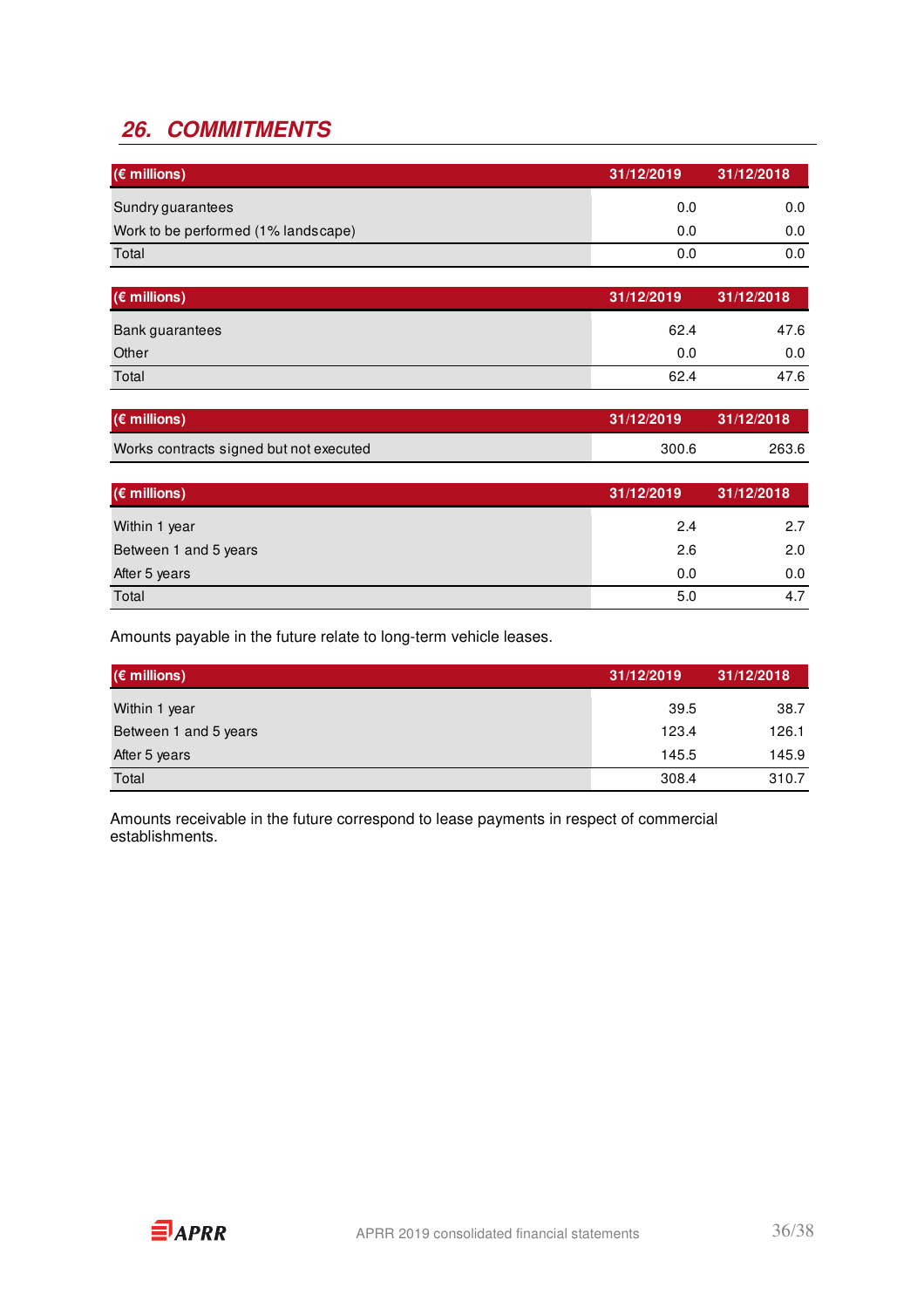# **26. COMMITMENTS**

| $(\epsilon$ millions)               | 31/12/2019 | 31/12/2018 |
|-------------------------------------|------------|------------|
| Sundry guarantees                   | 0.0        | 0.0        |
| Work to be performed (1% landscape) | 0.0        | 0.0        |
| Total                               | 0.0        | 0.0        |

| $(\epsilon$ millions)  | 31/12/2019 | 31/12/2018 |
|------------------------|------------|------------|
| <b>Bank guarantees</b> | 62.4       | 47.6       |
| Other                  | 0.0        | 0.0        |
| Total                  | 62.4       | 47.6       |

| $(\epsilon$ millions)                   | 31/12/2019 | 31/12/2018 |
|-----------------------------------------|------------|------------|
| Works contracts signed but not executed | 300.6      | 263.6      |

| $(\epsilon$ millions) | 31/12/2019 | 31/12/2018 |
|-----------------------|------------|------------|
| Within 1 year         | 2.4        | 2.7        |
| Between 1 and 5 years | 2.6        | 2.0        |
| After 5 years         | 0.0        | 0.0        |
| Total                 | 5.0        | 4.7        |

Amounts payable in the future relate to long-term vehicle leases.

| $(\epsilon$ millions) | 31/12/2019 | 31/12/2018 |
|-----------------------|------------|------------|
| Within 1 year         | 39.5       | 38.7       |
| Between 1 and 5 years | 123.4      | 126.1      |
| After 5 years         | 145.5      | 145.9      |
| Total                 | 308.4      | 310.7      |

Amounts receivable in the future correspond to lease payments in respect of commercial establishments.

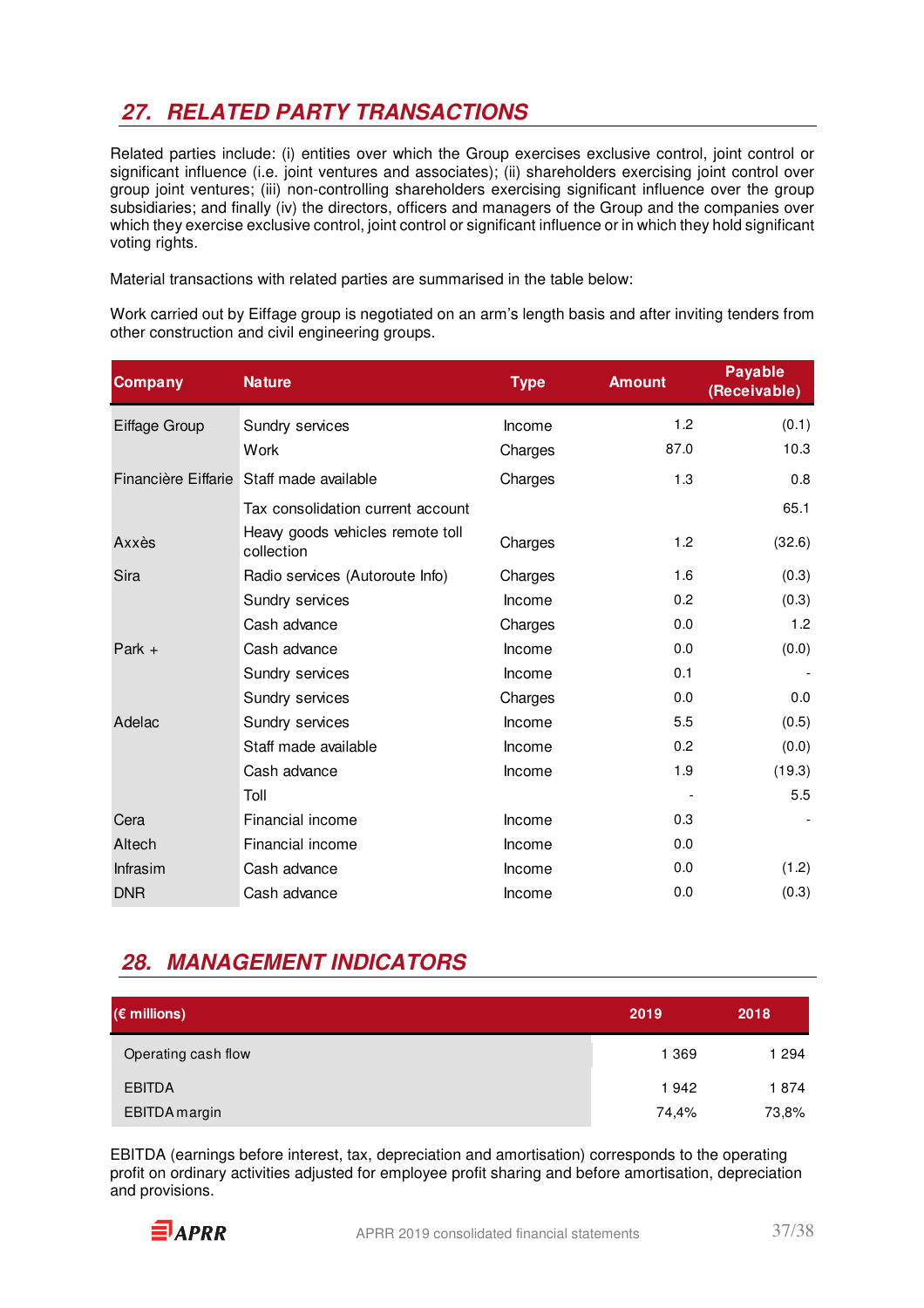# **27. RELATED PARTY TRANSACTIONS**

Related parties include: (i) entities over which the Group exercises exclusive control, joint control or significant influence (i.e. joint ventures and associates); (ii) shareholders exercising joint control over group joint ventures; (iii) non-controlling shareholders exercising significant influence over the group subsidiaries; and finally (iv) the directors, officers and managers of the Group and the companies over which they exercise exclusive control, joint control or significant influence or in which they hold significant voting rights.

Material transactions with related parties are summarised in the table below:

Work carried out by Eiffage group is negotiated on an arm's length basis and after inviting tenders from other construction and civil engineering groups.

| <b>Company</b> | <b>Nature</b>                                  | <b>Type</b> | <b>Amount</b> | <b>Payable</b><br>(Receivable) |
|----------------|------------------------------------------------|-------------|---------------|--------------------------------|
| Eiffage Group  | Sundry services                                | Income      | 1.2           | (0.1)                          |
|                | Work                                           | Charges     | 87.0          | 10.3                           |
|                | Financière Eiffarie Staff made available       | Charges     | 1.3           | 0.8                            |
|                | Tax consolidation current account              |             |               | 65.1                           |
| Axxès          | Heavy goods vehicles remote toll<br>collection | Charges     | 1.2           | (32.6)                         |
| Sira           | Radio services (Autoroute Info)                | Charges     | 1.6           | (0.3)                          |
|                | Sundry services                                | Income      | 0.2           | (0.3)                          |
|                | Cash advance                                   | Charges     | 0.0           | 1.2                            |
| Park $+$       | Cash advance                                   | Income      | 0.0           | (0.0)                          |
|                | Sundry services                                | Income      | 0.1           |                                |
|                | Sundry services                                | Charges     | 0.0           | 0.0                            |
| Adelac         | Sundry services                                | Income      | 5.5           | (0.5)                          |
|                | Staff made available                           | Income      | 0.2           | (0.0)                          |
|                | Cash advance                                   | Income      | 1.9           | (19.3)                         |
|                | Toll                                           |             |               | 5.5                            |
| Cera           | Financial income                               | Income      | 0.3           |                                |
| Altech         | Financial income                               | Income      | 0.0           |                                |
| Infrasim       | Cash advance                                   | Income      | 0.0           | (1.2)                          |
| <b>DNR</b>     | Cash advance                                   | Income      | 0.0           | (0.3)                          |

### **28. MANAGEMENT INDICATORS**

| $(\epsilon$ millions) | 2019    | 2018  |
|-----------------------|---------|-------|
| Operating cash flow   | 1 3 6 9 | 1 294 |
| <b>EBITDA</b>         | 1942    | 1874  |
| EBITDA margin         | 74,4%   | 73,8% |

EBITDA (earnings before interest, tax, depreciation and amortisation) corresponds to the operating profit on ordinary activities adjusted for employee profit sharing and before amortisation, depreciation and provisions.